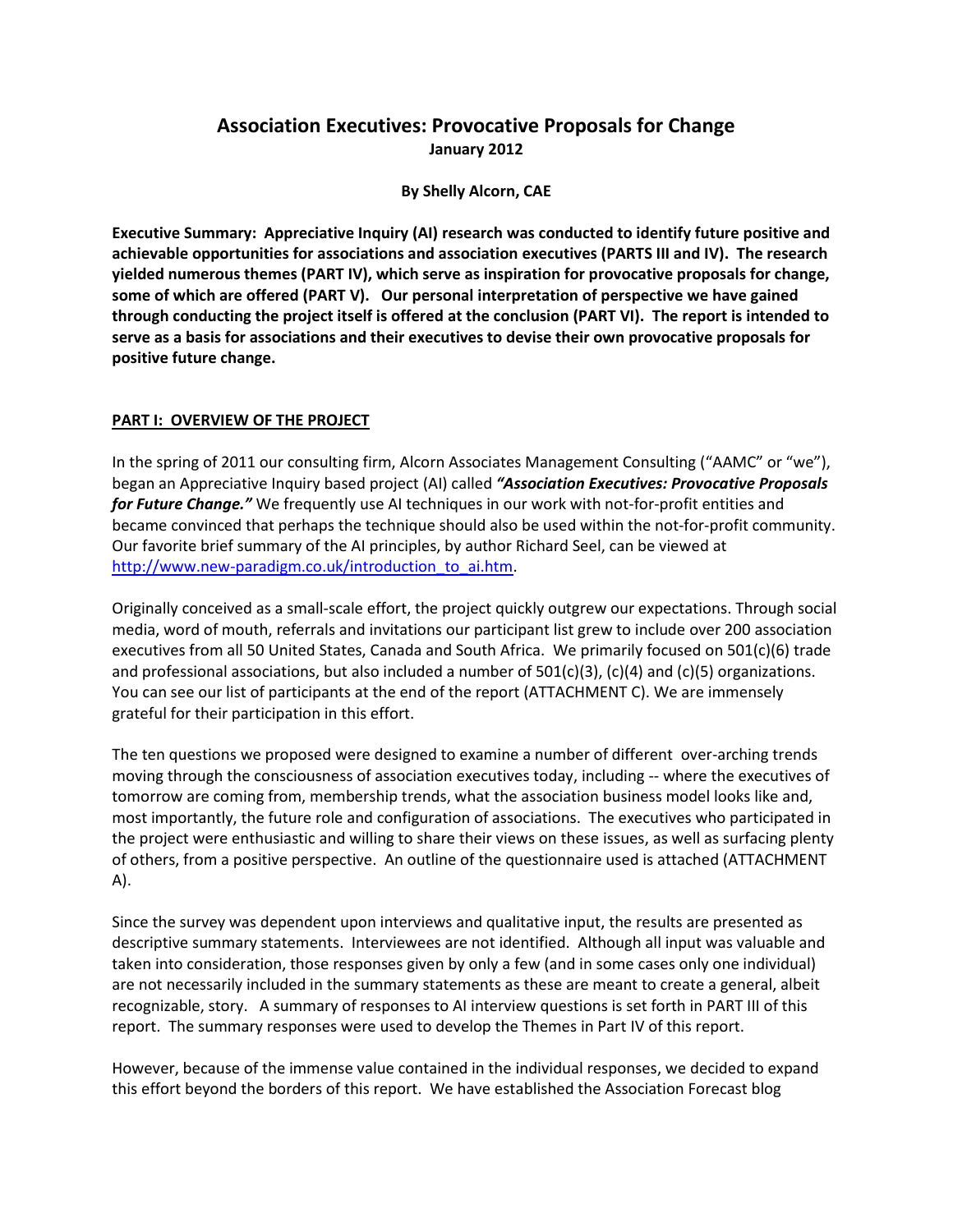# **Association Executives: Provocative Proposals for Change January 2012**

**By Shelly Alcorn, CAE**

**Executive Summary: Appreciative Inquiry (AI) research was conducted to identify future positive and achievable opportunities for associations and association executives (PARTS III and IV). The research yielded numerous themes (PART IV), which serve as inspiration for provocative proposals for change, some of which are offered (PART V). Our personal interpretation of perspective we have gained through conducting the project itself is offered at the conclusion (PART VI). The report is intended to serve as a basis for associations and their executives to devise their own provocative proposals for positive future change.**

### **PART I: OVERVIEW OF THE PROJECT**

In the spring of 2011 our consulting firm, Alcorn Associates Management Consulting ("AAMC" or "we"), began an Appreciative Inquiry based project (AI) called *"Association Executives: Provocative Proposals for Future Change."* We frequently use AI techniques in our work with not-for-profit entities and became convinced that perhaps the technique should also be used within the not-for-profit community. Our favorite brief summary of the AI principles, by author Richard Seel, can be viewed at [http://www.new-paradigm.co.uk/introduction\\_to\\_ai.htm.](http://www.new-paradigm.co.uk/introduction_to_ai.htm)

Originally conceived as a small-scale effort, the project quickly outgrew our expectations. Through social media, word of mouth, referrals and invitations our participant list grew to include over 200 association executives from all 50 United States, Canada and South Africa. We primarily focused on 501(c)(6) trade and professional associations, but also included a number of 501(c)(3), (c)(4) and (c)(5) organizations. You can see our list of participants at the end of the report (ATTACHMENT C). We are immensely grateful for their participation in this effort.

The ten questions we proposed were designed to examine a number of different over-arching trends moving through the consciousness of association executives today, including -- where the executives of tomorrow are coming from, membership trends, what the association business model looks like and, most importantly, the future role and configuration of associations. The executives who participated in the project were enthusiastic and willing to share their views on these issues, as well as surfacing plenty of others, from a positive perspective. An outline of the questionnaire used is attached (ATTACHMENT A).

Since the survey was dependent upon interviews and qualitative input, the results are presented as descriptive summary statements. Interviewees are not identified. Although all input was valuable and taken into consideration, those responses given by only a few (and in some cases only one individual) are not necessarily included in the summary statements as these are meant to create a general, albeit recognizable, story. A summary of responses to AI interview questions is set forth in PART III of this report. The summary responses were used to develop the Themes in Part IV of this report.

However, because of the immense value contained in the individual responses, we decided to expand this effort beyond the borders of this report. We have established the Association Forecast blog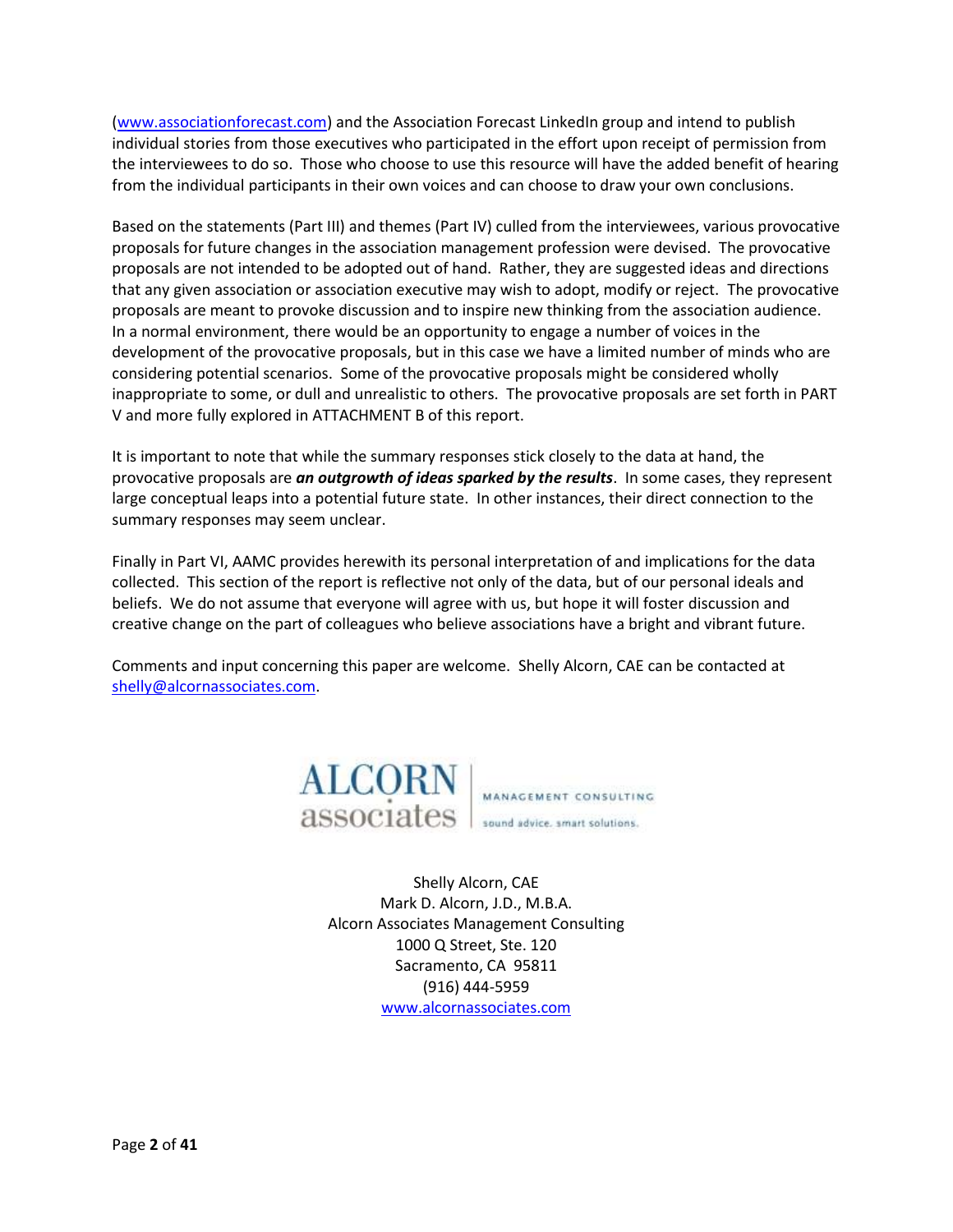[\(www.associationforecast.com\)](http://www.associationforecast.com/) and the Association Forecast LinkedIn group and intend to publish individual stories from those executives who participated in the effort upon receipt of permission from the interviewees to do so. Those who choose to use this resource will have the added benefit of hearing from the individual participants in their own voices and can choose to draw your own conclusions.

Based on the statements (Part III) and themes (Part IV) culled from the interviewees, various provocative proposals for future changes in the association management profession were devised. The provocative proposals are not intended to be adopted out of hand. Rather, they are suggested ideas and directions that any given association or association executive may wish to adopt, modify or reject. The provocative proposals are meant to provoke discussion and to inspire new thinking from the association audience. In a normal environment, there would be an opportunity to engage a number of voices in the development of the provocative proposals, but in this case we have a limited number of minds who are considering potential scenarios. Some of the provocative proposals might be considered wholly inappropriate to some, or dull and unrealistic to others. The provocative proposals are set forth in PART V and more fully explored in ATTACHMENT B of this report.

It is important to note that while the summary responses stick closely to the data at hand, the provocative proposals are *an outgrowth of ideas sparked by the results*. In some cases, they represent large conceptual leaps into a potential future state. In other instances, their direct connection to the summary responses may seem unclear.

Finally in Part VI, AAMC provides herewith its personal interpretation of and implications for the data collected. This section of the report is reflective not only of the data, but of our personal ideals and beliefs. We do not assume that everyone will agree with us, but hope it will foster discussion and creative change on the part of colleagues who believe associations have a bright and vibrant future.

Comments and input concerning this paper are welcome. Shelly Alcorn, CAE can be contacted at [shelly@alcornassociates.com.](mailto:shelly@alcornassociates.com)



Shelly Alcorn, CAE Mark D. Alcorn, J.D., M.B.A. Alcorn Associates Management Consulting 1000 Q Street, Ste. 120 Sacramento, CA 95811 (916) 444-5959 [www.alcornassociates.com](http://www.alcornassociates.com/)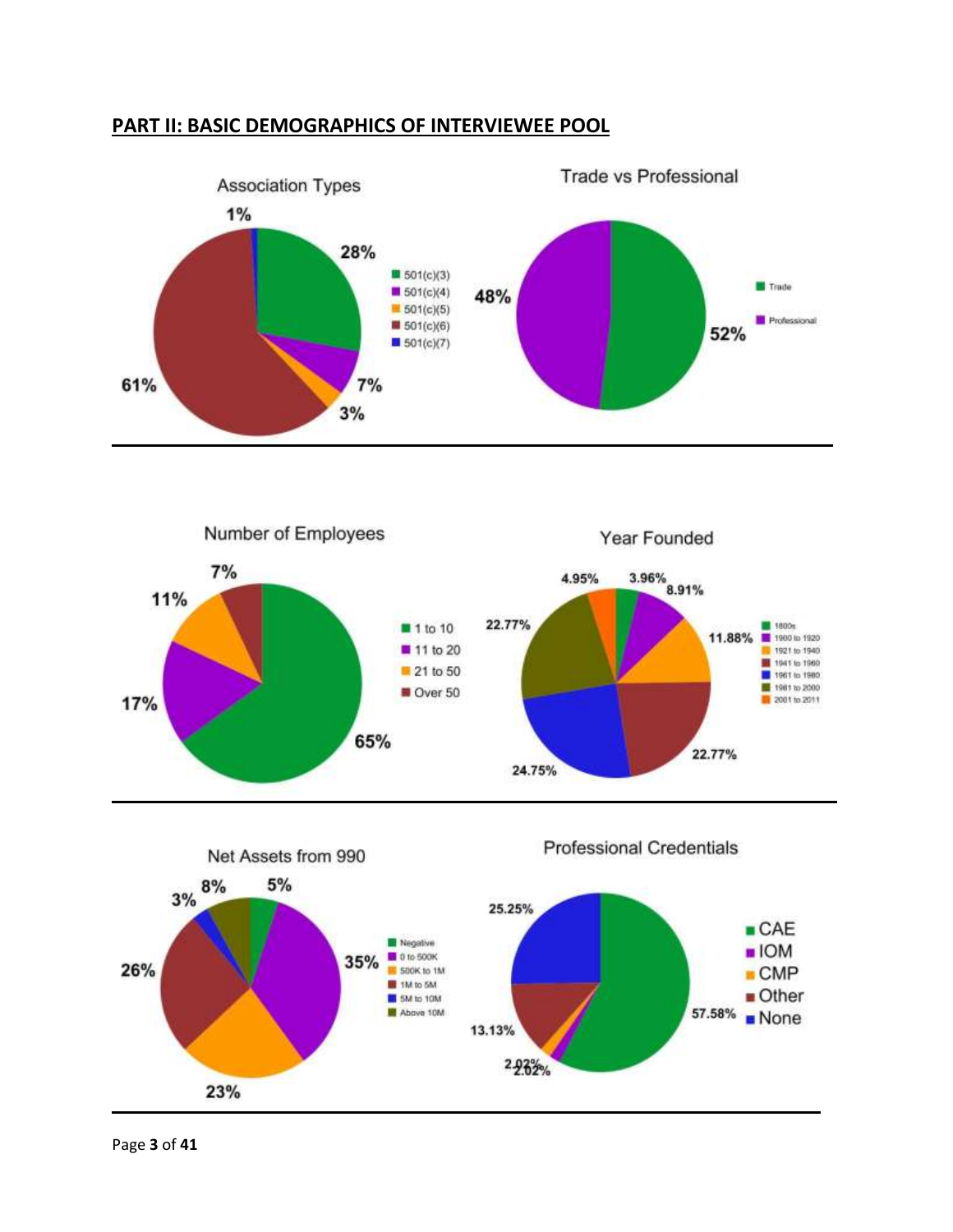# **PART II: BASIC DEMOGRAPHICS OF INTERVIEWEE POOL**







Page **3** of **41**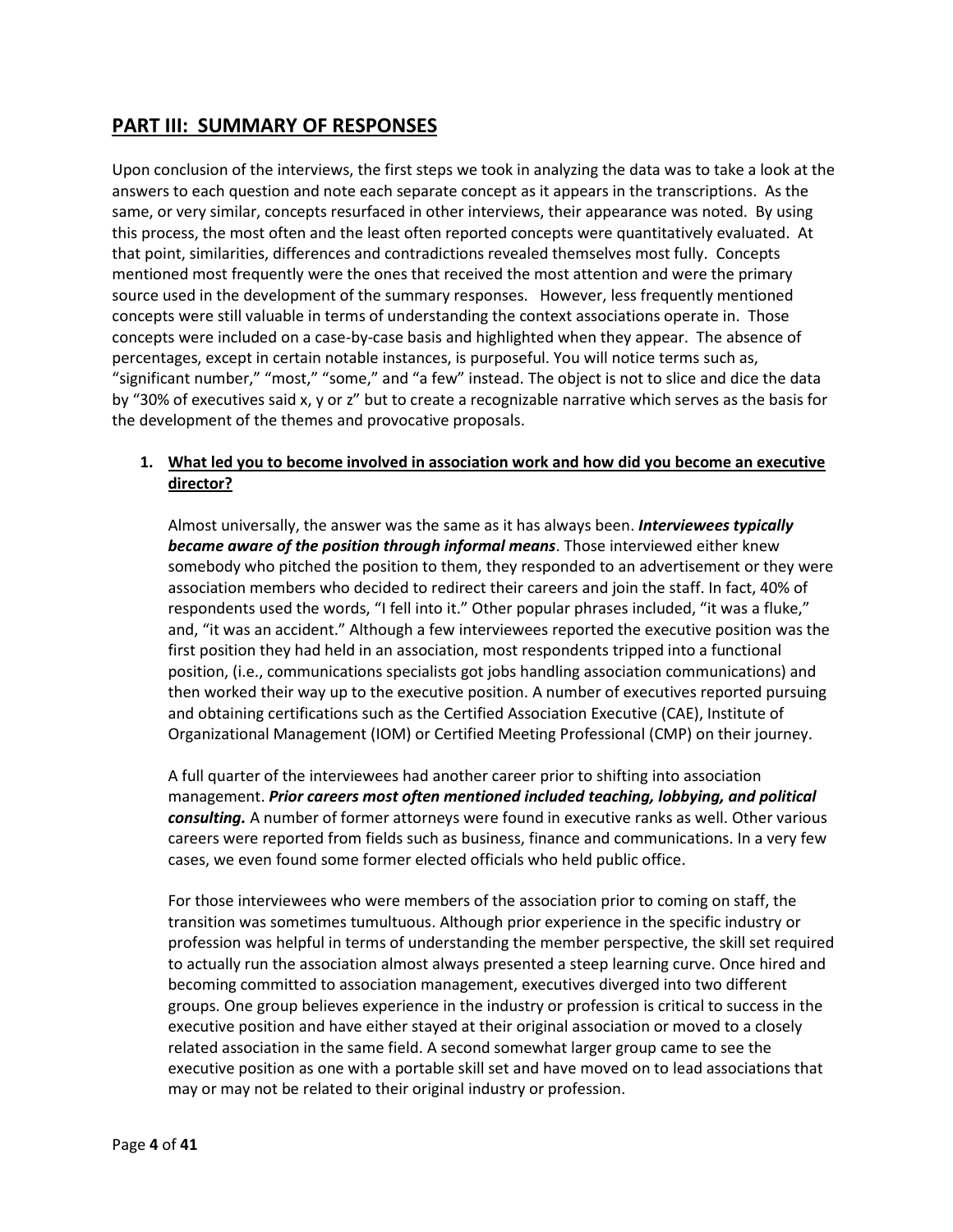# **PART III: SUMMARY OF RESPONSES**

Upon conclusion of the interviews, the first steps we took in analyzing the data was to take a look at the answers to each question and note each separate concept as it appears in the transcriptions. As the same, or very similar, concepts resurfaced in other interviews, their appearance was noted. By using this process, the most often and the least often reported concepts were quantitatively evaluated. At that point, similarities, differences and contradictions revealed themselves most fully. Concepts mentioned most frequently were the ones that received the most attention and were the primary source used in the development of the summary responses. However, less frequently mentioned concepts were still valuable in terms of understanding the context associations operate in. Those concepts were included on a case-by-case basis and highlighted when they appear. The absence of percentages, except in certain notable instances, is purposeful. You will notice terms such as, "significant number," "most," "some," and "a few" instead. The object is not to slice and dice the data by "30% of executives said x, y or z" but to create a recognizable narrative which serves as the basis for the development of the themes and provocative proposals.

# **1. What led you to become involved in association work and how did you become an executive director?**

Almost universally, the answer was the same as it has always been. *Interviewees typically became aware of the position through informal means*. Those interviewed either knew somebody who pitched the position to them, they responded to an advertisement or they were association members who decided to redirect their careers and join the staff. In fact, 40% of respondents used the words, "I fell into it." Other popular phrases included, "it was a fluke," and, "it was an accident." Although a few interviewees reported the executive position was the first position they had held in an association, most respondents tripped into a functional position, (i.e., communications specialists got jobs handling association communications) and then worked their way up to the executive position. A number of executives reported pursuing and obtaining certifications such as the Certified Association Executive (CAE), Institute of Organizational Management (IOM) or Certified Meeting Professional (CMP) on their journey.

A full quarter of the interviewees had another career prior to shifting into association management. *Prior careers most often mentioned included teaching, lobbying, and political consulting.* A number of former attorneys were found in executive ranks as well. Other various careers were reported from fields such as business, finance and communications. In a very few cases, we even found some former elected officials who held public office.

For those interviewees who were members of the association prior to coming on staff, the transition was sometimes tumultuous. Although prior experience in the specific industry or profession was helpful in terms of understanding the member perspective, the skill set required to actually run the association almost always presented a steep learning curve. Once hired and becoming committed to association management, executives diverged into two different groups. One group believes experience in the industry or profession is critical to success in the executive position and have either stayed at their original association or moved to a closely related association in the same field. A second somewhat larger group came to see the executive position as one with a portable skill set and have moved on to lead associations that may or may not be related to their original industry or profession.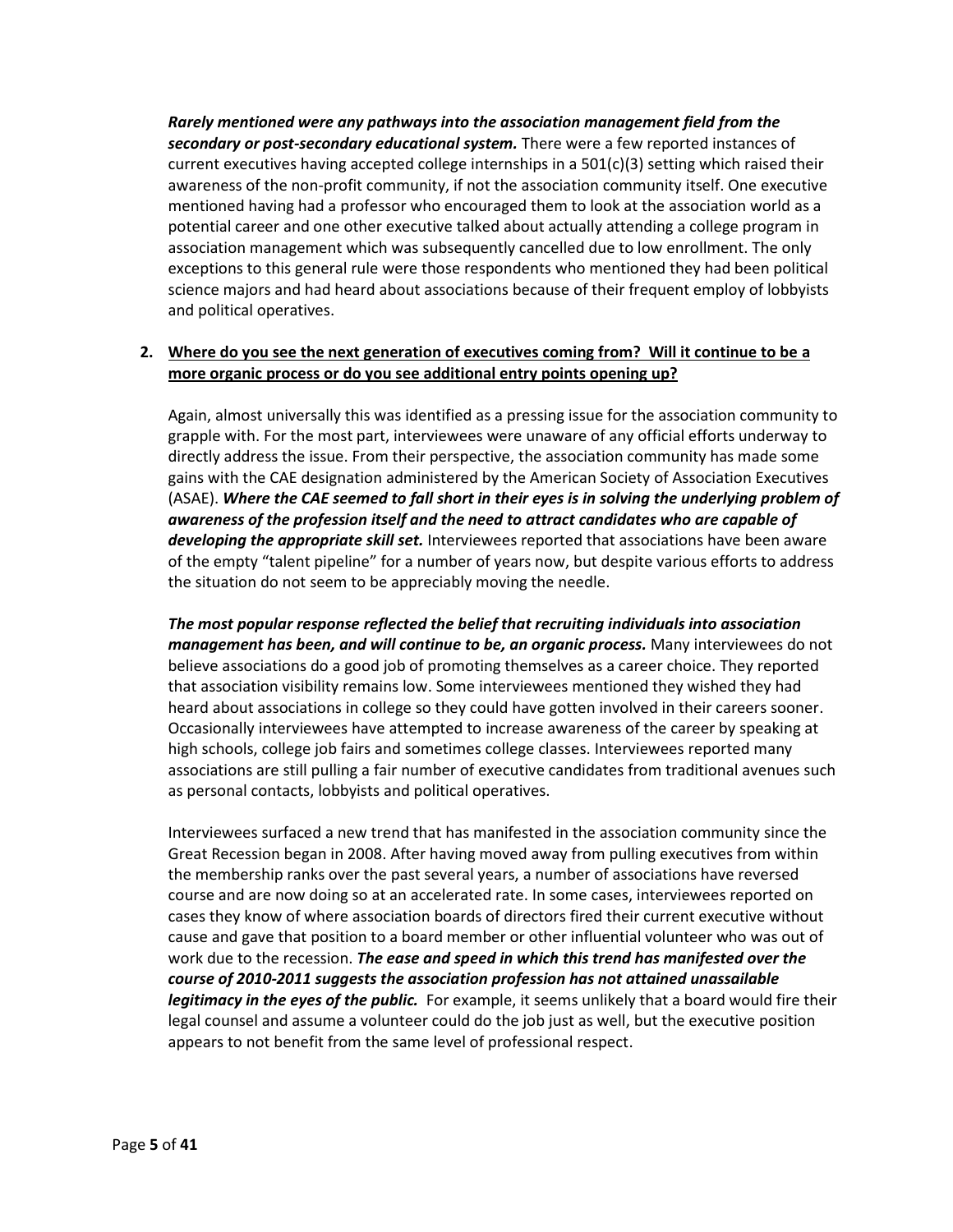*Rarely mentioned were any pathways into the association management field from the secondary or post-secondary educational system.* There were a few reported instances of current executives having accepted college internships in a  $501(c)(3)$  setting which raised their awareness of the non-profit community, if not the association community itself. One executive mentioned having had a professor who encouraged them to look at the association world as a potential career and one other executive talked about actually attending a college program in association management which was subsequently cancelled due to low enrollment. The only exceptions to this general rule were those respondents who mentioned they had been political science majors and had heard about associations because of their frequent employ of lobbyists and political operatives.

## **2. Where do you see the next generation of executives coming from? Will it continue to be a more organic process or do you see additional entry points opening up?**

Again, almost universally this was identified as a pressing issue for the association community to grapple with. For the most part, interviewees were unaware of any official efforts underway to directly address the issue. From their perspective, the association community has made some gains with the CAE designation administered by the American Society of Association Executives (ASAE). *Where the CAE seemed to fall short in their eyes is in solving the underlying problem of awareness of the profession itself and the need to attract candidates who are capable of developing the appropriate skill set.* Interviewees reported that associations have been aware of the empty "talent pipeline" for a number of years now, but despite various efforts to address the situation do not seem to be appreciably moving the needle.

*The most popular response reflected the belief that recruiting individuals into association management has been, and will continue to be, an organic process.* Many interviewees do not believe associations do a good job of promoting themselves as a career choice. They reported that association visibility remains low. Some interviewees mentioned they wished they had heard about associations in college so they could have gotten involved in their careers sooner. Occasionally interviewees have attempted to increase awareness of the career by speaking at high schools, college job fairs and sometimes college classes. Interviewees reported many associations are still pulling a fair number of executive candidates from traditional avenues such as personal contacts, lobbyists and political operatives.

Interviewees surfaced a new trend that has manifested in the association community since the Great Recession began in 2008. After having moved away from pulling executives from within the membership ranks over the past several years, a number of associations have reversed course and are now doing so at an accelerated rate. In some cases, interviewees reported on cases they know of where association boards of directors fired their current executive without cause and gave that position to a board member or other influential volunteer who was out of work due to the recession. *The ease and speed in which this trend has manifested over the course of 2010-2011 suggests the association profession has not attained unassailable legitimacy in the eyes of the public.* For example, it seems unlikely that a board would fire their legal counsel and assume a volunteer could do the job just as well, but the executive position appears to not benefit from the same level of professional respect.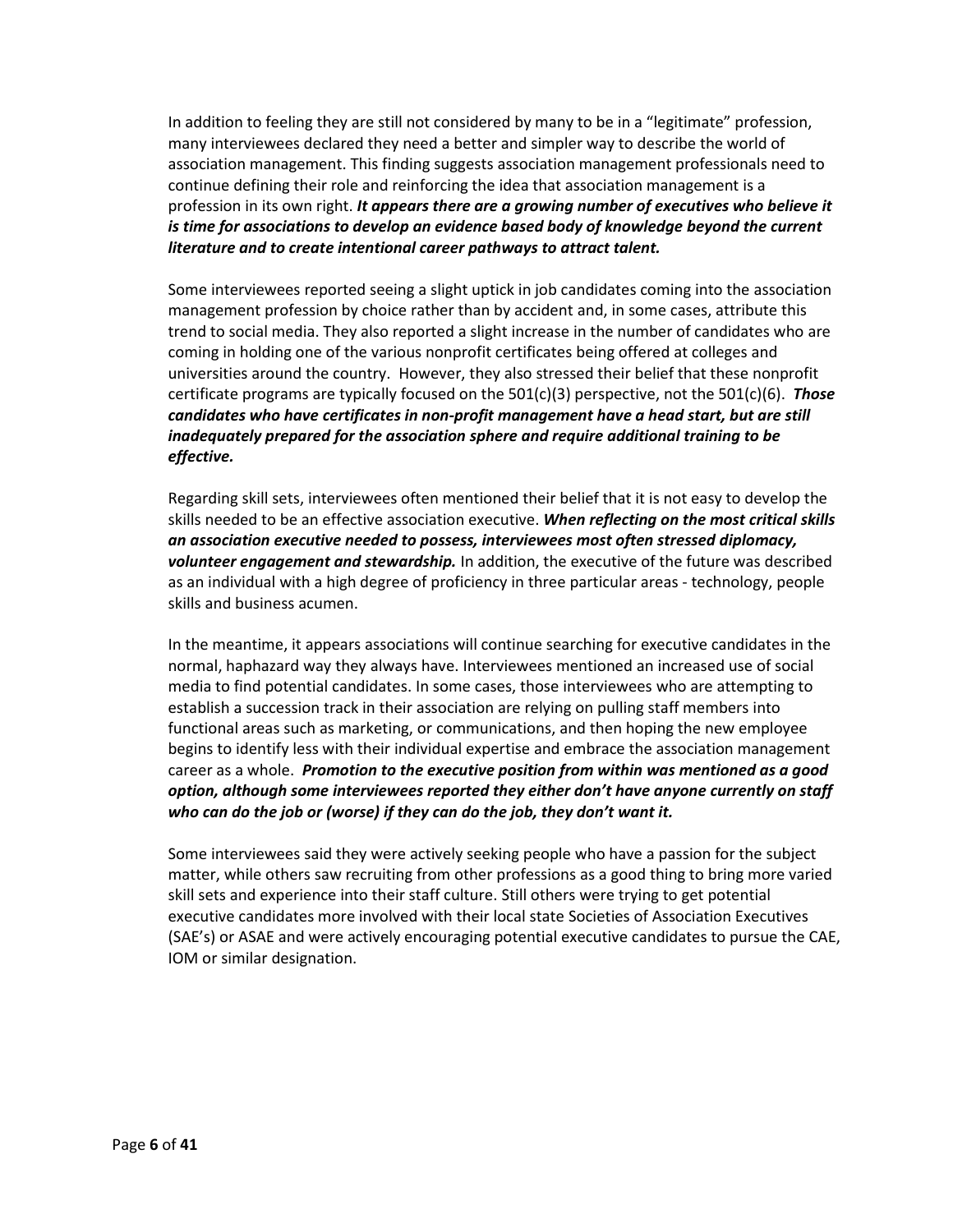In addition to feeling they are still not considered by many to be in a "legitimate" profession, many interviewees declared they need a better and simpler way to describe the world of association management. This finding suggests association management professionals need to continue defining their role and reinforcing the idea that association management is a profession in its own right. *It appears there are a growing number of executives who believe it is time for associations to develop an evidence based body of knowledge beyond the current literature and to create intentional career pathways to attract talent.*

Some interviewees reported seeing a slight uptick in job candidates coming into the association management profession by choice rather than by accident and, in some cases, attribute this trend to social media. They also reported a slight increase in the number of candidates who are coming in holding one of the various nonprofit certificates being offered at colleges and universities around the country. However, they also stressed their belief that these nonprofit certificate programs are typically focused on the 501(c)(3) perspective, not the 501(c)(6). *Those candidates who have certificates in non-profit management have a head start, but are still inadequately prepared for the association sphere and require additional training to be effective.*

Regarding skill sets, interviewees often mentioned their belief that it is not easy to develop the skills needed to be an effective association executive. *When reflecting on the most critical skills an association executive needed to possess, interviewees most often stressed diplomacy, volunteer engagement and stewardship.* In addition, the executive of the future was described as an individual with a high degree of proficiency in three particular areas - technology, people skills and business acumen.

In the meantime, it appears associations will continue searching for executive candidates in the normal, haphazard way they always have. Interviewees mentioned an increased use of social media to find potential candidates. In some cases, those interviewees who are attempting to establish a succession track in their association are relying on pulling staff members into functional areas such as marketing, or communications, and then hoping the new employee begins to identify less with their individual expertise and embrace the association management career as a whole. *Promotion to the executive position from within was mentioned as a good option, although some interviewees reported they either don't have anyone currently on staff who can do the job or (worse) if they can do the job, they don't want it.*

Some interviewees said they were actively seeking people who have a passion for the subject matter, while others saw recruiting from other professions as a good thing to bring more varied skill sets and experience into their staff culture. Still others were trying to get potential executive candidates more involved with their local state Societies of Association Executives (SAE's) or ASAE and were actively encouraging potential executive candidates to pursue the CAE, IOM or similar designation.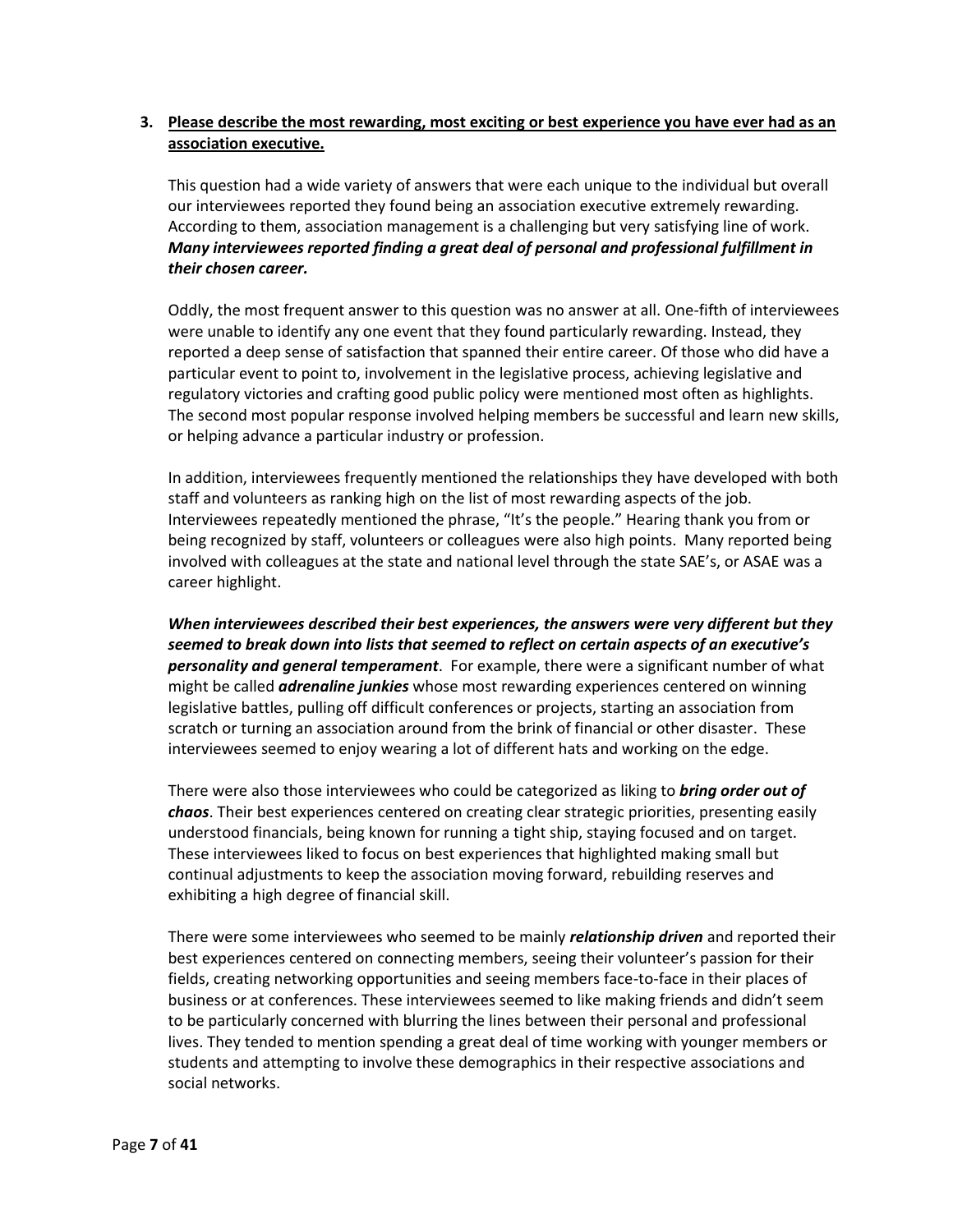## **3. Please describe the most rewarding, most exciting or best experience you have ever had as an association executive.**

This question had a wide variety of answers that were each unique to the individual but overall our interviewees reported they found being an association executive extremely rewarding. According to them, association management is a challenging but very satisfying line of work. *Many interviewees reported finding a great deal of personal and professional fulfillment in their chosen career.*

Oddly, the most frequent answer to this question was no answer at all. One-fifth of interviewees were unable to identify any one event that they found particularly rewarding. Instead, they reported a deep sense of satisfaction that spanned their entire career. Of those who did have a particular event to point to, involvement in the legislative process, achieving legislative and regulatory victories and crafting good public policy were mentioned most often as highlights. The second most popular response involved helping members be successful and learn new skills, or helping advance a particular industry or profession.

In addition, interviewees frequently mentioned the relationships they have developed with both staff and volunteers as ranking high on the list of most rewarding aspects of the job. Interviewees repeatedly mentioned the phrase, "It's the people." Hearing thank you from or being recognized by staff, volunteers or colleagues were also high points. Many reported being involved with colleagues at the state and national level through the state SAE's, or ASAE was a career highlight.

*When interviewees described their best experiences, the answers were very different but they seemed to break down into lists that seemed to reflect on certain aspects of an executive's personality and general temperament*. For example, there were a significant number of what might be called *adrenaline junkies* whose most rewarding experiences centered on winning legislative battles, pulling off difficult conferences or projects, starting an association from scratch or turning an association around from the brink of financial or other disaster. These interviewees seemed to enjoy wearing a lot of different hats and working on the edge.

There were also those interviewees who could be categorized as liking to *bring order out of chaos*. Their best experiences centered on creating clear strategic priorities, presenting easily understood financials, being known for running a tight ship, staying focused and on target. These interviewees liked to focus on best experiences that highlighted making small but continual adjustments to keep the association moving forward, rebuilding reserves and exhibiting a high degree of financial skill.

There were some interviewees who seemed to be mainly *relationship driven* and reported their best experiences centered on connecting members, seeing their volunteer's passion for their fields, creating networking opportunities and seeing members face-to-face in their places of business or at conferences. These interviewees seemed to like making friends and didn't seem to be particularly concerned with blurring the lines between their personal and professional lives. They tended to mention spending a great deal of time working with younger members or students and attempting to involve these demographics in their respective associations and social networks.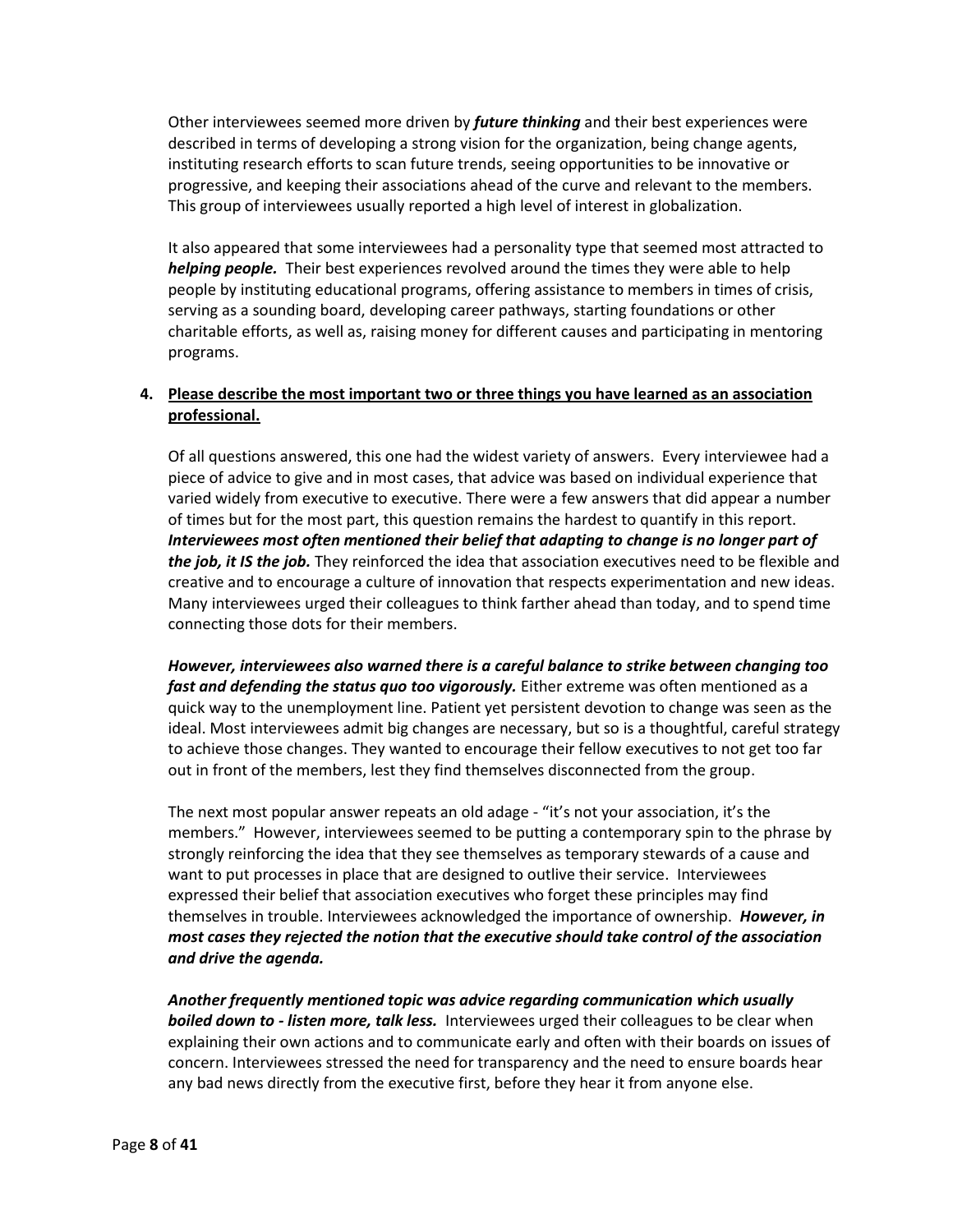Other interviewees seemed more driven by *future thinking* and their best experiences were described in terms of developing a strong vision for the organization, being change agents, instituting research efforts to scan future trends, seeing opportunities to be innovative or progressive, and keeping their associations ahead of the curve and relevant to the members. This group of interviewees usually reported a high level of interest in globalization.

It also appeared that some interviewees had a personality type that seemed most attracted to *helping people.* Their best experiences revolved around the times they were able to help people by instituting educational programs, offering assistance to members in times of crisis, serving as a sounding board, developing career pathways, starting foundations or other charitable efforts, as well as, raising money for different causes and participating in mentoring programs.

## **4. Please describe the most important two or three things you have learned as an association professional.**

Of all questions answered, this one had the widest variety of answers. Every interviewee had a piece of advice to give and in most cases, that advice was based on individual experience that varied widely from executive to executive. There were a few answers that did appear a number of times but for the most part, this question remains the hardest to quantify in this report. *Interviewees most often mentioned their belief that adapting to change is no longer part of the job, it IS the job.* They reinforced the idea that association executives need to be flexible and creative and to encourage a culture of innovation that respects experimentation and new ideas. Many interviewees urged their colleagues to think farther ahead than today, and to spend time connecting those dots for their members.

*However, interviewees also warned there is a careful balance to strike between changing too fast and defending the status quo too vigorously.* Either extreme was often mentioned as a quick way to the unemployment line. Patient yet persistent devotion to change was seen as the ideal. Most interviewees admit big changes are necessary, but so is a thoughtful, careful strategy to achieve those changes. They wanted to encourage their fellow executives to not get too far out in front of the members, lest they find themselves disconnected from the group.

The next most popular answer repeats an old adage - "it's not your association, it's the members." However, interviewees seemed to be putting a contemporary spin to the phrase by strongly reinforcing the idea that they see themselves as temporary stewards of a cause and want to put processes in place that are designed to outlive their service. Interviewees expressed their belief that association executives who forget these principles may find themselves in trouble. Interviewees acknowledged the importance of ownership. *However, in most cases they rejected the notion that the executive should take control of the association and drive the agenda.*

*Another frequently mentioned topic was advice regarding communication which usually boiled down to - listen more, talk less.* Interviewees urged their colleagues to be clear when explaining their own actions and to communicate early and often with their boards on issues of concern. Interviewees stressed the need for transparency and the need to ensure boards hear any bad news directly from the executive first, before they hear it from anyone else.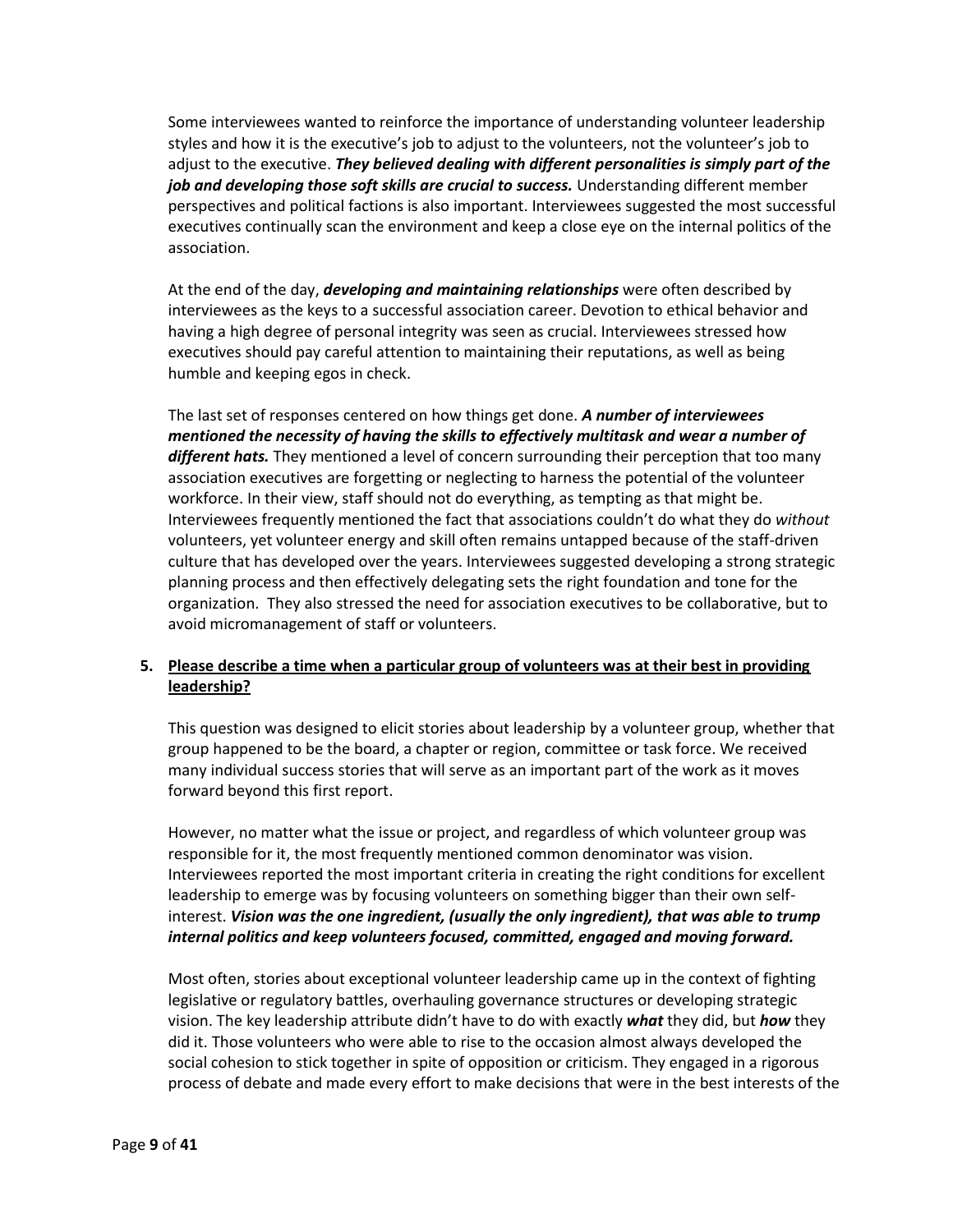Some interviewees wanted to reinforce the importance of understanding volunteer leadership styles and how it is the executive's job to adjust to the volunteers, not the volunteer's job to adjust to the executive. *They believed dealing with different personalities is simply part of the job and developing those soft skills are crucial to success.* Understanding different member perspectives and political factions is also important. Interviewees suggested the most successful executives continually scan the environment and keep a close eye on the internal politics of the association.

At the end of the day, *developing and maintaining relationships* were often described by interviewees as the keys to a successful association career. Devotion to ethical behavior and having a high degree of personal integrity was seen as crucial. Interviewees stressed how executives should pay careful attention to maintaining their reputations, as well as being humble and keeping egos in check.

The last set of responses centered on how things get done. *A number of interviewees mentioned the necessity of having the skills to effectively multitask and wear a number of different hats.* They mentioned a level of concern surrounding their perception that too many association executives are forgetting or neglecting to harness the potential of the volunteer workforce. In their view, staff should not do everything, as tempting as that might be. Interviewees frequently mentioned the fact that associations couldn't do what they do *without* volunteers, yet volunteer energy and skill often remains untapped because of the staff-driven culture that has developed over the years. Interviewees suggested developing a strong strategic planning process and then effectively delegating sets the right foundation and tone for the organization. They also stressed the need for association executives to be collaborative, but to avoid micromanagement of staff or volunteers.

# **5. Please describe a time when a particular group of volunteers was at their best in providing leadership?**

This question was designed to elicit stories about leadership by a volunteer group, whether that group happened to be the board, a chapter or region, committee or task force. We received many individual success stories that will serve as an important part of the work as it moves forward beyond this first report.

However, no matter what the issue or project, and regardless of which volunteer group was responsible for it, the most frequently mentioned common denominator was vision. Interviewees reported the most important criteria in creating the right conditions for excellent leadership to emerge was by focusing volunteers on something bigger than their own selfinterest. *Vision was the one ingredient, (usually the only ingredient), that was able to trump internal politics and keep volunteers focused, committed, engaged and moving forward.*

Most often, stories about exceptional volunteer leadership came up in the context of fighting legislative or regulatory battles, overhauling governance structures or developing strategic vision. The key leadership attribute didn't have to do with exactly *what* they did, but *how* they did it. Those volunteers who were able to rise to the occasion almost always developed the social cohesion to stick together in spite of opposition or criticism. They engaged in a rigorous process of debate and made every effort to make decisions that were in the best interests of the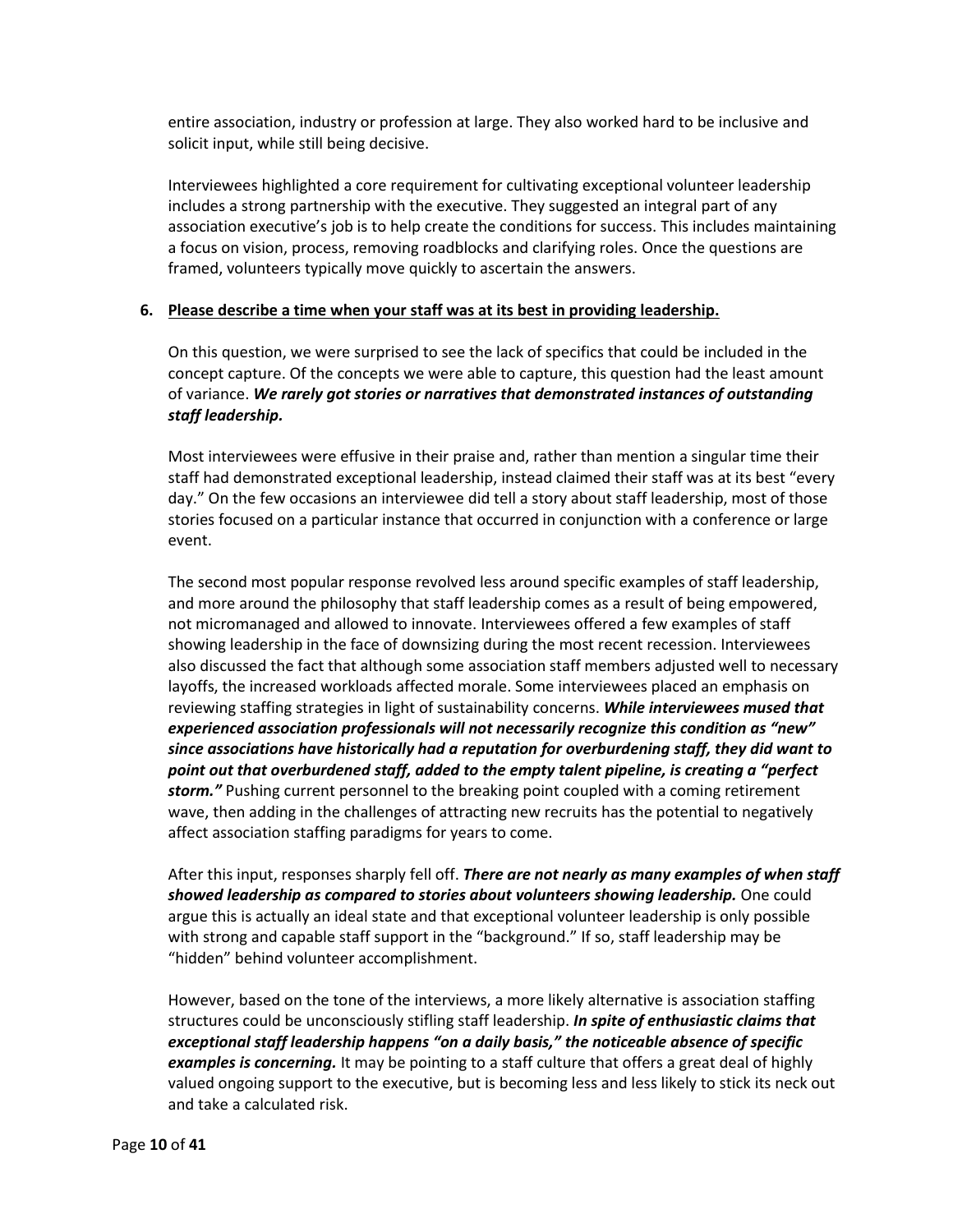entire association, industry or profession at large. They also worked hard to be inclusive and solicit input, while still being decisive.

Interviewees highlighted a core requirement for cultivating exceptional volunteer leadership includes a strong partnership with the executive. They suggested an integral part of any association executive's job is to help create the conditions for success. This includes maintaining a focus on vision, process, removing roadblocks and clarifying roles. Once the questions are framed, volunteers typically move quickly to ascertain the answers.

#### **6. Please describe a time when your staff was at its best in providing leadership.**

On this question, we were surprised to see the lack of specifics that could be included in the concept capture. Of the concepts we were able to capture, this question had the least amount of variance. *We rarely got stories or narratives that demonstrated instances of outstanding staff leadership.*

Most interviewees were effusive in their praise and, rather than mention a singular time their staff had demonstrated exceptional leadership, instead claimed their staff was at its best "every day." On the few occasions an interviewee did tell a story about staff leadership, most of those stories focused on a particular instance that occurred in conjunction with a conference or large event.

The second most popular response revolved less around specific examples of staff leadership, and more around the philosophy that staff leadership comes as a result of being empowered, not micromanaged and allowed to innovate. Interviewees offered a few examples of staff showing leadership in the face of downsizing during the most recent recession. Interviewees also discussed the fact that although some association staff members adjusted well to necessary layoffs, the increased workloads affected morale. Some interviewees placed an emphasis on reviewing staffing strategies in light of sustainability concerns. *While interviewees mused that experienced association professionals will not necessarily recognize this condition as "new" since associations have historically had a reputation for overburdening staff, they did want to point out that overburdened staff, added to the empty talent pipeline, is creating a "perfect storm."* Pushing current personnel to the breaking point coupled with a coming retirement wave, then adding in the challenges of attracting new recruits has the potential to negatively affect association staffing paradigms for years to come.

After this input, responses sharply fell off. *There are not nearly as many examples of when staff showed leadership as compared to stories about volunteers showing leadership.* One could argue this is actually an ideal state and that exceptional volunteer leadership is only possible with strong and capable staff support in the "background." If so, staff leadership may be "hidden" behind volunteer accomplishment.

However, based on the tone of the interviews, a more likely alternative is association staffing structures could be unconsciously stifling staff leadership. *In spite of enthusiastic claims that exceptional staff leadership happens "on a daily basis," the noticeable absence of specific examples is concerning.* It may be pointing to a staff culture that offers a great deal of highly valued ongoing support to the executive, but is becoming less and less likely to stick its neck out and take a calculated risk.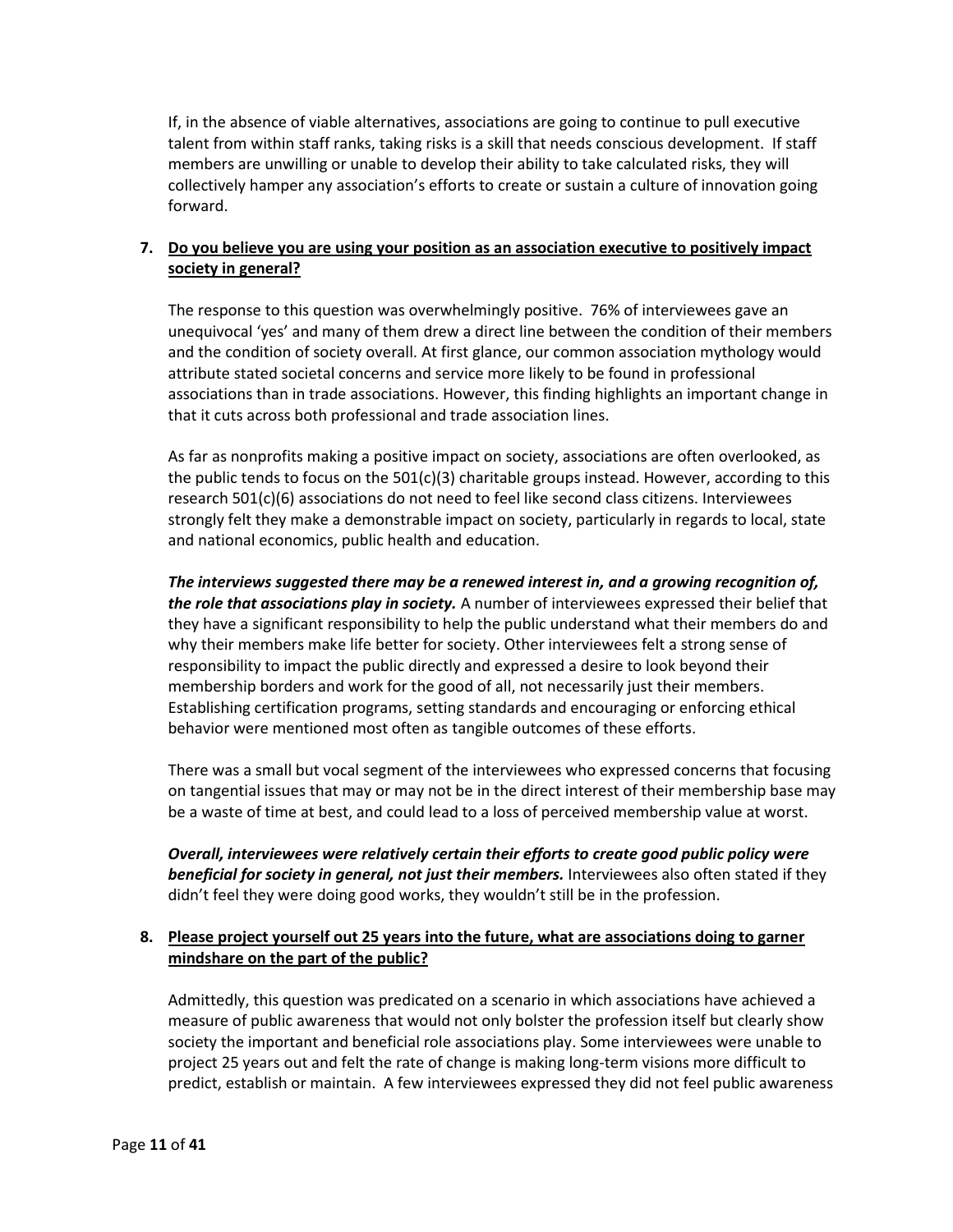If, in the absence of viable alternatives, associations are going to continue to pull executive talent from within staff ranks, taking risks is a skill that needs conscious development. If staff members are unwilling or unable to develop their ability to take calculated risks, they will collectively hamper any association's efforts to create or sustain a culture of innovation going forward.

# **7. Do you believe you are using your position as an association executive to positively impact society in general?**

The response to this question was overwhelmingly positive. 76% of interviewees gave an unequivocal 'yes' and many of them drew a direct line between the condition of their members and the condition of society overall. At first glance, our common association mythology would attribute stated societal concerns and service more likely to be found in professional associations than in trade associations. However, this finding highlights an important change in that it cuts across both professional and trade association lines.

As far as nonprofits making a positive impact on society, associations are often overlooked, as the public tends to focus on the  $501(c)(3)$  charitable groups instead. However, according to this research 501(c)(6) associations do not need to feel like second class citizens. Interviewees strongly felt they make a demonstrable impact on society, particularly in regards to local, state and national economics, public health and education.

*The interviews suggested there may be a renewed interest in, and a growing recognition of, the role that associations play in society.* A number of interviewees expressed their belief that they have a significant responsibility to help the public understand what their members do and why their members make life better for society. Other interviewees felt a strong sense of responsibility to impact the public directly and expressed a desire to look beyond their membership borders and work for the good of all, not necessarily just their members. Establishing certification programs, setting standards and encouraging or enforcing ethical behavior were mentioned most often as tangible outcomes of these efforts.

There was a small but vocal segment of the interviewees who expressed concerns that focusing on tangential issues that may or may not be in the direct interest of their membership base may be a waste of time at best, and could lead to a loss of perceived membership value at worst.

*Overall, interviewees were relatively certain their efforts to create good public policy were beneficial for society in general, not just their members.* Interviewees also often stated if they didn't feel they were doing good works, they wouldn't still be in the profession.

# **8. Please project yourself out 25 years into the future, what are associations doing to garner mindshare on the part of the public?**

Admittedly, this question was predicated on a scenario in which associations have achieved a measure of public awareness that would not only bolster the profession itself but clearly show society the important and beneficial role associations play. Some interviewees were unable to project 25 years out and felt the rate of change is making long-term visions more difficult to predict, establish or maintain. A few interviewees expressed they did not feel public awareness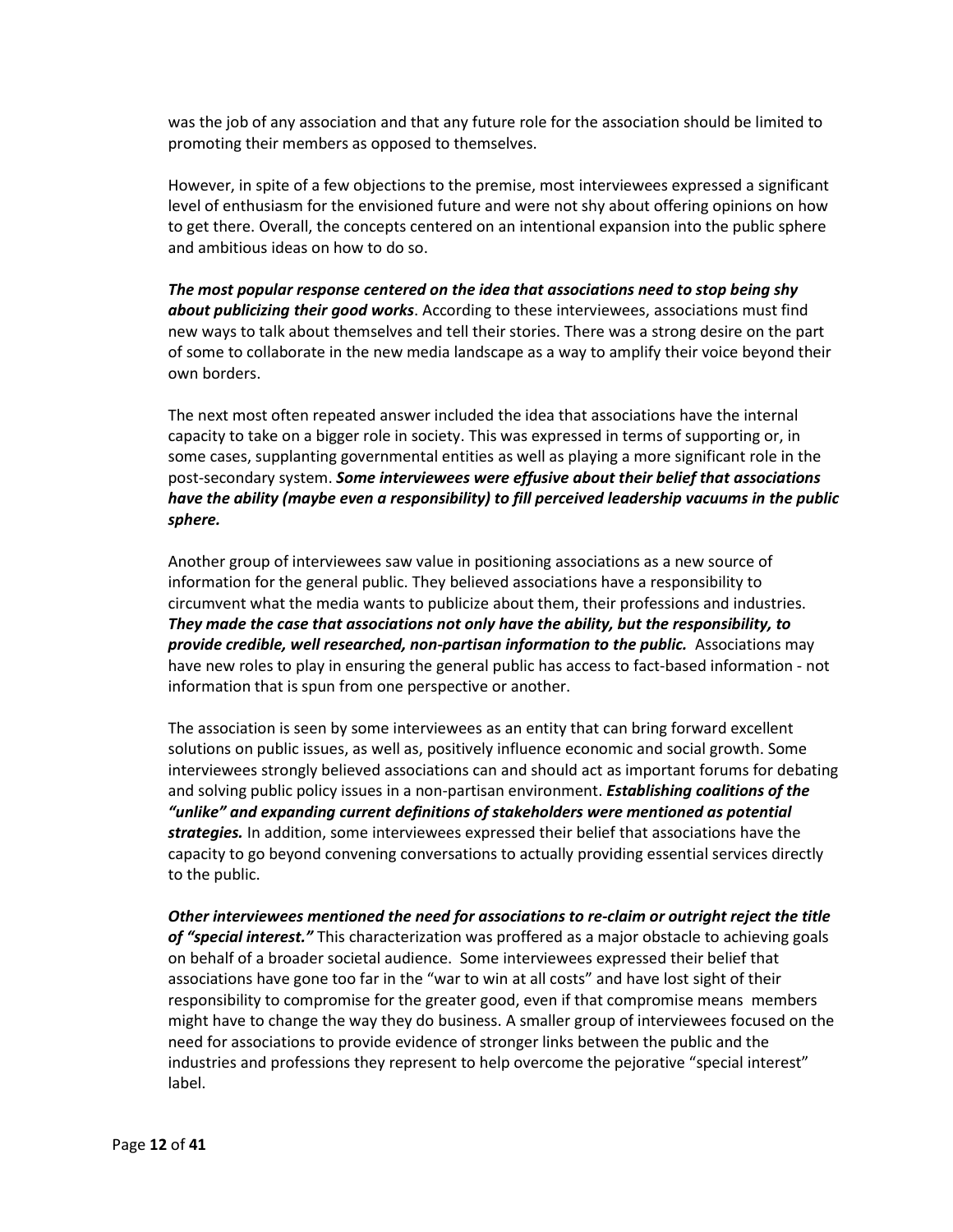was the job of any association and that any future role for the association should be limited to promoting their members as opposed to themselves.

However, in spite of a few objections to the premise, most interviewees expressed a significant level of enthusiasm for the envisioned future and were not shy about offering opinions on how to get there. Overall, the concepts centered on an intentional expansion into the public sphere and ambitious ideas on how to do so.

*The most popular response centered on the idea that associations need to stop being shy about publicizing their good works*. According to these interviewees, associations must find new ways to talk about themselves and tell their stories. There was a strong desire on the part of some to collaborate in the new media landscape as a way to amplify their voice beyond their own borders.

The next most often repeated answer included the idea that associations have the internal capacity to take on a bigger role in society. This was expressed in terms of supporting or, in some cases, supplanting governmental entities as well as playing a more significant role in the post-secondary system. *Some interviewees were effusive about their belief that associations have the ability (maybe even a responsibility) to fill perceived leadership vacuums in the public sphere.*

Another group of interviewees saw value in positioning associations as a new source of information for the general public. They believed associations have a responsibility to circumvent what the media wants to publicize about them, their professions and industries. *They made the case that associations not only have the ability, but the responsibility, to provide credible, well researched, non-partisan information to the public.* Associations may have new roles to play in ensuring the general public has access to fact-based information - not information that is spun from one perspective or another.

The association is seen by some interviewees as an entity that can bring forward excellent solutions on public issues, as well as, positively influence economic and social growth. Some interviewees strongly believed associations can and should act as important forums for debating and solving public policy issues in a non-partisan environment. *Establishing coalitions of the "unlike" and expanding current definitions of stakeholders were mentioned as potential strategies.* In addition, some interviewees expressed their belief that associations have the capacity to go beyond convening conversations to actually providing essential services directly to the public.

*Other interviewees mentioned the need for associations to re-claim or outright reject the title of "special interest."* This characterization was proffered as a major obstacle to achieving goals on behalf of a broader societal audience. Some interviewees expressed their belief that associations have gone too far in the "war to win at all costs" and have lost sight of their responsibility to compromise for the greater good, even if that compromise means members might have to change the way they do business. A smaller group of interviewees focused on the need for associations to provide evidence of stronger links between the public and the industries and professions they represent to help overcome the pejorative "special interest" label.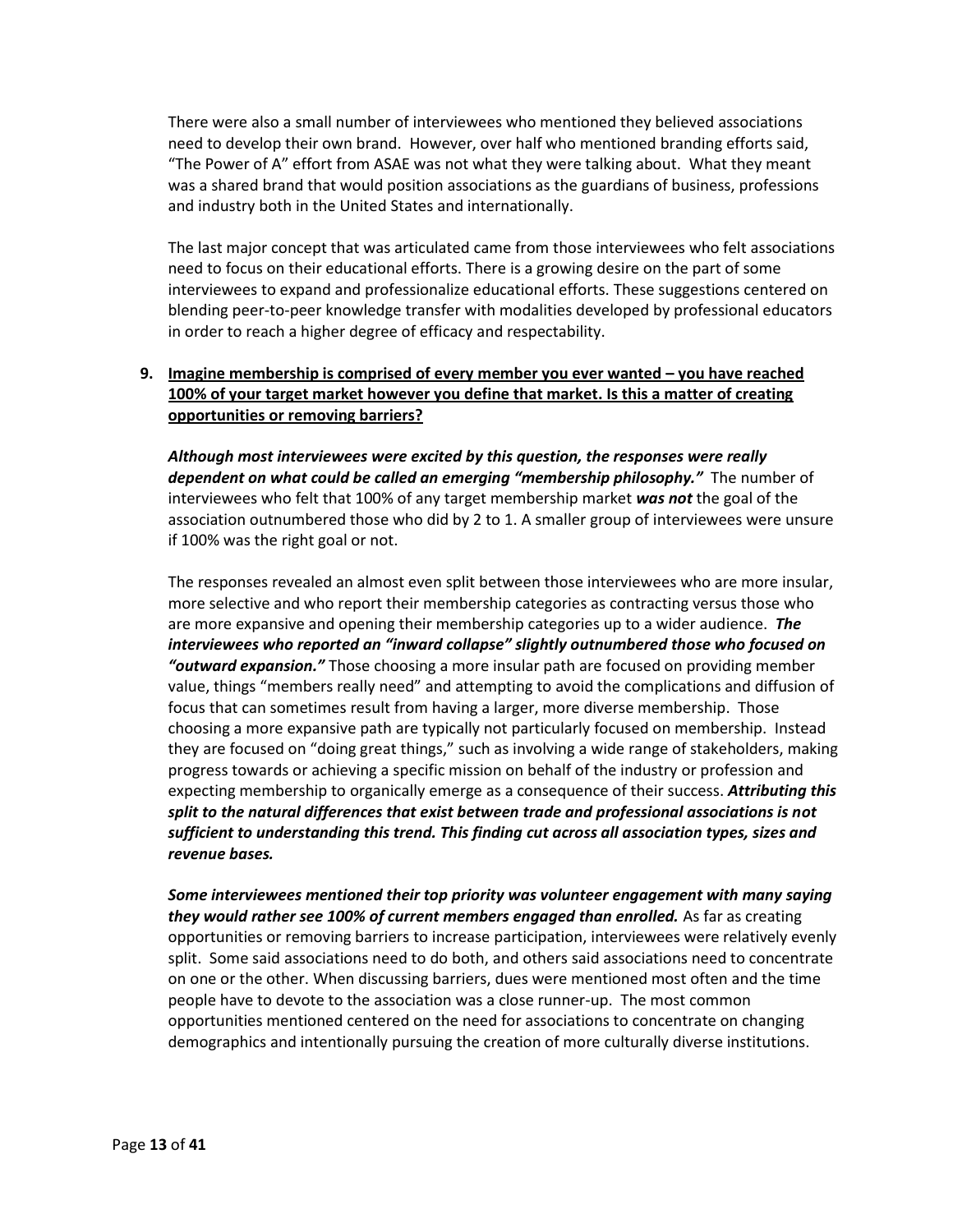There were also a small number of interviewees who mentioned they believed associations need to develop their own brand. However, over half who mentioned branding efforts said, "The Power of A" effort from ASAE was not what they were talking about. What they meant was a shared brand that would position associations as the guardians of business, professions and industry both in the United States and internationally.

The last major concept that was articulated came from those interviewees who felt associations need to focus on their educational efforts. There is a growing desire on the part of some interviewees to expand and professionalize educational efforts. These suggestions centered on blending peer-to-peer knowledge transfer with modalities developed by professional educators in order to reach a higher degree of efficacy and respectability.

# **9. Imagine membership is comprised of every member you ever wanted – you have reached 100% of your target market however you define that market. Is this a matter of creating opportunities or removing barriers?**

*Although most interviewees were excited by this question, the responses were really dependent on what could be called an emerging "membership philosophy."* The number of interviewees who felt that 100% of any target membership market *was not* the goal of the association outnumbered those who did by 2 to 1. A smaller group of interviewees were unsure if 100% was the right goal or not.

The responses revealed an almost even split between those interviewees who are more insular, more selective and who report their membership categories as contracting versus those who are more expansive and opening their membership categories up to a wider audience. *The interviewees who reported an "inward collapse" slightly outnumbered those who focused on "outward expansion."* Those choosing a more insular path are focused on providing member value, things "members really need" and attempting to avoid the complications and diffusion of focus that can sometimes result from having a larger, more diverse membership. Those choosing a more expansive path are typically not particularly focused on membership. Instead they are focused on "doing great things," such as involving a wide range of stakeholders, making progress towards or achieving a specific mission on behalf of the industry or profession and expecting membership to organically emerge as a consequence of their success. *Attributing this*  split to the natural differences that exist between trade and professional associations is not *sufficient to understanding this trend. This finding cut across all association types, sizes and revenue bases.*

*Some interviewees mentioned their top priority was volunteer engagement with many saying they would rather see 100% of current members engaged than enrolled.* As far as creating opportunities or removing barriers to increase participation, interviewees were relatively evenly split. Some said associations need to do both, and others said associations need to concentrate on one or the other. When discussing barriers, dues were mentioned most often and the time people have to devote to the association was a close runner-up. The most common opportunities mentioned centered on the need for associations to concentrate on changing demographics and intentionally pursuing the creation of more culturally diverse institutions.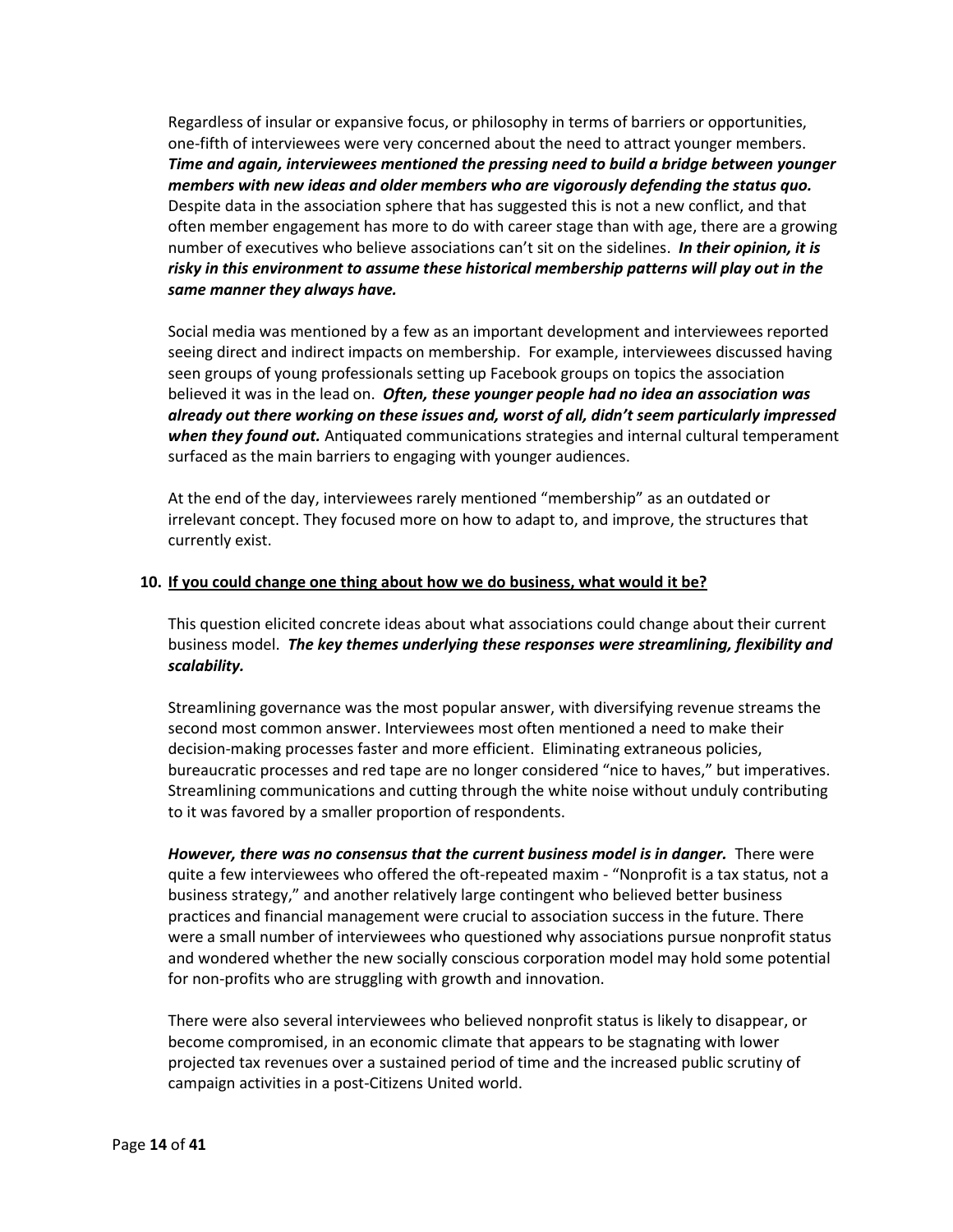Regardless of insular or expansive focus, or philosophy in terms of barriers or opportunities, one-fifth of interviewees were very concerned about the need to attract younger members. *Time and again, interviewees mentioned the pressing need to build a bridge between younger members with new ideas and older members who are vigorously defending the status quo.* Despite data in the association sphere that has suggested this is not a new conflict, and that often member engagement has more to do with career stage than with age, there are a growing number of executives who believe associations can't sit on the sidelines. *In their opinion, it is risky in this environment to assume these historical membership patterns will play out in the same manner they always have.*

Social media was mentioned by a few as an important development and interviewees reported seeing direct and indirect impacts on membership. For example, interviewees discussed having seen groups of young professionals setting up Facebook groups on topics the association believed it was in the lead on. *Often, these younger people had no idea an association was already out there working on these issues and, worst of all, didn't seem particularly impressed when they found out.* Antiquated communications strategies and internal cultural temperament surfaced as the main barriers to engaging with younger audiences.

At the end of the day, interviewees rarely mentioned "membership" as an outdated or irrelevant concept. They focused more on how to adapt to, and improve, the structures that currently exist.

#### **10. If you could change one thing about how we do business, what would it be?**

This question elicited concrete ideas about what associations could change about their current business model. *The key themes underlying these responses were streamlining, flexibility and scalability.*

Streamlining governance was the most popular answer, with diversifying revenue streams the second most common answer. Interviewees most often mentioned a need to make their decision-making processes faster and more efficient. Eliminating extraneous policies, bureaucratic processes and red tape are no longer considered "nice to haves," but imperatives. Streamlining communications and cutting through the white noise without unduly contributing to it was favored by a smaller proportion of respondents.

*However, there was no consensus that the current business model is in danger.* There were quite a few interviewees who offered the oft-repeated maxim - "Nonprofit is a tax status, not a business strategy," and another relatively large contingent who believed better business practices and financial management were crucial to association success in the future. There were a small number of interviewees who questioned why associations pursue nonprofit status and wondered whether the new socially conscious corporation model may hold some potential for non-profits who are struggling with growth and innovation.

There were also several interviewees who believed nonprofit status is likely to disappear, or become compromised, in an economic climate that appears to be stagnating with lower projected tax revenues over a sustained period of time and the increased public scrutiny of campaign activities in a post-Citizens United world.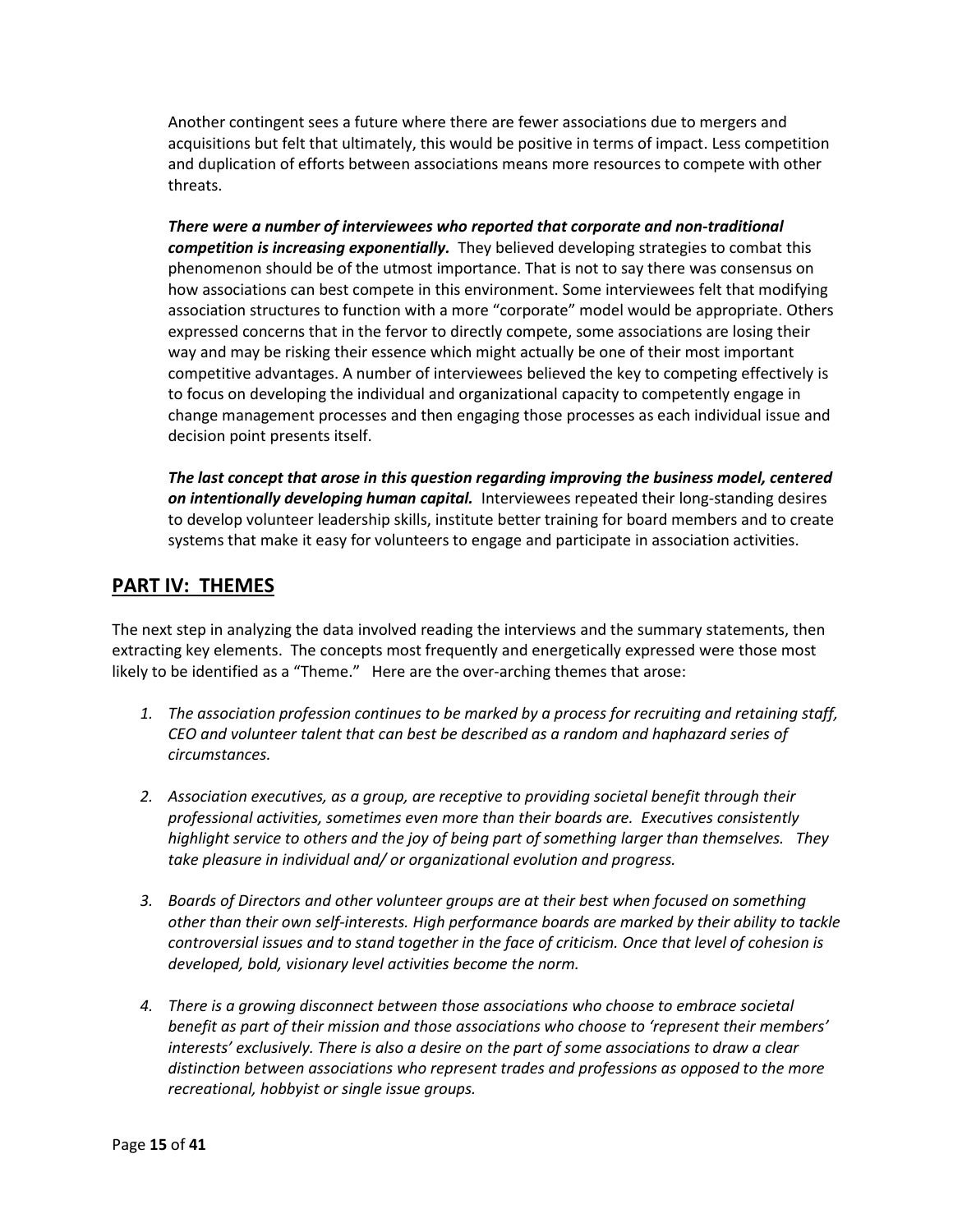Another contingent sees a future where there are fewer associations due to mergers and acquisitions but felt that ultimately, this would be positive in terms of impact. Less competition and duplication of efforts between associations means more resources to compete with other threats.

*There were a number of interviewees who reported that corporate and non-traditional competition is increasing exponentially.* They believed developing strategies to combat this phenomenon should be of the utmost importance. That is not to say there was consensus on how associations can best compete in this environment. Some interviewees felt that modifying association structures to function with a more "corporate" model would be appropriate. Others expressed concerns that in the fervor to directly compete, some associations are losing their way and may be risking their essence which might actually be one of their most important competitive advantages. A number of interviewees believed the key to competing effectively is to focus on developing the individual and organizational capacity to competently engage in change management processes and then engaging those processes as each individual issue and decision point presents itself.

*The last concept that arose in this question regarding improving the business model, centered on intentionally developing human capital.* Interviewees repeated their long-standing desires to develop volunteer leadership skills, institute better training for board members and to create systems that make it easy for volunteers to engage and participate in association activities.

# **PART IV: THEMES**

The next step in analyzing the data involved reading the interviews and the summary statements, then extracting key elements. The concepts most frequently and energetically expressed were those most likely to be identified as a "Theme." Here are the over-arching themes that arose:

- *1. The association profession continues to be marked by a process for recruiting and retaining staff, CEO and volunteer talent that can best be described as a random and haphazard series of circumstances.*
- *2. Association executives, as a group, are receptive to providing societal benefit through their professional activities, sometimes even more than their boards are. Executives consistently highlight service to others and the joy of being part of something larger than themselves. They take pleasure in individual and/ or organizational evolution and progress.*
- *3. Boards of Directors and other volunteer groups are at their best when focused on something other than their own self-interests. High performance boards are marked by their ability to tackle controversial issues and to stand together in the face of criticism. Once that level of cohesion is developed, bold, visionary level activities become the norm.*
- *4. There is a growing disconnect between those associations who choose to embrace societal benefit as part of their mission and those associations who choose to 'represent their members' interests' exclusively. There is also a desire on the part of some associations to draw a clear distinction between associations who represent trades and professions as opposed to the more recreational, hobbyist or single issue groups.*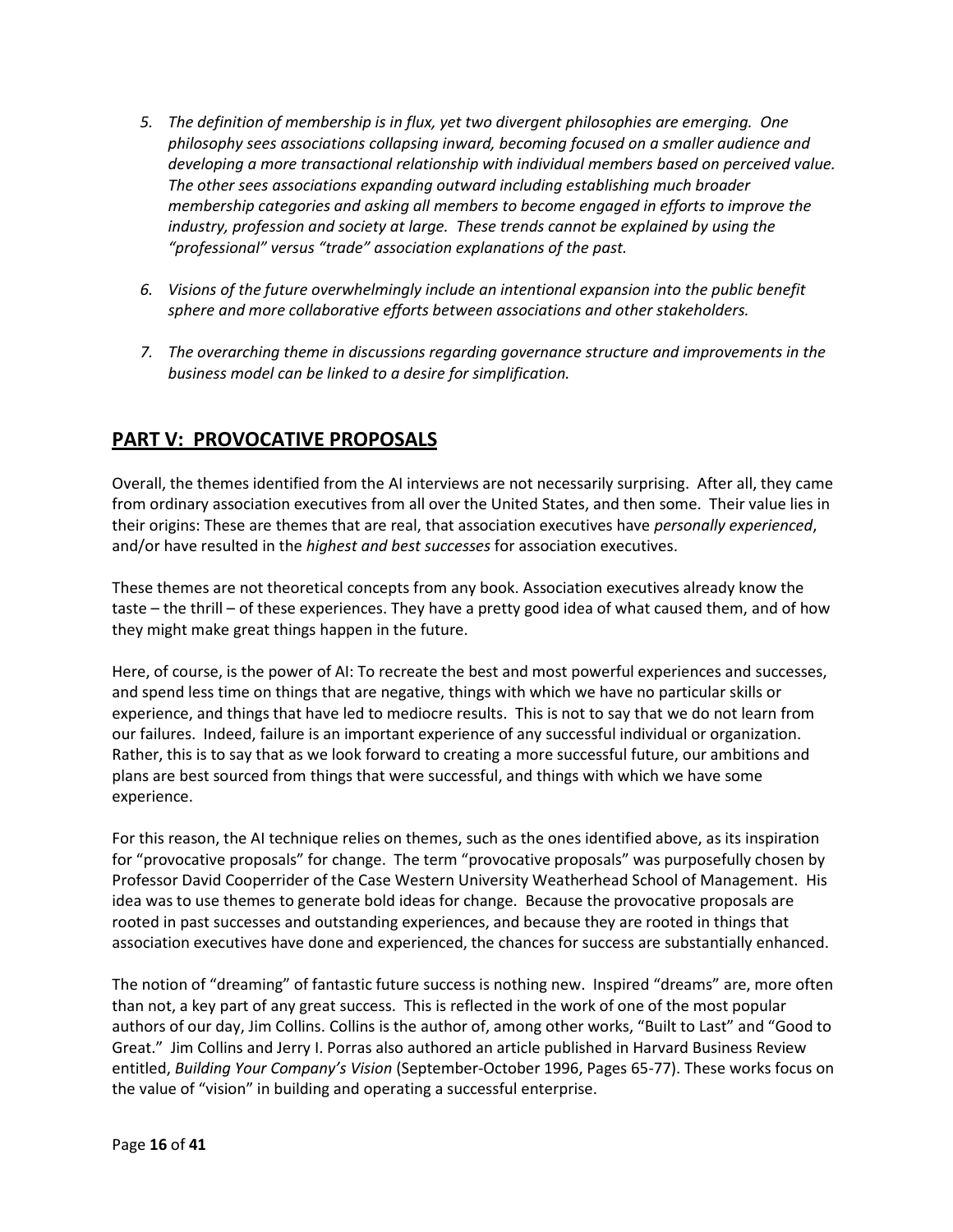- *5. The definition of membership is in flux, yet two divergent philosophies are emerging. One philosophy sees associations collapsing inward, becoming focused on a smaller audience and developing a more transactional relationship with individual members based on perceived value. The other sees associations expanding outward including establishing much broader membership categories and asking all members to become engaged in efforts to improve the industry, profession and society at large. These trends cannot be explained by using the "professional" versus "trade" association explanations of the past.*
- *6. Visions of the future overwhelmingly include an intentional expansion into the public benefit sphere and more collaborative efforts between associations and other stakeholders.*
- *7. The overarching theme in discussions regarding governance structure and improvements in the business model can be linked to a desire for simplification.*

# **PART V: PROVOCATIVE PROPOSALS**

Overall, the themes identified from the AI interviews are not necessarily surprising. After all, they came from ordinary association executives from all over the United States, and then some. Their value lies in their origins: These are themes that are real, that association executives have *personally experienced*, and/or have resulted in the *highest and best successes* for association executives.

These themes are not theoretical concepts from any book. Association executives already know the taste – the thrill – of these experiences. They have a pretty good idea of what caused them, and of how they might make great things happen in the future.

Here, of course, is the power of AI: To recreate the best and most powerful experiences and successes, and spend less time on things that are negative, things with which we have no particular skills or experience, and things that have led to mediocre results. This is not to say that we do not learn from our failures. Indeed, failure is an important experience of any successful individual or organization. Rather, this is to say that as we look forward to creating a more successful future, our ambitions and plans are best sourced from things that were successful, and things with which we have some experience.

For this reason, the AI technique relies on themes, such as the ones identified above, as its inspiration for "provocative proposals" for change. The term "provocative proposals" was purposefully chosen by Professor David Cooperrider of the Case Western University Weatherhead School of Management. His idea was to use themes to generate bold ideas for change. Because the provocative proposals are rooted in past successes and outstanding experiences, and because they are rooted in things that association executives have done and experienced, the chances for success are substantially enhanced.

The notion of "dreaming" of fantastic future success is nothing new. Inspired "dreams" are, more often than not, a key part of any great success. This is reflected in the work of one of the most popular authors of our day, Jim Collins. Collins is the author of, among other works, "Built to Last" and "Good to Great." Jim Collins and Jerry I. Porras also authored an article published in Harvard Business Review entitled, *Building Your Company's Vision* (September-October 1996, Pages 65-77). These works focus on the value of "vision" in building and operating a successful enterprise.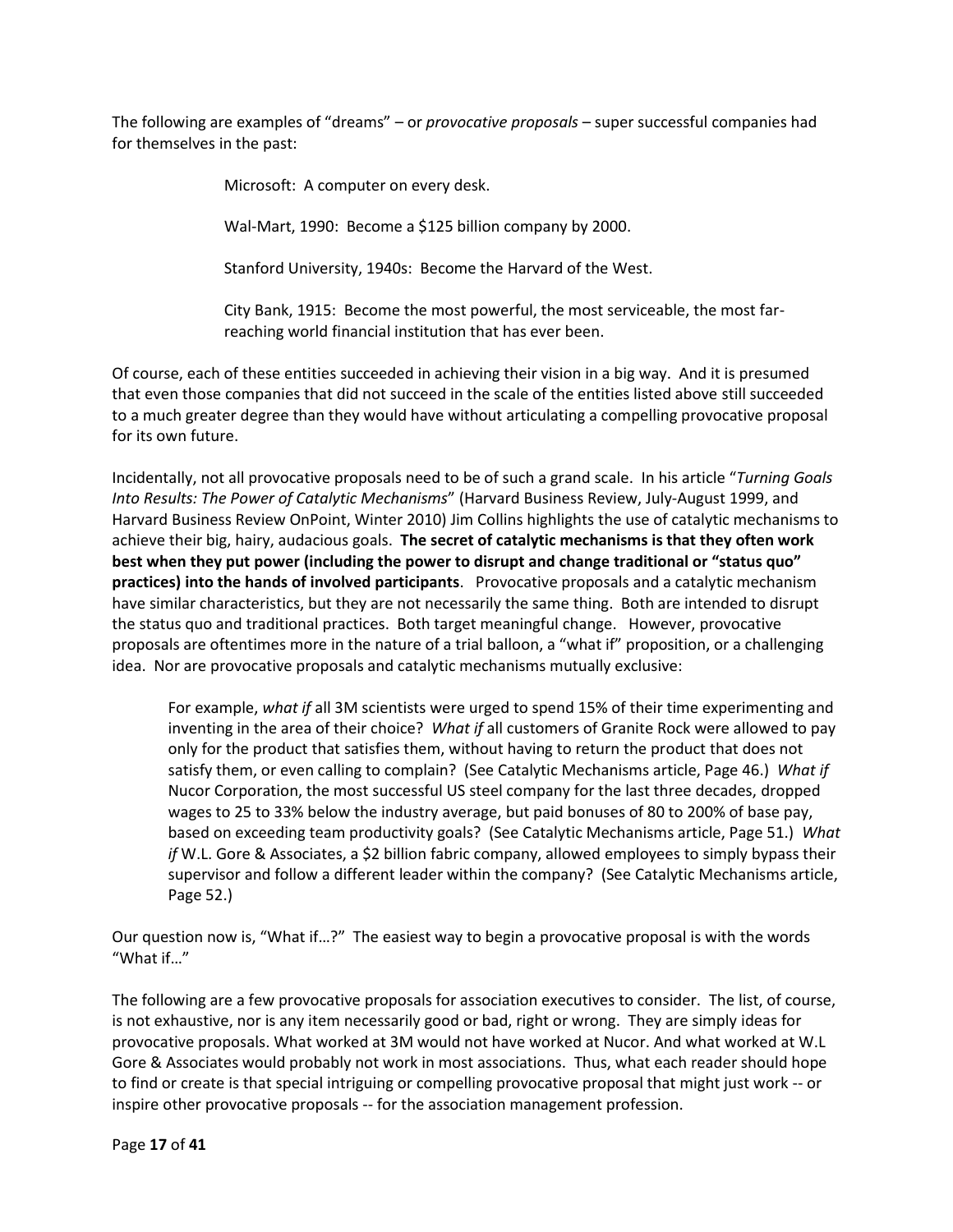The following are examples of "dreams" – or *provocative proposals* – super successful companies had for themselves in the past:

Microsoft: A computer on every desk.

Wal-Mart, 1990: Become a \$125 billion company by 2000.

Stanford University, 1940s: Become the Harvard of the West.

City Bank, 1915: Become the most powerful, the most serviceable, the most farreaching world financial institution that has ever been.

Of course, each of these entities succeeded in achieving their vision in a big way. And it is presumed that even those companies that did not succeed in the scale of the entities listed above still succeeded to a much greater degree than they would have without articulating a compelling provocative proposal for its own future.

Incidentally, not all provocative proposals need to be of such a grand scale. In his article "*Turning Goals Into Results: The Power of Catalytic Mechanisms*" (Harvard Business Review, July-August 1999, and Harvard Business Review OnPoint, Winter 2010) Jim Collins highlights the use of catalytic mechanisms to achieve their big, hairy, audacious goals. **The secret of catalytic mechanisms is that they often work best when they put power (including the power to disrupt and change traditional or "status quo" practices) into the hands of involved participants**. Provocative proposals and a catalytic mechanism have similar characteristics, but they are not necessarily the same thing. Both are intended to disrupt the status quo and traditional practices. Both target meaningful change. However, provocative proposals are oftentimes more in the nature of a trial balloon, a "what if" proposition, or a challenging idea. Nor are provocative proposals and catalytic mechanisms mutually exclusive:

For example, *what if* all 3M scientists were urged to spend 15% of their time experimenting and inventing in the area of their choice? *What if* all customers of Granite Rock were allowed to pay only for the product that satisfies them, without having to return the product that does not satisfy them, or even calling to complain? (See Catalytic Mechanisms article, Page 46.) *What if* Nucor Corporation, the most successful US steel company for the last three decades, dropped wages to 25 to 33% below the industry average, but paid bonuses of 80 to 200% of base pay, based on exceeding team productivity goals? (See Catalytic Mechanisms article, Page 51.) *What if* W.L. Gore & Associates, a \$2 billion fabric company, allowed employees to simply bypass their supervisor and follow a different leader within the company? (See Catalytic Mechanisms article, Page 52.)

Our question now is, "What if…?" The easiest way to begin a provocative proposal is with the words "What if…"

The following are a few provocative proposals for association executives to consider. The list, of course, is not exhaustive, nor is any item necessarily good or bad, right or wrong. They are simply ideas for provocative proposals. What worked at 3M would not have worked at Nucor. And what worked at W.L Gore & Associates would probably not work in most associations. Thus, what each reader should hope to find or create is that special intriguing or compelling provocative proposal that might just work -- or inspire other provocative proposals -- for the association management profession.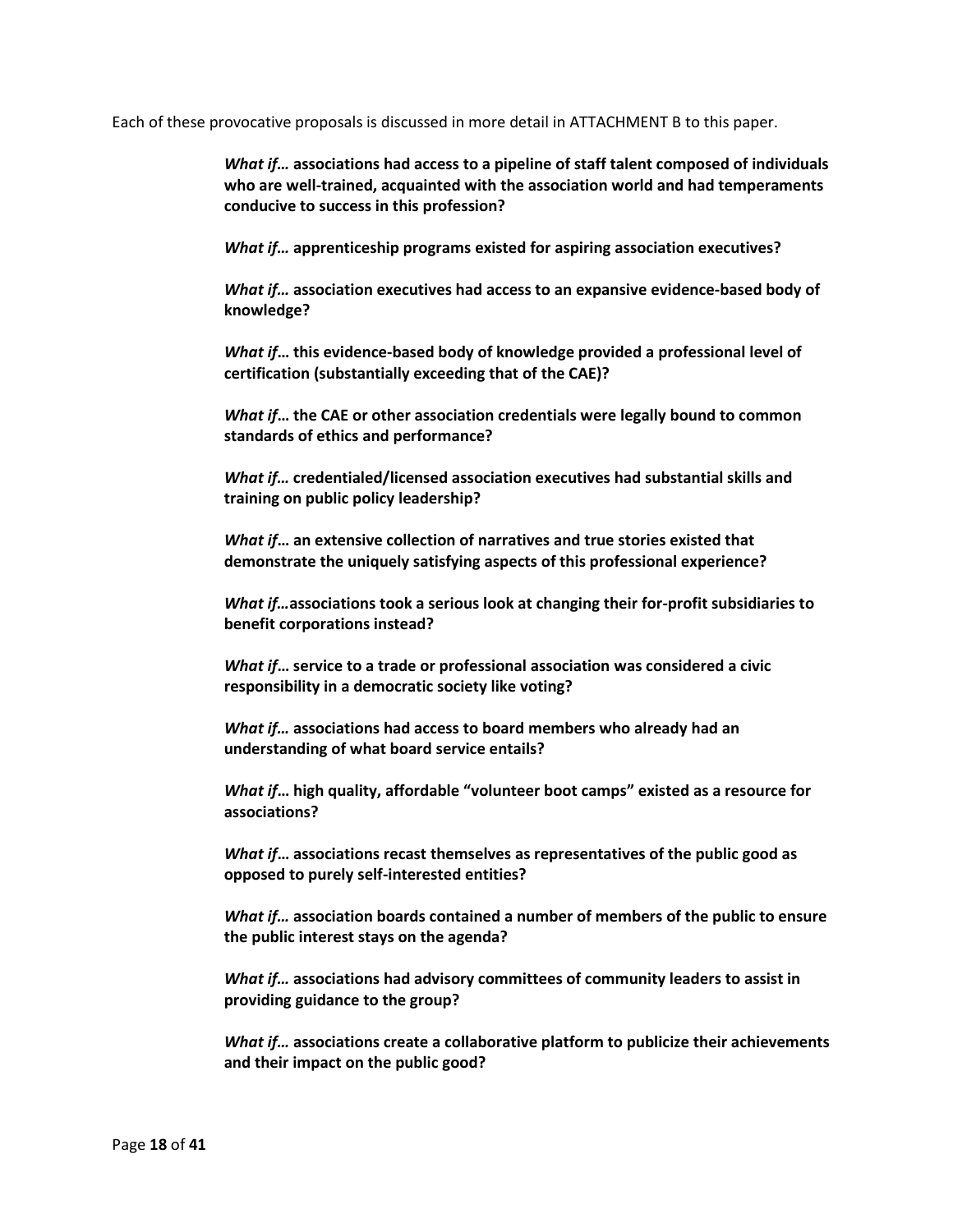Each of these provocative proposals is discussed in more detail in ATTACHMENT B to this paper.

*What if…* **associations had access to a pipeline of staff talent composed of individuals who are well-trained, acquainted with the association world and had temperaments conducive to success in this profession?**

*What if…* **apprenticeship programs existed for aspiring association executives?**

*What if…* **association executives had access to an expansive evidence-based body of knowledge?**

*What if***… this evidence-based body of knowledge provided a professional level of certification (substantially exceeding that of the CAE)?**

*What if***… the CAE or other association credentials were legally bound to common standards of ethics and performance?**

*What if…* **credentialed/licensed association executives had substantial skills and training on public policy leadership?**

*What if***… an extensive collection of narratives and true stories existed that demonstrate the uniquely satisfying aspects of this professional experience?**

*What if…***associations took a serious look at changing their for-profit subsidiaries to benefit corporations instead?**

*What if***… service to a trade or professional association was considered a civic responsibility in a democratic society like voting?**

*What if…* **associations had access to board members who already had an understanding of what board service entails?**

*What if***… high quality, affordable "volunteer boot camps" existed as a resource for associations?**

*What if***… associations recast themselves as representatives of the public good as opposed to purely self-interested entities?**

*What if…* **association boards contained a number of members of the public to ensure the public interest stays on the agenda?**

*What if…* **associations had advisory committees of community leaders to assist in providing guidance to the group?** 

*What if…* **associations create a collaborative platform to publicize their achievements and their impact on the public good?**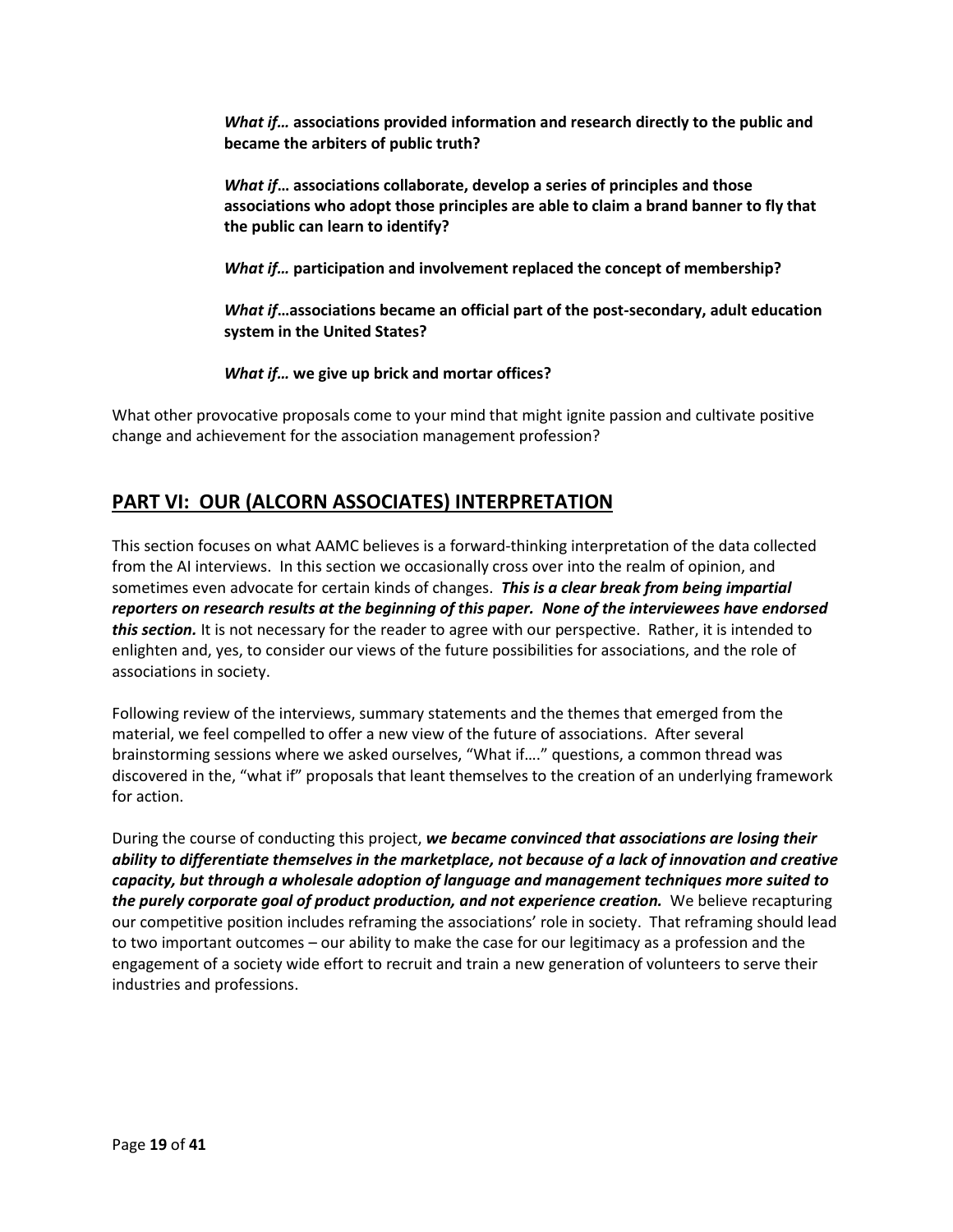*What if…* **associations provided information and research directly to the public and became the arbiters of public truth?**

*What if***… associations collaborate, develop a series of principles and those associations who adopt those principles are able to claim a brand banner to fly that the public can learn to identify?**

*What if…* **participation and involvement replaced the concept of membership?**

*What if***…associations became an official part of the post-secondary, adult education system in the United States?**

*What if…* **we give up brick and mortar offices?**

What other provocative proposals come to your mind that might ignite passion and cultivate positive change and achievement for the association management profession?

# **PART VI: OUR (ALCORN ASSOCIATES) INTERPRETATION**

This section focuses on what AAMC believes is a forward-thinking interpretation of the data collected from the AI interviews. In this section we occasionally cross over into the realm of opinion, and sometimes even advocate for certain kinds of changes. *This is a clear break from being impartial reporters on research results at the beginning of this paper. None of the interviewees have endorsed this section.* It is not necessary for the reader to agree with our perspective. Rather, it is intended to enlighten and, yes, to consider our views of the future possibilities for associations, and the role of associations in society.

Following review of the interviews, summary statements and the themes that emerged from the material, we feel compelled to offer a new view of the future of associations. After several brainstorming sessions where we asked ourselves, "What if…." questions, a common thread was discovered in the, "what if" proposals that leant themselves to the creation of an underlying framework for action.

During the course of conducting this project, *we became convinced that associations are losing their ability to differentiate themselves in the marketplace, not because of a lack of innovation and creative capacity, but through a wholesale adoption of language and management techniques more suited to the purely corporate goal of product production, and not experience creation.* We believe recapturing our competitive position includes reframing the associations' role in society. That reframing should lead to two important outcomes – our ability to make the case for our legitimacy as a profession and the engagement of a society wide effort to recruit and train a new generation of volunteers to serve their industries and professions.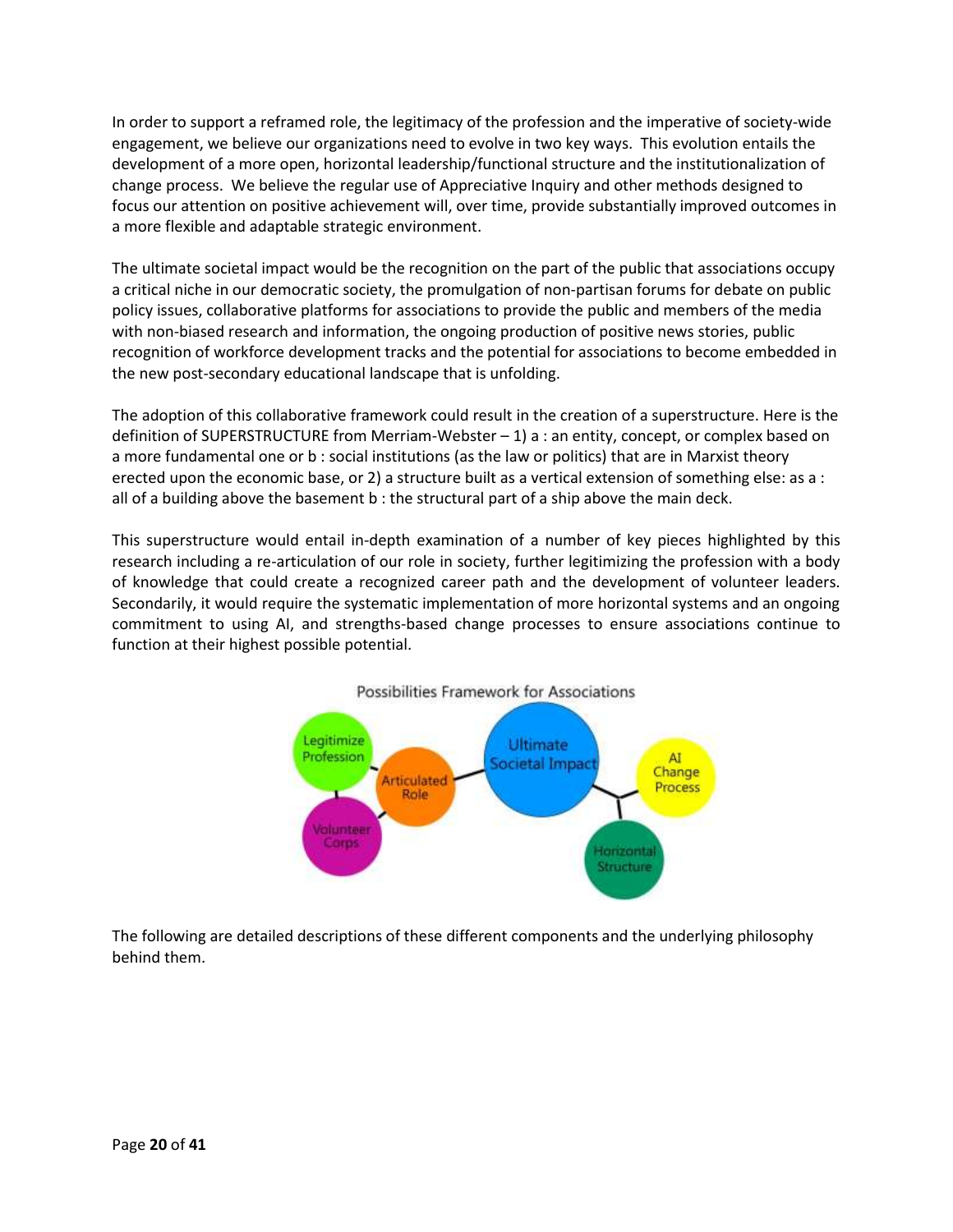In order to support a reframed role, the legitimacy of the profession and the imperative of society-wide engagement, we believe our organizations need to evolve in two key ways. This evolution entails the development of a more open, horizontal leadership/functional structure and the institutionalization of change process. We believe the regular use of Appreciative Inquiry and other methods designed to focus our attention on positive achievement will, over time, provide substantially improved outcomes in a more flexible and adaptable strategic environment.

The ultimate societal impact would be the recognition on the part of the public that associations occupy a critical niche in our democratic society, the promulgation of non-partisan forums for debate on public policy issues, collaborative platforms for associations to provide the public and members of the media with non-biased research and information, the ongoing production of positive news stories, public recognition of workforce development tracks and the potential for associations to become embedded in the new post-secondary educational landscape that is unfolding.

The adoption of this collaborative framework could result in the creation of a superstructure. Here is the definition of SUPERSTRUCTURE from Merriam-Webster – 1) a : an entity, concept, or complex based on a more fundamental one or b : social institutions (as the law or politics) that are in Marxist theory erected upon the economic base, or 2) a structure built as a vertical extension of something else: as a : all of a building above the basement b : the structural part of a ship above the main deck.

This superstructure would entail in-depth examination of a number of key pieces highlighted by this research including a re-articulation of our role in society, further legitimizing the profession with a body of knowledge that could create a recognized career path and the development of volunteer leaders. Secondarily, it would require the systematic implementation of more horizontal systems and an ongoing commitment to using AI, and strengths-based change processes to ensure associations continue to function at their highest possible potential.



The following are detailed descriptions of these different components and the underlying philosophy behind them.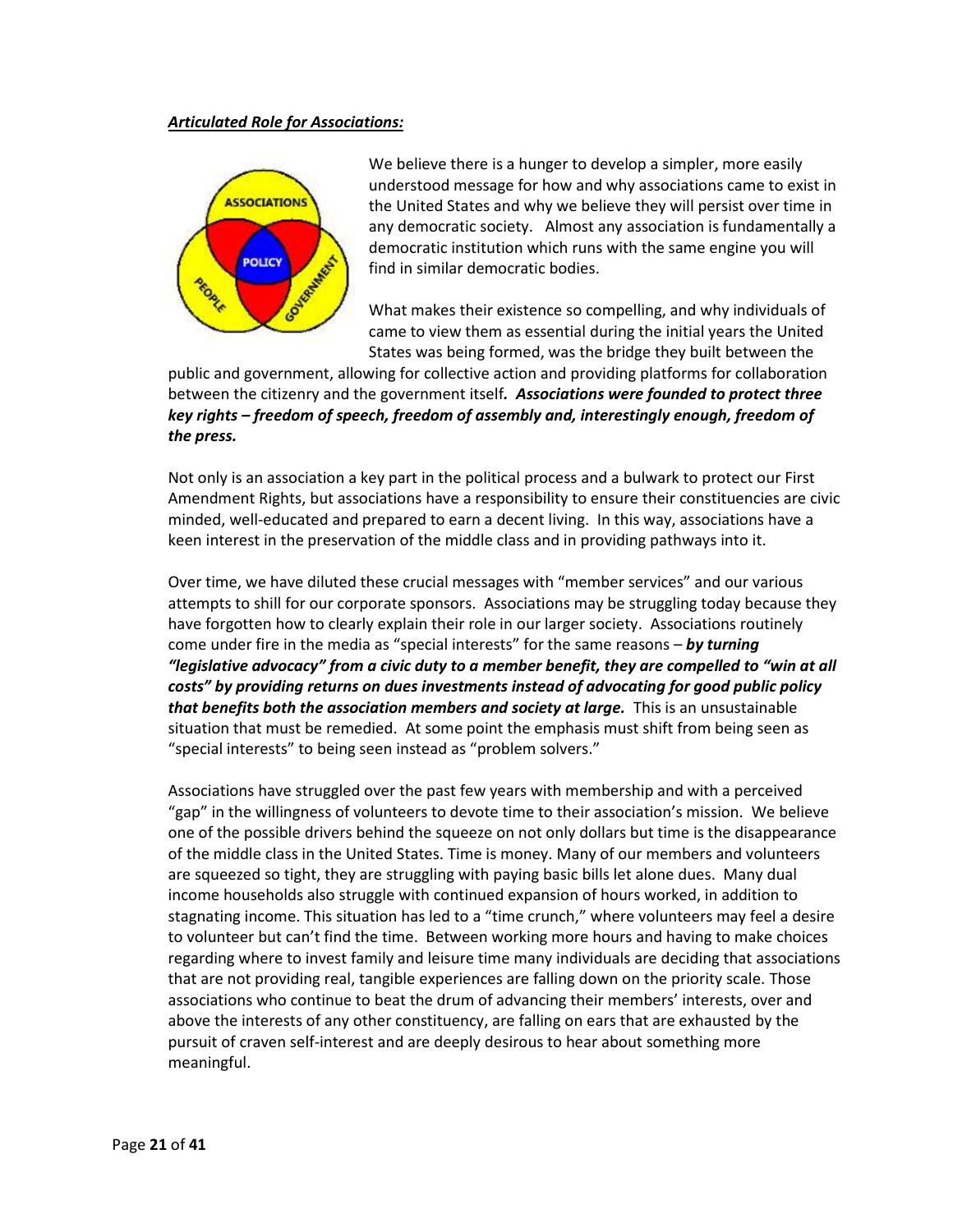#### *Articulated Role for Associations:*



We believe there is a hunger to develop a simpler, more easily understood message for how and why associations came to exist in the United States and why we believe they will persist over time in any democratic society. Almost any association is fundamentally a democratic institution which runs with the same engine you will find in similar democratic bodies.

What makes their existence so compelling, and why individuals of came to view them as essential during the initial years the United States was being formed, was the bridge they built between the

public and government, allowing for collective action and providing platforms for collaboration between the citizenry and the government itself*. Associations were founded to protect three key rights – freedom of speech, freedom of assembly and, interestingly enough, freedom of the press.*

Not only is an association a key part in the political process and a bulwark to protect our First Amendment Rights, but associations have a responsibility to ensure their constituencies are civic minded, well-educated and prepared to earn a decent living. In this way, associations have a keen interest in the preservation of the middle class and in providing pathways into it.

Over time, we have diluted these crucial messages with "member services" and our various attempts to shill for our corporate sponsors. Associations may be struggling today because they have forgotten how to clearly explain their role in our larger society. Associations routinely come under fire in the media as "special interests" for the same reasons – *by turning "legislative advocacy" from a civic duty to a member benefit, they are compelled to "win at all costs" by providing returns on dues investments instead of advocating for good public policy that benefits both the association members and society at large.* **This is an unsustainable** situation that must be remedied. At some point the emphasis must shift from being seen as "special interests" to being seen instead as "problem solvers."

Associations have struggled over the past few years with membership and with a perceived "gap" in the willingness of volunteers to devote time to their association's mission. We believe one of the possible drivers behind the squeeze on not only dollars but time is the disappearance of the middle class in the United States. Time is money. Many of our members and volunteers are squeezed so tight, they are struggling with paying basic bills let alone dues. Many dual income households also struggle with continued expansion of hours worked, in addition to stagnating income. This situation has led to a "time crunch," where volunteers may feel a desire to volunteer but can't find the time. Between working more hours and having to make choices regarding where to invest family and leisure time many individuals are deciding that associations that are not providing real, tangible experiences are falling down on the priority scale. Those associations who continue to beat the drum of advancing their members' interests, over and above the interests of any other constituency, are falling on ears that are exhausted by the pursuit of craven self-interest and are deeply desirous to hear about something more meaningful.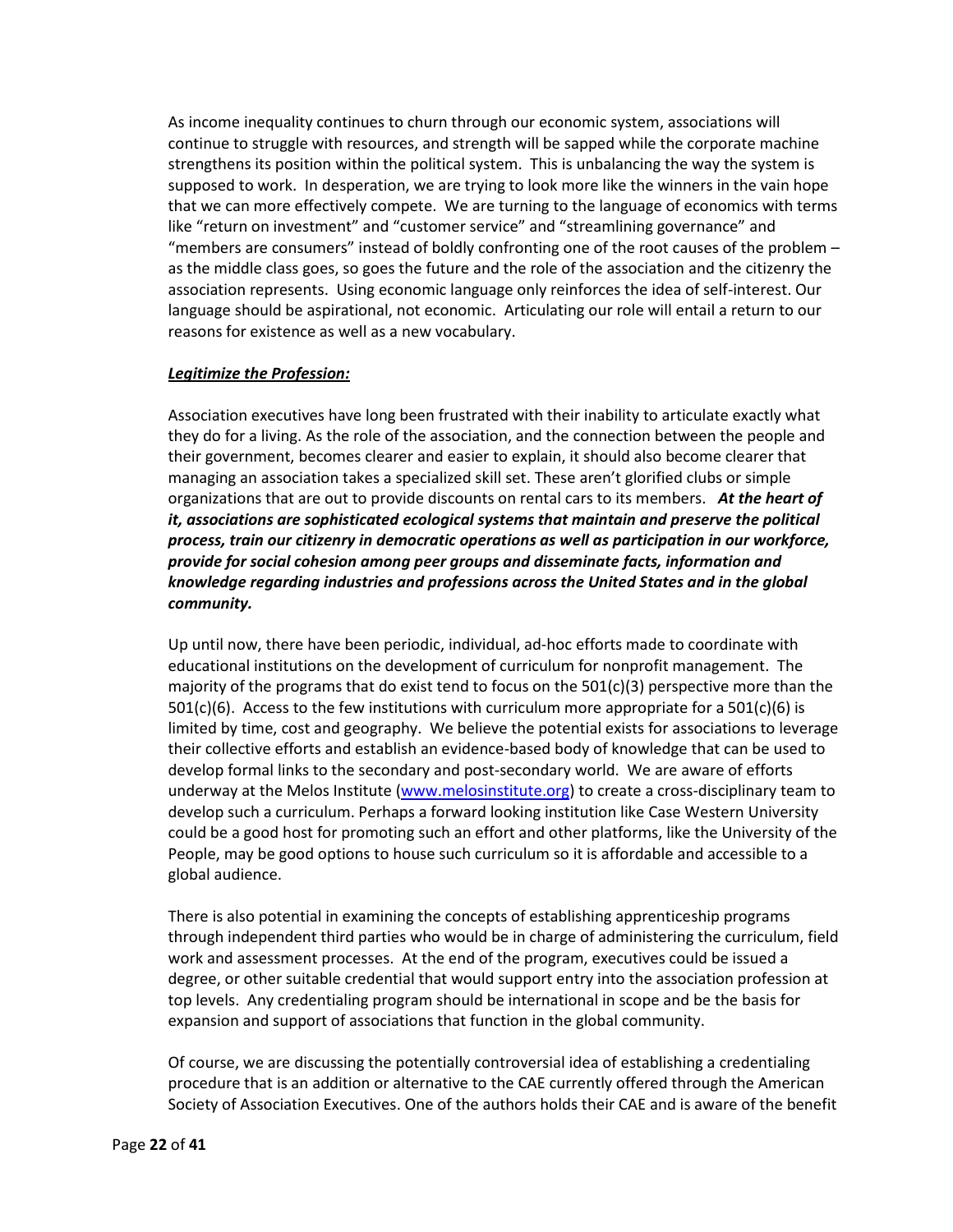As income inequality continues to churn through our economic system, associations will continue to struggle with resources, and strength will be sapped while the corporate machine strengthens its position within the political system. This is unbalancing the way the system is supposed to work. In desperation, we are trying to look more like the winners in the vain hope that we can more effectively compete. We are turning to the language of economics with terms like "return on investment" and "customer service" and "streamlining governance" and "members are consumers" instead of boldly confronting one of the root causes of the problem – as the middle class goes, so goes the future and the role of the association and the citizenry the association represents. Using economic language only reinforces the idea of self-interest. Our language should be aspirational, not economic. Articulating our role will entail a return to our reasons for existence as well as a new vocabulary.

### *Legitimize the Profession:*

Association executives have long been frustrated with their inability to articulate exactly what they do for a living. As the role of the association, and the connection between the people and their government, becomes clearer and easier to explain, it should also become clearer that managing an association takes a specialized skill set. These aren't glorified clubs or simple organizations that are out to provide discounts on rental cars to its members. *At the heart of it, associations are sophisticated ecological systems that maintain and preserve the political process, train our citizenry in democratic operations as well as participation in our workforce, provide for social cohesion among peer groups and disseminate facts, information and knowledge regarding industries and professions across the United States and in the global community.*

Up until now, there have been periodic, individual, ad-hoc efforts made to coordinate with educational institutions on the development of curriculum for nonprofit management. The majority of the programs that do exist tend to focus on the  $501(c)(3)$  perspective more than the  $501(c)(6)$ . Access to the few institutions with curriculum more appropriate for a  $501(c)(6)$  is limited by time, cost and geography. We believe the potential exists for associations to leverage their collective efforts and establish an evidence-based body of knowledge that can be used to develop formal links to the secondary and post-secondary world. We are aware of efforts underway at the Melos Institute [\(www.melosinstitute.org\)](http://www.melosinstitute.org/) to create a cross-disciplinary team to develop such a curriculum. Perhaps a forward looking institution like Case Western University could be a good host for promoting such an effort and other platforms, like the University of the People, may be good options to house such curriculum so it is affordable and accessible to a global audience.

There is also potential in examining the concepts of establishing apprenticeship programs through independent third parties who would be in charge of administering the curriculum, field work and assessment processes. At the end of the program, executives could be issued a degree, or other suitable credential that would support entry into the association profession at top levels. Any credentialing program should be international in scope and be the basis for expansion and support of associations that function in the global community.

Of course, we are discussing the potentially controversial idea of establishing a credentialing procedure that is an addition or alternative to the CAE currently offered through the American Society of Association Executives. One of the authors holds their CAE and is aware of the benefit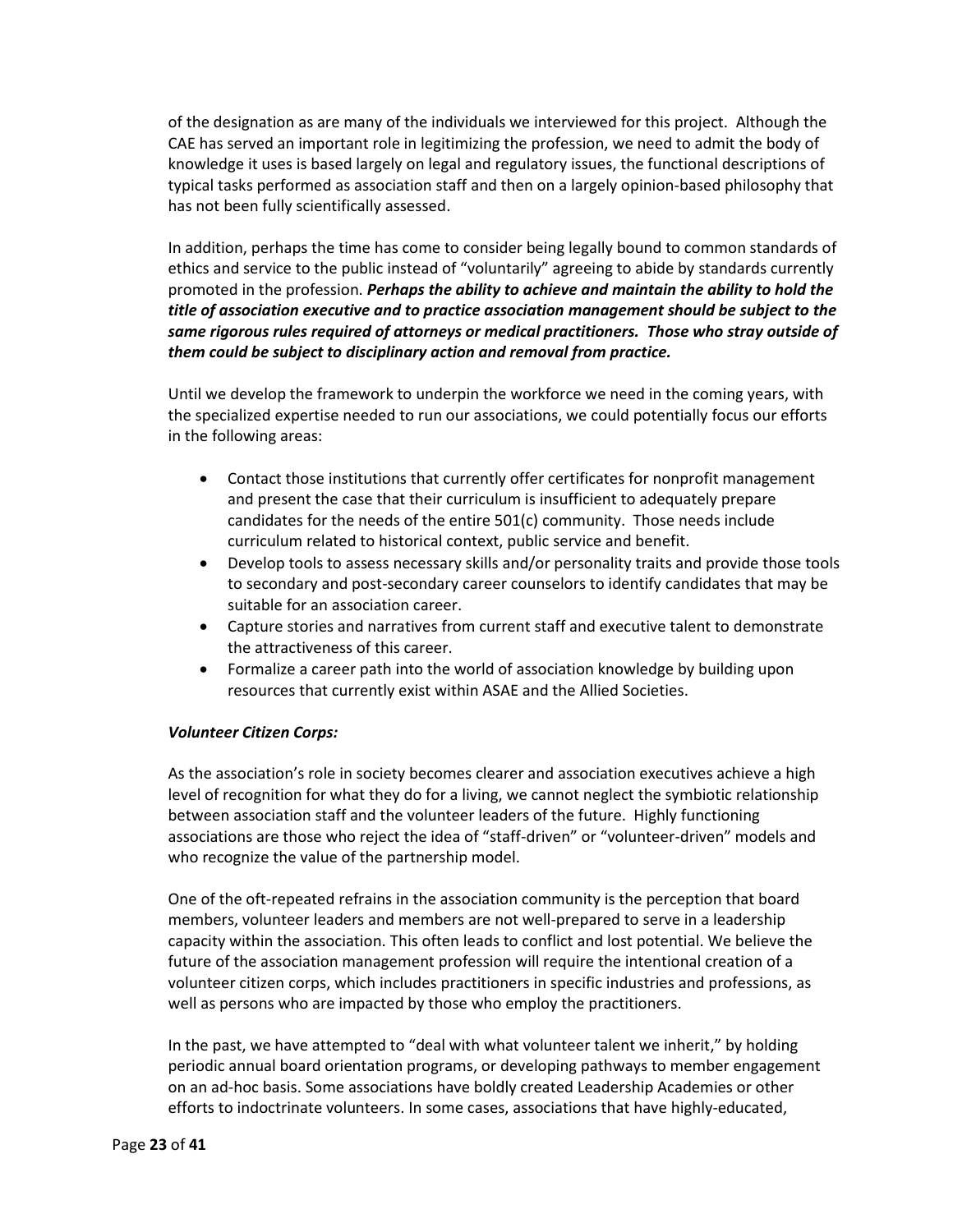of the designation as are many of the individuals we interviewed for this project. Although the CAE has served an important role in legitimizing the profession, we need to admit the body of knowledge it uses is based largely on legal and regulatory issues, the functional descriptions of typical tasks performed as association staff and then on a largely opinion-based philosophy that has not been fully scientifically assessed.

In addition, perhaps the time has come to consider being legally bound to common standards of ethics and service to the public instead of "voluntarily" agreeing to abide by standards currently promoted in the profession. *Perhaps the ability to achieve and maintain the ability to hold the title of association executive and to practice association management should be subject to the same rigorous rules required of attorneys or medical practitioners. Those who stray outside of them could be subject to disciplinary action and removal from practice.*

Until we develop the framework to underpin the workforce we need in the coming years, with the specialized expertise needed to run our associations, we could potentially focus our efforts in the following areas:

- Contact those institutions that currently offer certificates for nonprofit management and present the case that their curriculum is insufficient to adequately prepare candidates for the needs of the entire 501(c) community. Those needs include curriculum related to historical context, public service and benefit.
- Develop tools to assess necessary skills and/or personality traits and provide those tools to secondary and post-secondary career counselors to identify candidates that may be suitable for an association career.
- Capture stories and narratives from current staff and executive talent to demonstrate the attractiveness of this career.
- Formalize a career path into the world of association knowledge by building upon resources that currently exist within ASAE and the Allied Societies.

### *Volunteer Citizen Corps:*

As the association's role in society becomes clearer and association executives achieve a high level of recognition for what they do for a living, we cannot neglect the symbiotic relationship between association staff and the volunteer leaders of the future. Highly functioning associations are those who reject the idea of "staff-driven" or "volunteer-driven" models and who recognize the value of the partnership model.

One of the oft-repeated refrains in the association community is the perception that board members, volunteer leaders and members are not well-prepared to serve in a leadership capacity within the association. This often leads to conflict and lost potential. We believe the future of the association management profession will require the intentional creation of a volunteer citizen corps, which includes practitioners in specific industries and professions, as well as persons who are impacted by those who employ the practitioners.

In the past, we have attempted to "deal with what volunteer talent we inherit," by holding periodic annual board orientation programs, or developing pathways to member engagement on an ad-hoc basis. Some associations have boldly created Leadership Academies or other efforts to indoctrinate volunteers. In some cases, associations that have highly-educated,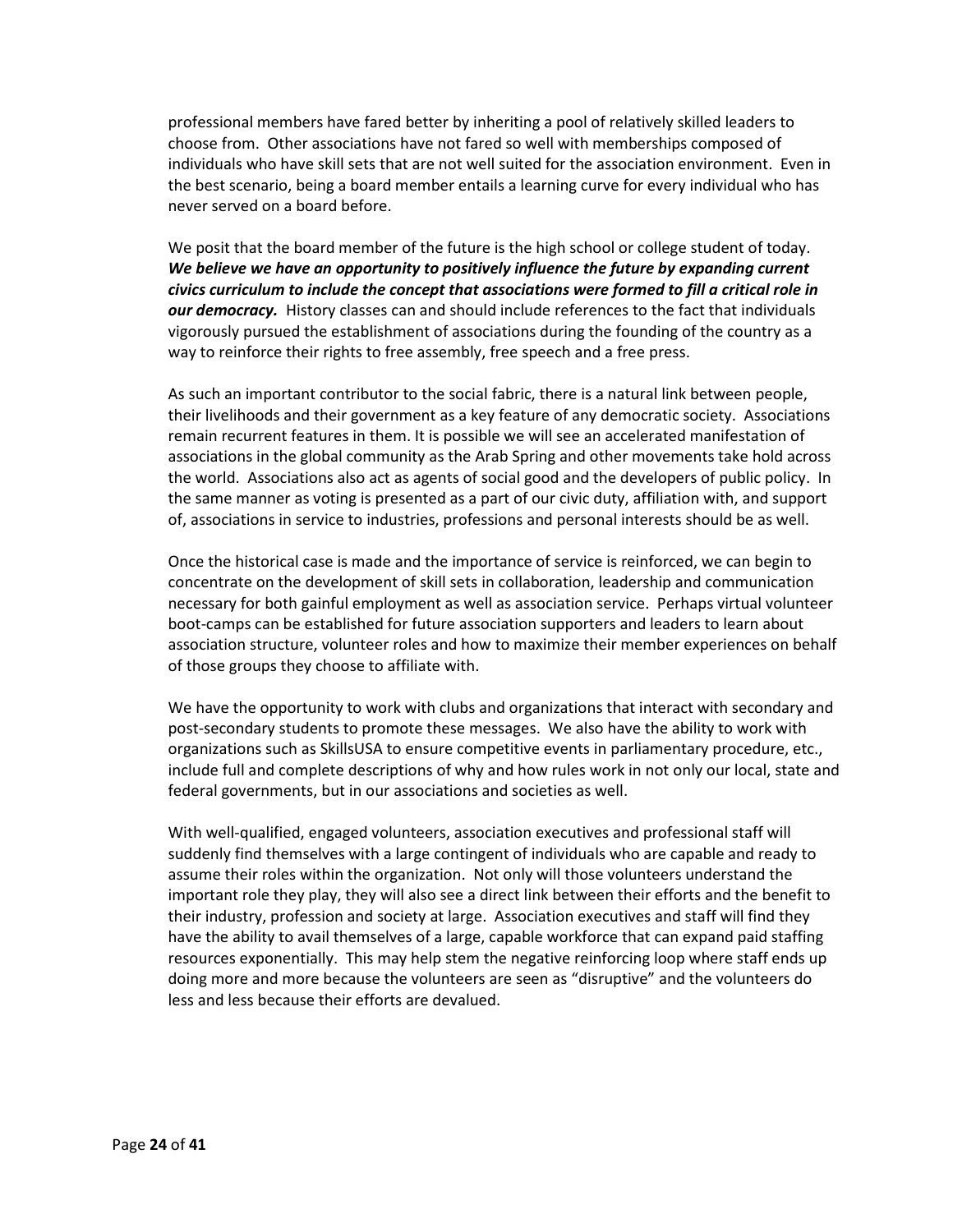professional members have fared better by inheriting a pool of relatively skilled leaders to choose from. Other associations have not fared so well with memberships composed of individuals who have skill sets that are not well suited for the association environment. Even in the best scenario, being a board member entails a learning curve for every individual who has never served on a board before.

We posit that the board member of the future is the high school or college student of today. *We believe we have an opportunity to positively influence the future by expanding current civics curriculum to include the concept that associations were formed to fill a critical role in our democracy.* History classes can and should include references to the fact that individuals vigorously pursued the establishment of associations during the founding of the country as a way to reinforce their rights to free assembly, free speech and a free press.

As such an important contributor to the social fabric, there is a natural link between people, their livelihoods and their government as a key feature of any democratic society. Associations remain recurrent features in them. It is possible we will see an accelerated manifestation of associations in the global community as the Arab Spring and other movements take hold across the world. Associations also act as agents of social good and the developers of public policy. In the same manner as voting is presented as a part of our civic duty, affiliation with, and support of, associations in service to industries, professions and personal interests should be as well.

Once the historical case is made and the importance of service is reinforced, we can begin to concentrate on the development of skill sets in collaboration, leadership and communication necessary for both gainful employment as well as association service. Perhaps virtual volunteer boot-camps can be established for future association supporters and leaders to learn about association structure, volunteer roles and how to maximize their member experiences on behalf of those groups they choose to affiliate with.

We have the opportunity to work with clubs and organizations that interact with secondary and post-secondary students to promote these messages. We also have the ability to work with organizations such as SkillsUSA to ensure competitive events in parliamentary procedure, etc., include full and complete descriptions of why and how rules work in not only our local, state and federal governments, but in our associations and societies as well.

With well-qualified, engaged volunteers, association executives and professional staff will suddenly find themselves with a large contingent of individuals who are capable and ready to assume their roles within the organization. Not only will those volunteers understand the important role they play, they will also see a direct link between their efforts and the benefit to their industry, profession and society at large. Association executives and staff will find they have the ability to avail themselves of a large, capable workforce that can expand paid staffing resources exponentially. This may help stem the negative reinforcing loop where staff ends up doing more and more because the volunteers are seen as "disruptive" and the volunteers do less and less because their efforts are devalued.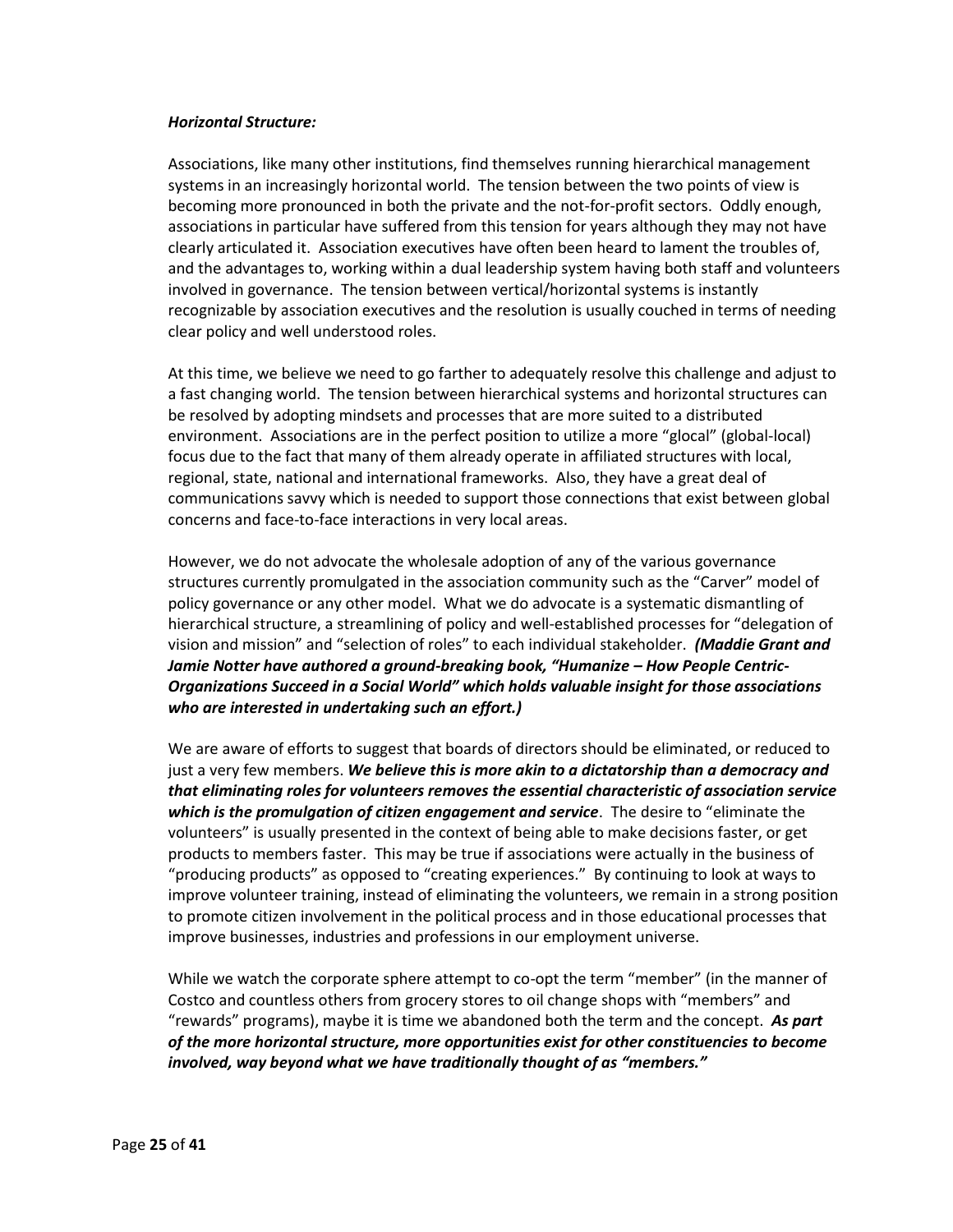#### *Horizontal Structure:*

Associations, like many other institutions, find themselves running hierarchical management systems in an increasingly horizontal world. The tension between the two points of view is becoming more pronounced in both the private and the not-for-profit sectors. Oddly enough, associations in particular have suffered from this tension for years although they may not have clearly articulated it. Association executives have often been heard to lament the troubles of, and the advantages to, working within a dual leadership system having both staff and volunteers involved in governance. The tension between vertical/horizontal systems is instantly recognizable by association executives and the resolution is usually couched in terms of needing clear policy and well understood roles.

At this time, we believe we need to go farther to adequately resolve this challenge and adjust to a fast changing world. The tension between hierarchical systems and horizontal structures can be resolved by adopting mindsets and processes that are more suited to a distributed environment. Associations are in the perfect position to utilize a more "glocal" (global-local) focus due to the fact that many of them already operate in affiliated structures with local, regional, state, national and international frameworks. Also, they have a great deal of communications savvy which is needed to support those connections that exist between global concerns and face-to-face interactions in very local areas.

However, we do not advocate the wholesale adoption of any of the various governance structures currently promulgated in the association community such as the "Carver" model of policy governance or any other model. What we do advocate is a systematic dismantling of hierarchical structure, a streamlining of policy and well-established processes for "delegation of vision and mission" and "selection of roles" to each individual stakeholder. *(Maddie Grant and Jamie Notter have authored a ground-breaking book, "Humanize – How People Centric-Organizations Succeed in a Social World" which holds valuable insight for those associations who are interested in undertaking such an effort.)*

We are aware of efforts to suggest that boards of directors should be eliminated, or reduced to just a very few members. *We believe this is more akin to a dictatorship than a democracy and that eliminating roles for volunteers removes the essential characteristic of association service which is the promulgation of citizen engagement and service*. The desire to "eliminate the volunteers" is usually presented in the context of being able to make decisions faster, or get products to members faster. This may be true if associations were actually in the business of "producing products" as opposed to "creating experiences." By continuing to look at ways to improve volunteer training, instead of eliminating the volunteers, we remain in a strong position to promote citizen involvement in the political process and in those educational processes that improve businesses, industries and professions in our employment universe.

While we watch the corporate sphere attempt to co-opt the term "member" (in the manner of Costco and countless others from grocery stores to oil change shops with "members" and "rewards" programs), maybe it is time we abandoned both the term and the concept. *As part of the more horizontal structure, more opportunities exist for other constituencies to become involved, way beyond what we have traditionally thought of as "members."*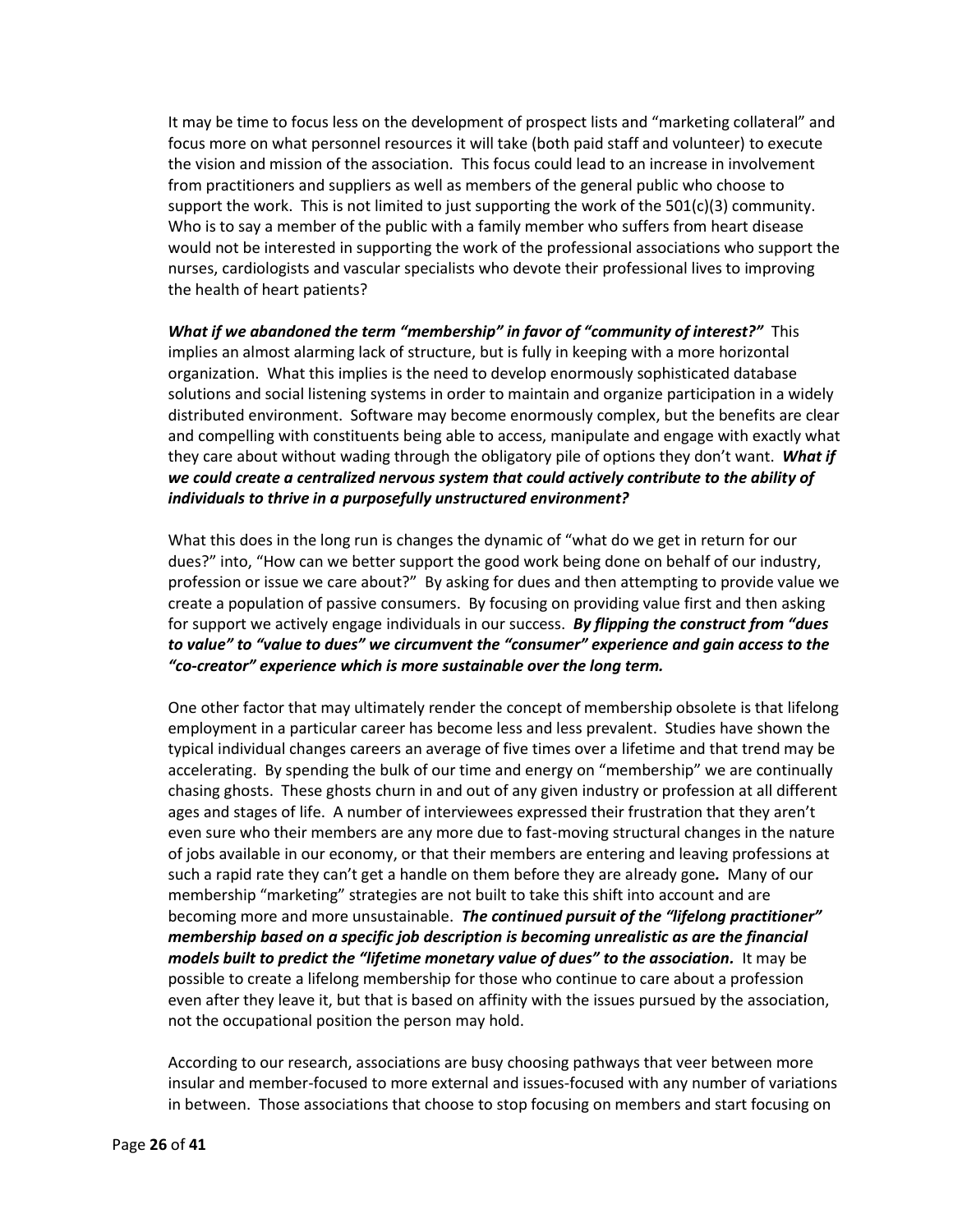It may be time to focus less on the development of prospect lists and "marketing collateral" and focus more on what personnel resources it will take (both paid staff and volunteer) to execute the vision and mission of the association. This focus could lead to an increase in involvement from practitioners and suppliers as well as members of the general public who choose to support the work. This is not limited to just supporting the work of the  $501(c)(3)$  community. Who is to say a member of the public with a family member who suffers from heart disease would not be interested in supporting the work of the professional associations who support the nurses, cardiologists and vascular specialists who devote their professional lives to improving the health of heart patients?

*What if we abandoned the term "membership" in favor of "community of interest?"* This implies an almost alarming lack of structure, but is fully in keeping with a more horizontal organization. What this implies is the need to develop enormously sophisticated database solutions and social listening systems in order to maintain and organize participation in a widely distributed environment. Software may become enormously complex, but the benefits are clear and compelling with constituents being able to access, manipulate and engage with exactly what they care about without wading through the obligatory pile of options they don't want. *What if we could create a centralized nervous system that could actively contribute to the ability of individuals to thrive in a purposefully unstructured environment?*

What this does in the long run is changes the dynamic of "what do we get in return for our dues?" into, "How can we better support the good work being done on behalf of our industry, profession or issue we care about?" By asking for dues and then attempting to provide value we create a population of passive consumers. By focusing on providing value first and then asking for support we actively engage individuals in our success. *By flipping the construct from "dues to value" to "value to dues" we circumvent the "consumer" experience and gain access to the "co-creator" experience which is more sustainable over the long term.*

One other factor that may ultimately render the concept of membership obsolete is that lifelong employment in a particular career has become less and less prevalent. Studies have shown the typical individual changes careers an average of five times over a lifetime and that trend may be accelerating. By spending the bulk of our time and energy on "membership" we are continually chasing ghosts. These ghosts churn in and out of any given industry or profession at all different ages and stages of life. A number of interviewees expressed their frustration that they aren't even sure who their members are any more due to fast-moving structural changes in the nature of jobs available in our economy, or that their members are entering and leaving professions at such a rapid rate they can't get a handle on them before they are already gone*.* Many of our membership "marketing" strategies are not built to take this shift into account and are becoming more and more unsustainable. *The continued pursuit of the "lifelong practitioner" membership based on a specific job description is becoming unrealistic as are the financial models built to predict the "lifetime monetary value of dues" to the association.* It may be possible to create a lifelong membership for those who continue to care about a profession even after they leave it, but that is based on affinity with the issues pursued by the association, not the occupational position the person may hold.

According to our research, associations are busy choosing pathways that veer between more insular and member-focused to more external and issues-focused with any number of variations in between. Those associations that choose to stop focusing on members and start focusing on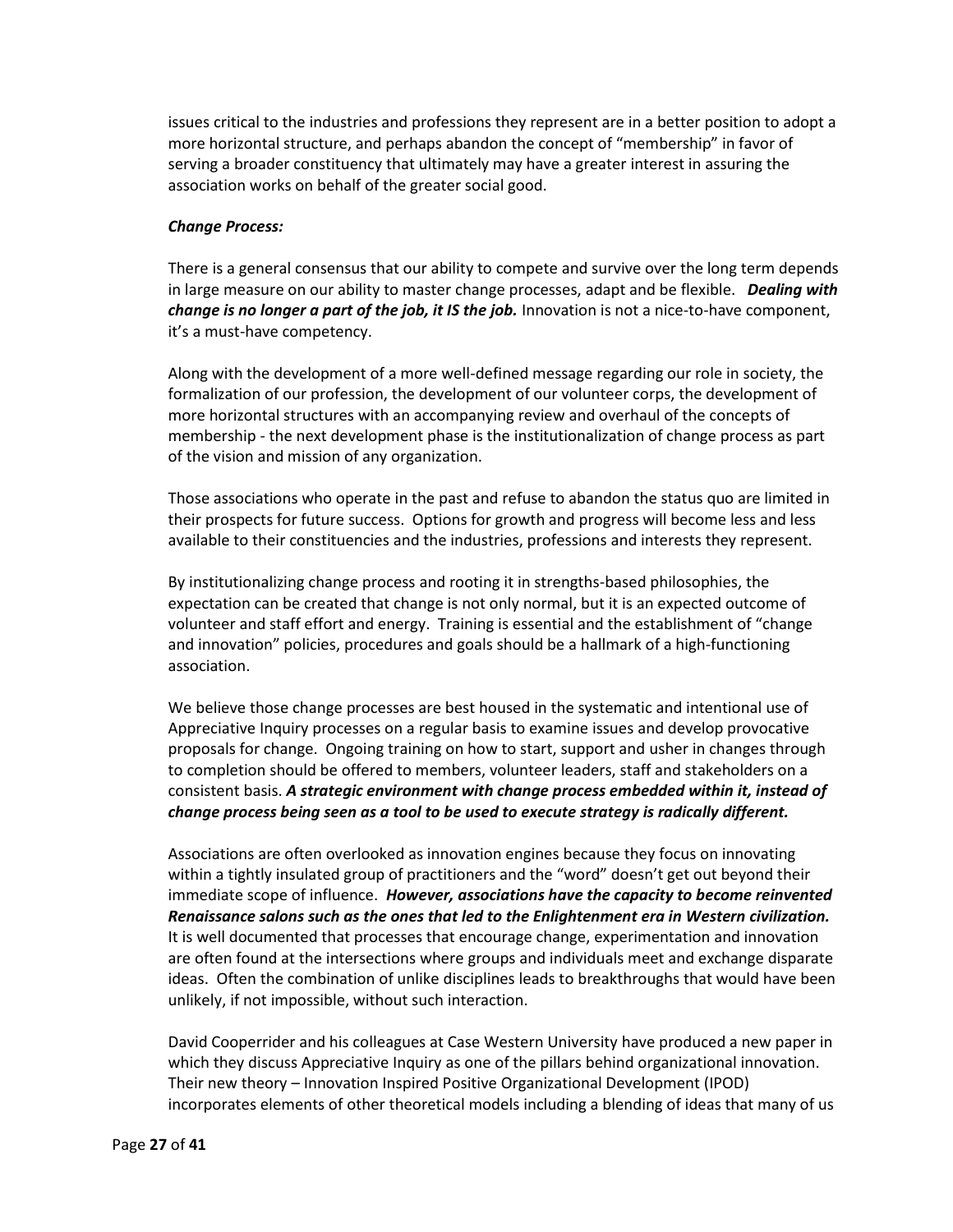issues critical to the industries and professions they represent are in a better position to adopt a more horizontal structure, and perhaps abandon the concept of "membership" in favor of serving a broader constituency that ultimately may have a greater interest in assuring the association works on behalf of the greater social good.

#### *Change Process:*

There is a general consensus that our ability to compete and survive over the long term depends in large measure on our ability to master change processes, adapt and be flexible. *Dealing with change is no longer a part of the job, it IS the job.* Innovation is not a nice-to-have component, it's a must-have competency.

Along with the development of a more well-defined message regarding our role in society, the formalization of our profession, the development of our volunteer corps, the development of more horizontal structures with an accompanying review and overhaul of the concepts of membership - the next development phase is the institutionalization of change process as part of the vision and mission of any organization.

Those associations who operate in the past and refuse to abandon the status quo are limited in their prospects for future success. Options for growth and progress will become less and less available to their constituencies and the industries, professions and interests they represent.

By institutionalizing change process and rooting it in strengths-based philosophies, the expectation can be created that change is not only normal, but it is an expected outcome of volunteer and staff effort and energy. Training is essential and the establishment of "change and innovation" policies, procedures and goals should be a hallmark of a high-functioning association.

We believe those change processes are best housed in the systematic and intentional use of Appreciative Inquiry processes on a regular basis to examine issues and develop provocative proposals for change. Ongoing training on how to start, support and usher in changes through to completion should be offered to members, volunteer leaders, staff and stakeholders on a consistent basis. *A strategic environment with change process embedded within it, instead of change process being seen as a tool to be used to execute strategy is radically different.*

Associations are often overlooked as innovation engines because they focus on innovating within a tightly insulated group of practitioners and the "word" doesn't get out beyond their immediate scope of influence. *However, associations have the capacity to become reinvented Renaissance salons such as the ones that led to the Enlightenment era in Western civilization.* It is well documented that processes that encourage change, experimentation and innovation are often found at the intersections where groups and individuals meet and exchange disparate ideas. Often the combination of unlike disciplines leads to breakthroughs that would have been unlikely, if not impossible, without such interaction.

David Cooperrider and his colleagues at Case Western University have produced a new paper in which they discuss Appreciative Inquiry as one of the pillars behind organizational innovation. Their new theory – Innovation Inspired Positive Organizational Development (IPOD) incorporates elements of other theoretical models including a blending of ideas that many of us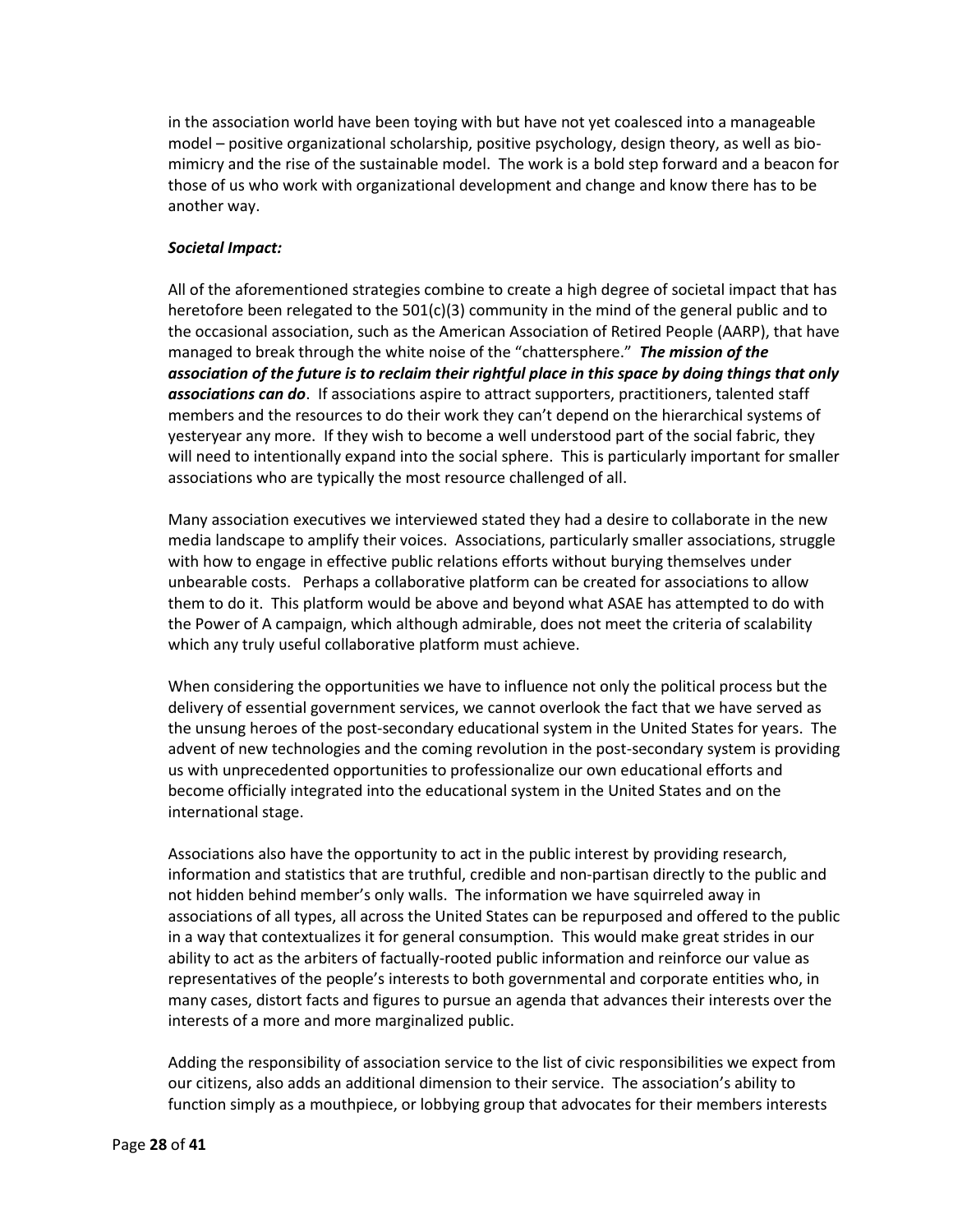in the association world have been toying with but have not yet coalesced into a manageable model – positive organizational scholarship, positive psychology, design theory, as well as biomimicry and the rise of the sustainable model. The work is a bold step forward and a beacon for those of us who work with organizational development and change and know there has to be another way.

## *Societal Impact:*

All of the aforementioned strategies combine to create a high degree of societal impact that has heretofore been relegated to the 501(c)(3) community in the mind of the general public and to the occasional association, such as the American Association of Retired People (AARP), that have managed to break through the white noise of the "chattersphere." *The mission of the association of the future is to reclaim their rightful place in this space by doing things that only associations can do*. If associations aspire to attract supporters, practitioners, talented staff members and the resources to do their work they can't depend on the hierarchical systems of yesteryear any more. If they wish to become a well understood part of the social fabric, they will need to intentionally expand into the social sphere. This is particularly important for smaller associations who are typically the most resource challenged of all.

Many association executives we interviewed stated they had a desire to collaborate in the new media landscape to amplify their voices. Associations, particularly smaller associations, struggle with how to engage in effective public relations efforts without burying themselves under unbearable costs. Perhaps a collaborative platform can be created for associations to allow them to do it. This platform would be above and beyond what ASAE has attempted to do with the Power of A campaign, which although admirable, does not meet the criteria of scalability which any truly useful collaborative platform must achieve.

When considering the opportunities we have to influence not only the political process but the delivery of essential government services, we cannot overlook the fact that we have served as the unsung heroes of the post-secondary educational system in the United States for years. The advent of new technologies and the coming revolution in the post-secondary system is providing us with unprecedented opportunities to professionalize our own educational efforts and become officially integrated into the educational system in the United States and on the international stage.

Associations also have the opportunity to act in the public interest by providing research, information and statistics that are truthful, credible and non-partisan directly to the public and not hidden behind member's only walls. The information we have squirreled away in associations of all types, all across the United States can be repurposed and offered to the public in a way that contextualizes it for general consumption. This would make great strides in our ability to act as the arbiters of factually-rooted public information and reinforce our value as representatives of the people's interests to both governmental and corporate entities who, in many cases, distort facts and figures to pursue an agenda that advances their interests over the interests of a more and more marginalized public.

Adding the responsibility of association service to the list of civic responsibilities we expect from our citizens, also adds an additional dimension to their service. The association's ability to function simply as a mouthpiece, or lobbying group that advocates for their members interests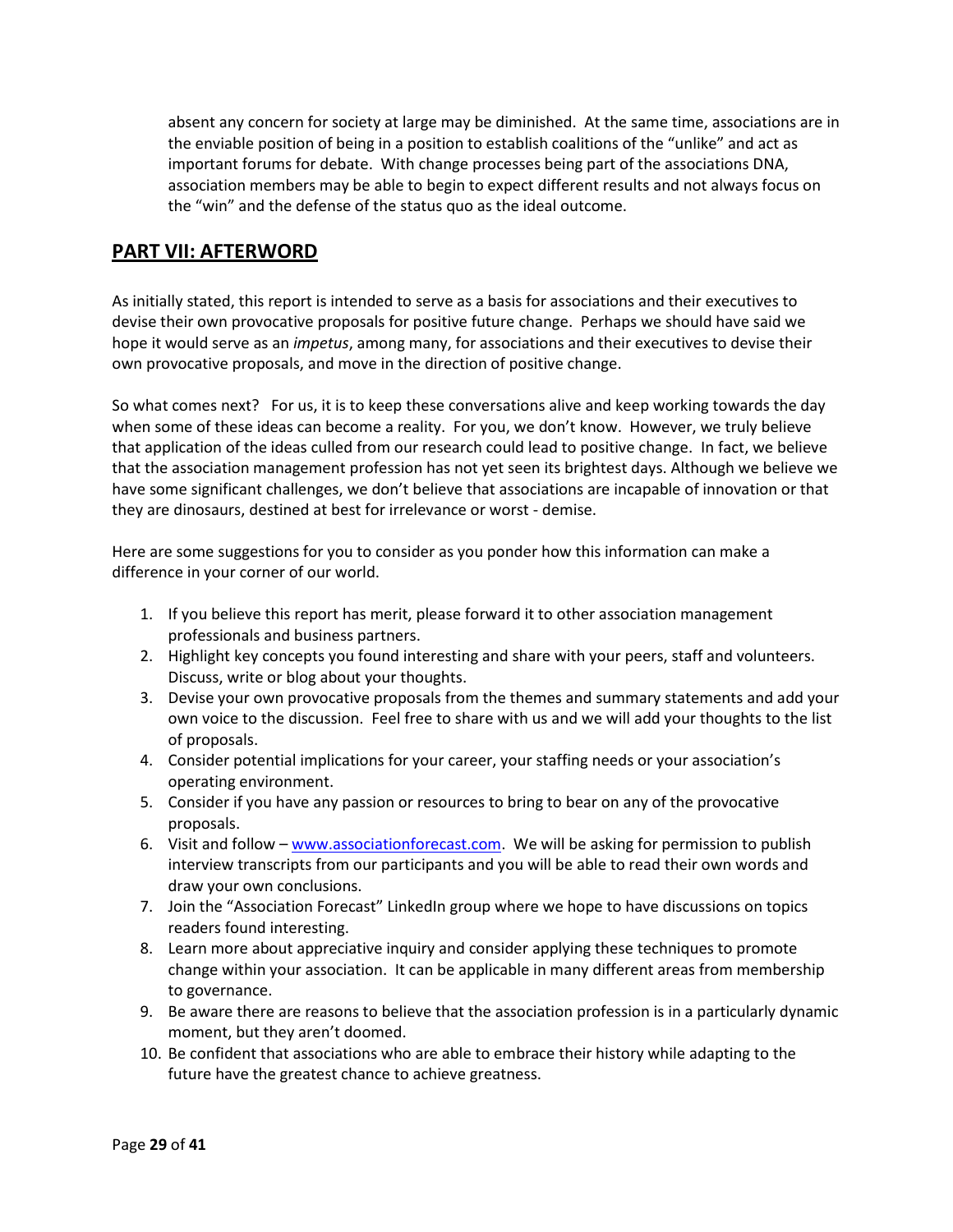absent any concern for society at large may be diminished. At the same time, associations are in the enviable position of being in a position to establish coalitions of the "unlike" and act as important forums for debate. With change processes being part of the associations DNA, association members may be able to begin to expect different results and not always focus on the "win" and the defense of the status quo as the ideal outcome.

# **PART VII: AFTERWORD**

As initially stated, this report is intended to serve as a basis for associations and their executives to devise their own provocative proposals for positive future change. Perhaps we should have said we hope it would serve as an *impetus*, among many, for associations and their executives to devise their own provocative proposals, and move in the direction of positive change.

So what comes next? For us, it is to keep these conversations alive and keep working towards the day when some of these ideas can become a reality. For you, we don't know. However, we truly believe that application of the ideas culled from our research could lead to positive change. In fact, we believe that the association management profession has not yet seen its brightest days. Although we believe we have some significant challenges, we don't believe that associations are incapable of innovation or that they are dinosaurs, destined at best for irrelevance or worst - demise.

Here are some suggestions for you to consider as you ponder how this information can make a difference in your corner of our world.

- 1. If you believe this report has merit, please forward it to other association management professionals and business partners.
- 2. Highlight key concepts you found interesting and share with your peers, staff and volunteers. Discuss, write or blog about your thoughts.
- 3. Devise your own provocative proposals from the themes and summary statements and add your own voice to the discussion. Feel free to share with us and we will add your thoughts to the list of proposals.
- 4. Consider potential implications for your career, your staffing needs or your association's operating environment.
- 5. Consider if you have any passion or resources to bring to bear on any of the provocative proposals.
- 6. Visit and follow [www.associationforecast.com.](http://www.associationforecast.com/) We will be asking for permission to publish interview transcripts from our participants and you will be able to read their own words and draw your own conclusions.
- 7. Join the "Association Forecast" LinkedIn group where we hope to have discussions on topics readers found interesting.
- 8. Learn more about appreciative inquiry and consider applying these techniques to promote change within your association. It can be applicable in many different areas from membership to governance.
- 9. Be aware there are reasons to believe that the association profession is in a particularly dynamic moment, but they aren't doomed.
- 10. Be confident that associations who are able to embrace their history while adapting to the future have the greatest chance to achieve greatness.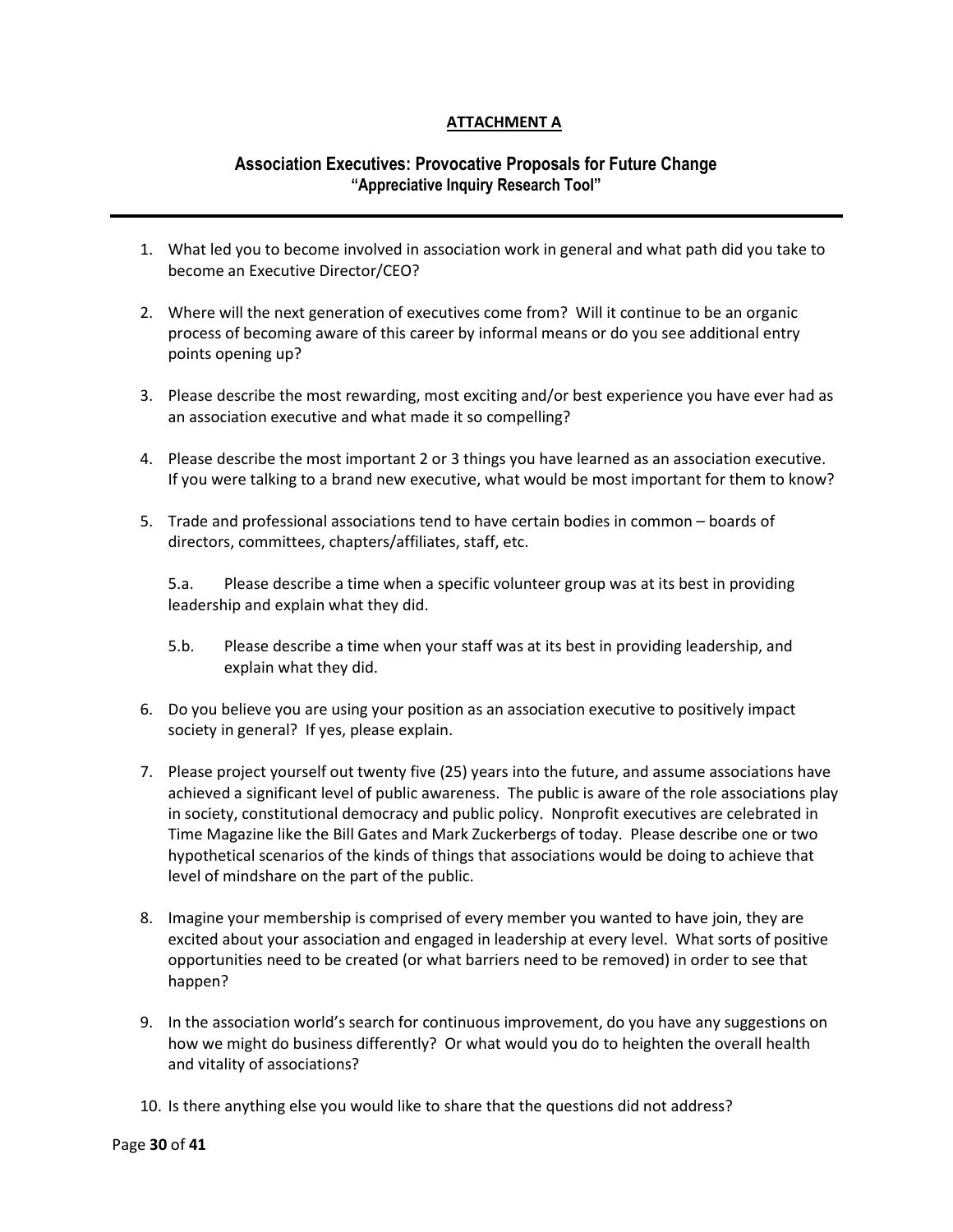# **ATTACHMENT A**

# **Association Executives: Provocative Proposals for Future Change "Appreciative Inquiry Research Tool"**

- 1. What led you to become involved in association work in general and what path did you take to become an Executive Director/CEO?
- 2. Where will the next generation of executives come from? Will it continue to be an organic process of becoming aware of this career by informal means or do you see additional entry points opening up?
- 3. Please describe the most rewarding, most exciting and/or best experience you have ever had as an association executive and what made it so compelling?
- 4. Please describe the most important 2 or 3 things you have learned as an association executive. If you were talking to a brand new executive, what would be most important for them to know?
- 5. Trade and professional associations tend to have certain bodies in common boards of directors, committees, chapters/affiliates, staff, etc.

5.a. Please describe a time when a specific volunteer group was at its best in providing leadership and explain what they did.

- 5.b. Please describe a time when your staff was at its best in providing leadership, and explain what they did.
- 6. Do you believe you are using your position as an association executive to positively impact society in general? If yes, please explain.
- 7. Please project yourself out twenty five (25) years into the future, and assume associations have achieved a significant level of public awareness. The public is aware of the role associations play in society, constitutional democracy and public policy. Nonprofit executives are celebrated in Time Magazine like the Bill Gates and Mark Zuckerbergs of today. Please describe one or two hypothetical scenarios of the kinds of things that associations would be doing to achieve that level of mindshare on the part of the public.
- 8. Imagine your membership is comprised of every member you wanted to have join, they are excited about your association and engaged in leadership at every level. What sorts of positive opportunities need to be created (or what barriers need to be removed) in order to see that happen?
- 9. In the association world's search for continuous improvement, do you have any suggestions on how we might do business differently? Or what would you do to heighten the overall health and vitality of associations?
- 10. Is there anything else you would like to share that the questions did not address?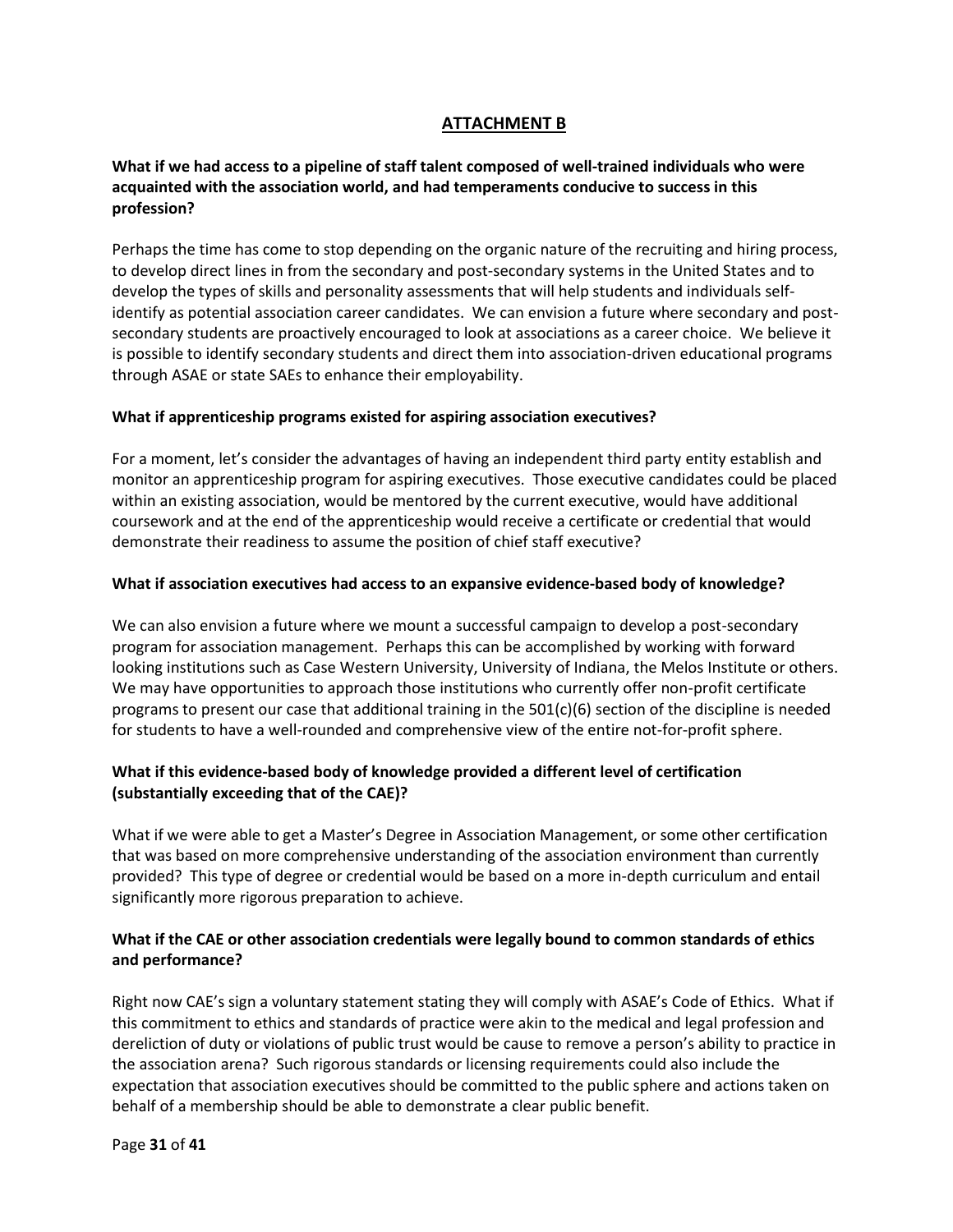# **ATTACHMENT B**

# **What if we had access to a pipeline of staff talent composed of well-trained individuals who were acquainted with the association world, and had temperaments conducive to success in this profession?**

Perhaps the time has come to stop depending on the organic nature of the recruiting and hiring process, to develop direct lines in from the secondary and post-secondary systems in the United States and to develop the types of skills and personality assessments that will help students and individuals selfidentify as potential association career candidates. We can envision a future where secondary and postsecondary students are proactively encouraged to look at associations as a career choice. We believe it is possible to identify secondary students and direct them into association-driven educational programs through ASAE or state SAEs to enhance their employability.

### **What if apprenticeship programs existed for aspiring association executives?**

For a moment, let's consider the advantages of having an independent third party entity establish and monitor an apprenticeship program for aspiring executives. Those executive candidates could be placed within an existing association, would be mentored by the current executive, would have additional coursework and at the end of the apprenticeship would receive a certificate or credential that would demonstrate their readiness to assume the position of chief staff executive?

#### **What if association executives had access to an expansive evidence-based body of knowledge?**

We can also envision a future where we mount a successful campaign to develop a post-secondary program for association management. Perhaps this can be accomplished by working with forward looking institutions such as Case Western University, University of Indiana, the Melos Institute or others. We may have opportunities to approach those institutions who currently offer non-profit certificate programs to present our case that additional training in the 501(c)(6) section of the discipline is needed for students to have a well-rounded and comprehensive view of the entire not-for-profit sphere.

## **What if this evidence-based body of knowledge provided a different level of certification (substantially exceeding that of the CAE)?**

What if we were able to get a Master's Degree in Association Management, or some other certification that was based on more comprehensive understanding of the association environment than currently provided? This type of degree or credential would be based on a more in-depth curriculum and entail significantly more rigorous preparation to achieve.

## **What if the CAE or other association credentials were legally bound to common standards of ethics and performance?**

Right now CAE's sign a voluntary statement stating they will comply with ASAE's Code of Ethics. What if this commitment to ethics and standards of practice were akin to the medical and legal profession and dereliction of duty or violations of public trust would be cause to remove a person's ability to practice in the association arena? Such rigorous standards or licensing requirements could also include the expectation that association executives should be committed to the public sphere and actions taken on behalf of a membership should be able to demonstrate a clear public benefit.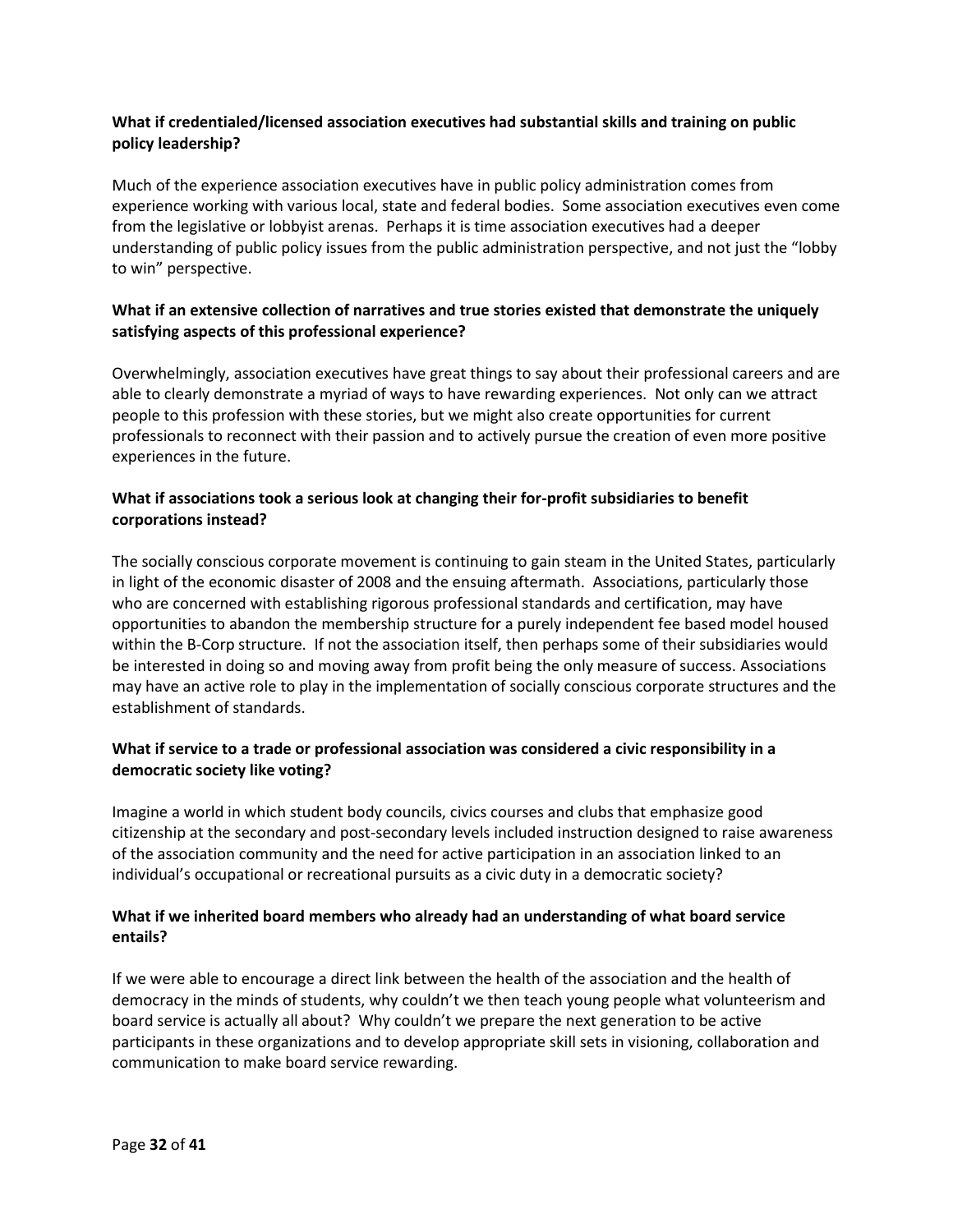## **What if credentialed/licensed association executives had substantial skills and training on public policy leadership?**

Much of the experience association executives have in public policy administration comes from experience working with various local, state and federal bodies. Some association executives even come from the legislative or lobbyist arenas. Perhaps it is time association executives had a deeper understanding of public policy issues from the public administration perspective, and not just the "lobby to win" perspective.

## **What if an extensive collection of narratives and true stories existed that demonstrate the uniquely satisfying aspects of this professional experience?**

Overwhelmingly, association executives have great things to say about their professional careers and are able to clearly demonstrate a myriad of ways to have rewarding experiences. Not only can we attract people to this profession with these stories, but we might also create opportunities for current professionals to reconnect with their passion and to actively pursue the creation of even more positive experiences in the future.

## **What if associations took a serious look at changing their for-profit subsidiaries to benefit corporations instead?**

The socially conscious corporate movement is continuing to gain steam in the United States, particularly in light of the economic disaster of 2008 and the ensuing aftermath. Associations, particularly those who are concerned with establishing rigorous professional standards and certification, may have opportunities to abandon the membership structure for a purely independent fee based model housed within the B-Corp structure. If not the association itself, then perhaps some of their subsidiaries would be interested in doing so and moving away from profit being the only measure of success. Associations may have an active role to play in the implementation of socially conscious corporate structures and the establishment of standards.

## **What if service to a trade or professional association was considered a civic responsibility in a democratic society like voting?**

Imagine a world in which student body councils, civics courses and clubs that emphasize good citizenship at the secondary and post-secondary levels included instruction designed to raise awareness of the association community and the need for active participation in an association linked to an individual's occupational or recreational pursuits as a civic duty in a democratic society?

## **What if we inherited board members who already had an understanding of what board service entails?**

If we were able to encourage a direct link between the health of the association and the health of democracy in the minds of students, why couldn't we then teach young people what volunteerism and board service is actually all about? Why couldn't we prepare the next generation to be active participants in these organizations and to develop appropriate skill sets in visioning, collaboration and communication to make board service rewarding.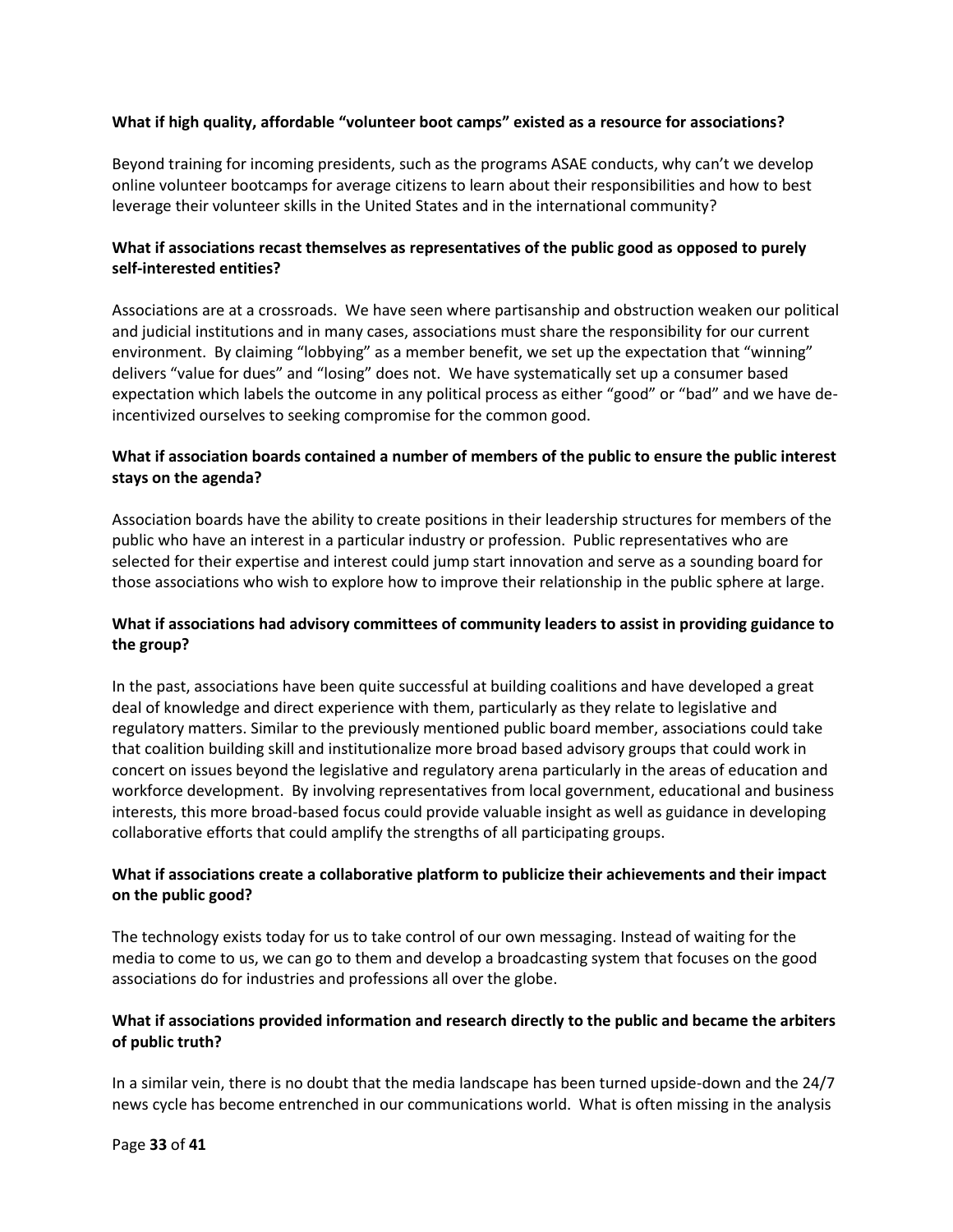### **What if high quality, affordable "volunteer boot camps" existed as a resource for associations?**

Beyond training for incoming presidents, such as the programs ASAE conducts, why can't we develop online volunteer bootcamps for average citizens to learn about their responsibilities and how to best leverage their volunteer skills in the United States and in the international community?

# **What if associations recast themselves as representatives of the public good as opposed to purely self-interested entities?**

Associations are at a crossroads. We have seen where partisanship and obstruction weaken our political and judicial institutions and in many cases, associations must share the responsibility for our current environment. By claiming "lobbying" as a member benefit, we set up the expectation that "winning" delivers "value for dues" and "losing" does not. We have systematically set up a consumer based expectation which labels the outcome in any political process as either "good" or "bad" and we have deincentivized ourselves to seeking compromise for the common good.

## **What if association boards contained a number of members of the public to ensure the public interest stays on the agenda?**

Association boards have the ability to create positions in their leadership structures for members of the public who have an interest in a particular industry or profession. Public representatives who are selected for their expertise and interest could jump start innovation and serve as a sounding board for those associations who wish to explore how to improve their relationship in the public sphere at large.

## **What if associations had advisory committees of community leaders to assist in providing guidance to the group?**

In the past, associations have been quite successful at building coalitions and have developed a great deal of knowledge and direct experience with them, particularly as they relate to legislative and regulatory matters. Similar to the previously mentioned public board member, associations could take that coalition building skill and institutionalize more broad based advisory groups that could work in concert on issues beyond the legislative and regulatory arena particularly in the areas of education and workforce development. By involving representatives from local government, educational and business interests, this more broad-based focus could provide valuable insight as well as guidance in developing collaborative efforts that could amplify the strengths of all participating groups.

## **What if associations create a collaborative platform to publicize their achievements and their impact on the public good?**

The technology exists today for us to take control of our own messaging. Instead of waiting for the media to come to us, we can go to them and develop a broadcasting system that focuses on the good associations do for industries and professions all over the globe.

## **What if associations provided information and research directly to the public and became the arbiters of public truth?**

In a similar vein, there is no doubt that the media landscape has been turned upside-down and the 24/7 news cycle has become entrenched in our communications world. What is often missing in the analysis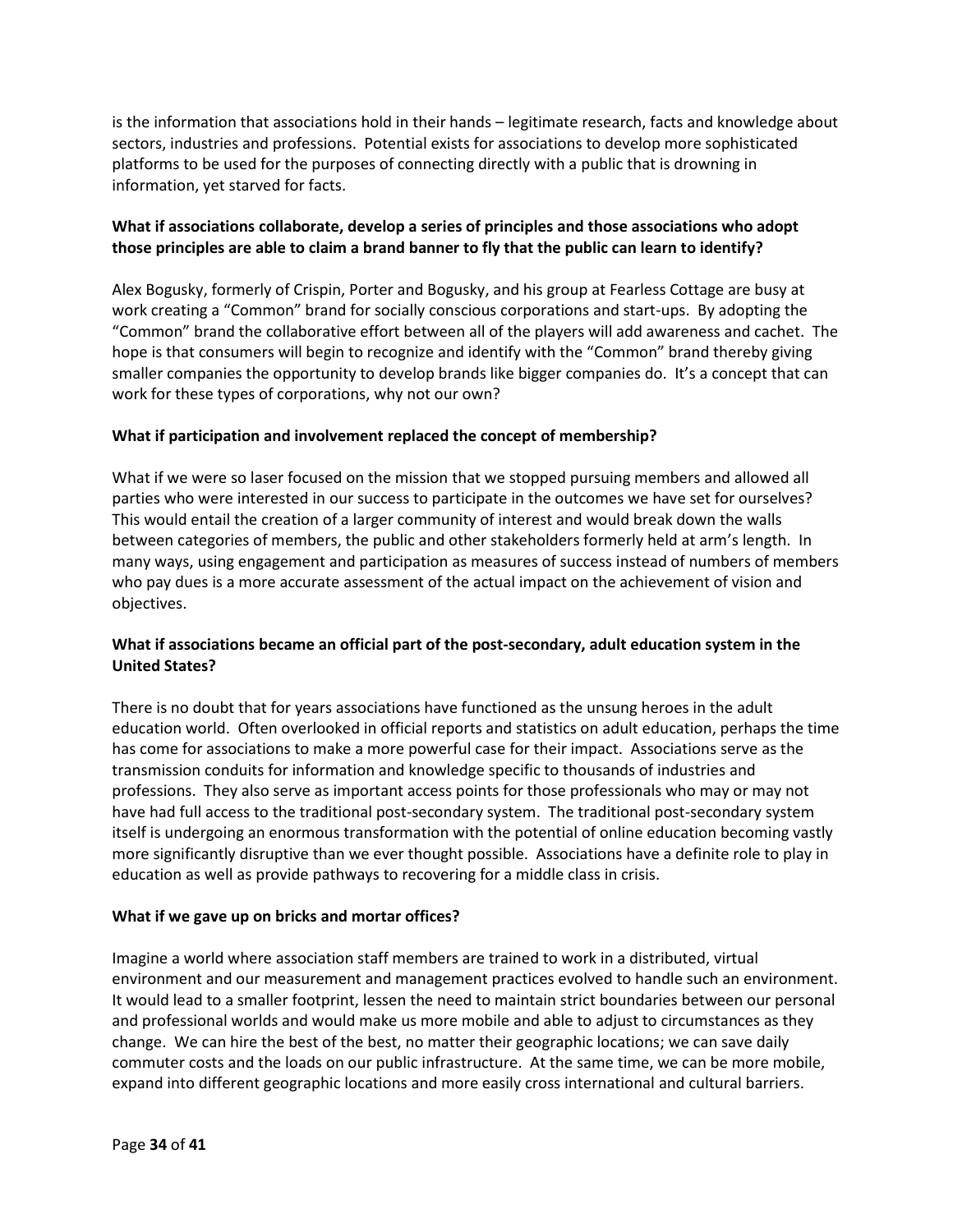is the information that associations hold in their hands – legitimate research, facts and knowledge about sectors, industries and professions. Potential exists for associations to develop more sophisticated platforms to be used for the purposes of connecting directly with a public that is drowning in information, yet starved for facts.

# **What if associations collaborate, develop a series of principles and those associations who adopt those principles are able to claim a brand banner to fly that the public can learn to identify?**

Alex Bogusky, formerly of Crispin, Porter and Bogusky, and his group at Fearless Cottage are busy at work creating a "Common" brand for socially conscious corporations and start-ups. By adopting the "Common" brand the collaborative effort between all of the players will add awareness and cachet. The hope is that consumers will begin to recognize and identify with the "Common" brand thereby giving smaller companies the opportunity to develop brands like bigger companies do. It's a concept that can work for these types of corporations, why not our own?

# **What if participation and involvement replaced the concept of membership?**

What if we were so laser focused on the mission that we stopped pursuing members and allowed all parties who were interested in our success to participate in the outcomes we have set for ourselves? This would entail the creation of a larger community of interest and would break down the walls between categories of members, the public and other stakeholders formerly held at arm's length. In many ways, using engagement and participation as measures of success instead of numbers of members who pay dues is a more accurate assessment of the actual impact on the achievement of vision and objectives.

## **What if associations became an official part of the post-secondary, adult education system in the United States?**

There is no doubt that for years associations have functioned as the unsung heroes in the adult education world. Often overlooked in official reports and statistics on adult education, perhaps the time has come for associations to make a more powerful case for their impact. Associations serve as the transmission conduits for information and knowledge specific to thousands of industries and professions. They also serve as important access points for those professionals who may or may not have had full access to the traditional post-secondary system. The traditional post-secondary system itself is undergoing an enormous transformation with the potential of online education becoming vastly more significantly disruptive than we ever thought possible. Associations have a definite role to play in education as well as provide pathways to recovering for a middle class in crisis.

### **What if we gave up on bricks and mortar offices?**

Imagine a world where association staff members are trained to work in a distributed, virtual environment and our measurement and management practices evolved to handle such an environment. It would lead to a smaller footprint, lessen the need to maintain strict boundaries between our personal and professional worlds and would make us more mobile and able to adjust to circumstances as they change. We can hire the best of the best, no matter their geographic locations; we can save daily commuter costs and the loads on our public infrastructure. At the same time, we can be more mobile, expand into different geographic locations and more easily cross international and cultural barriers.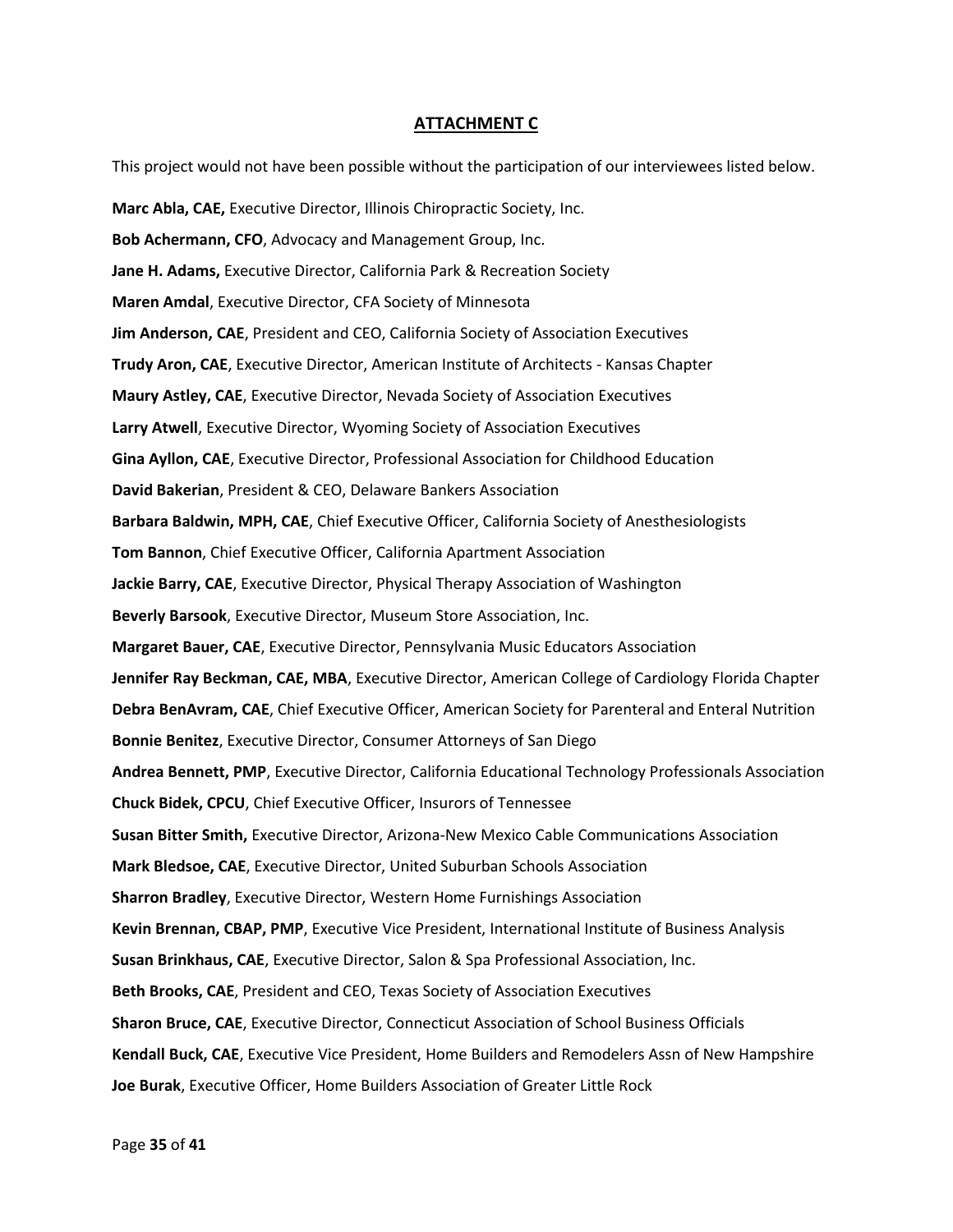#### **ATTACHMENT C**

This project would not have been possible without the participation of our interviewees listed below.

**Marc Abla, CAE,** Executive Director, Illinois Chiropractic Society, Inc. **Bob Achermann, CFO**, Advocacy and Management Group, Inc. **Jane H. Adams,** Executive Director, California Park & Recreation Society **Maren Amdal**, Executive Director, CFA Society of Minnesota **Jim Anderson, CAE**, President and CEO, California Society of Association Executives **Trudy Aron, CAE**, Executive Director, American Institute of Architects - Kansas Chapter **Maury Astley, CAE**, Executive Director, Nevada Society of Association Executives **Larry Atwell**, Executive Director, Wyoming Society of Association Executives **Gina Ayllon, CAE**, Executive Director, Professional Association for Childhood Education **David Bakerian**, President & CEO, Delaware Bankers Association **Barbara Baldwin, MPH, CAE**, Chief Executive Officer, California Society of Anesthesiologists **Tom Bannon**, Chief Executive Officer, California Apartment Association **Jackie Barry, CAE**, Executive Director, Physical Therapy Association of Washington **Beverly Barsook**, Executive Director, Museum Store Association, Inc. **Margaret Bauer, CAE**, Executive Director, Pennsylvania Music Educators Association **Jennifer Ray Beckman, CAE, MBA**, Executive Director, American College of Cardiology Florida Chapter **Debra BenAvram, CAE**, Chief Executive Officer, American Society for Parenteral and Enteral Nutrition **Bonnie Benitez**, Executive Director, Consumer Attorneys of San Diego **Andrea Bennett, PMP**, Executive Director, California Educational Technology Professionals Association **Chuck Bidek, CPCU**, Chief Executive Officer, Insurors of Tennessee **Susan Bitter Smith,** Executive Director, Arizona-New Mexico Cable Communications Association **Mark Bledsoe, CAE**, Executive Director, United Suburban Schools Association **Sharron Bradley**, Executive Director, Western Home Furnishings Association **Kevin Brennan, CBAP, PMP**, Executive Vice President, International Institute of Business Analysis **Susan Brinkhaus, CAE**, Executive Director, Salon & Spa Professional Association, Inc. **Beth Brooks, CAE**, President and CEO, Texas Society of Association Executives **Sharon Bruce, CAE**, Executive Director, Connecticut Association of School Business Officials **Kendall Buck, CAE**, Executive Vice President, Home Builders and Remodelers Assn of New Hampshire **Joe Burak**, Executive Officer, Home Builders Association of Greater Little Rock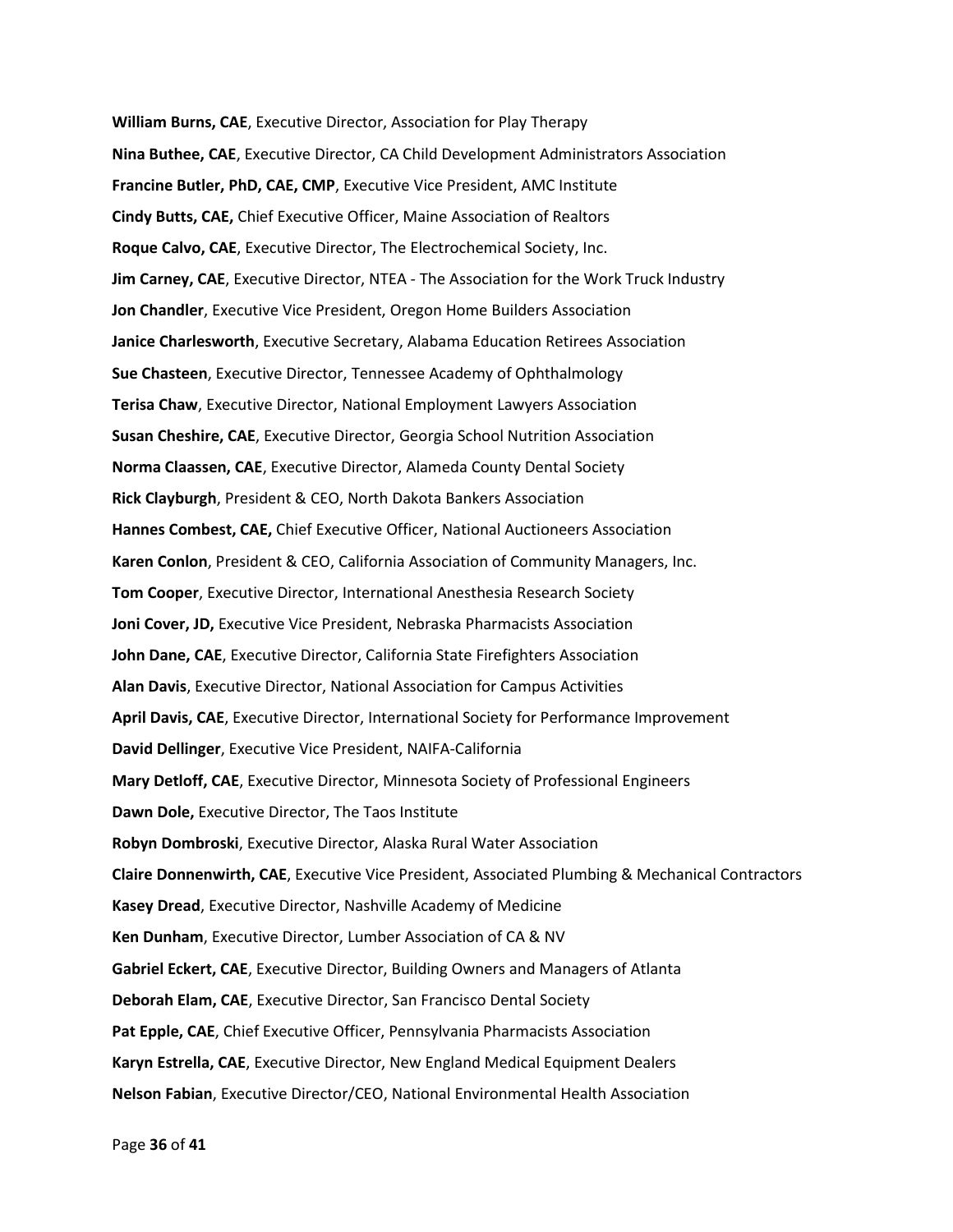**William Burns, CAE**, Executive Director, Association for Play Therapy **Nina Buthee, CAE**, Executive Director, CA Child Development Administrators Association **Francine Butler, PhD, CAE, CMP**, Executive Vice President, AMC Institute **Cindy Butts, CAE,** Chief Executive Officer, Maine Association of Realtors **Roque Calvo, CAE**, Executive Director, The Electrochemical Society, Inc. **Jim Carney, CAE**, Executive Director, NTEA - The Association for the Work Truck Industry **Jon Chandler**, Executive Vice President, Oregon Home Builders Association **Janice Charlesworth**, Executive Secretary, Alabama Education Retirees Association **Sue Chasteen**, Executive Director, Tennessee Academy of Ophthalmology **Terisa Chaw**, Executive Director, National Employment Lawyers Association **Susan Cheshire, CAE**, Executive Director, Georgia School Nutrition Association **Norma Claassen, CAE**, Executive Director, Alameda County Dental Society **Rick Clayburgh**, President & CEO, North Dakota Bankers Association **Hannes Combest, CAE,** Chief Executive Officer, National Auctioneers Association **Karen Conlon**, President & CEO, California Association of Community Managers, Inc. **Tom Cooper**, Executive Director, International Anesthesia Research Society **Joni Cover, JD,** Executive Vice President, Nebraska Pharmacists Association **John Dane, CAE**, Executive Director, California State Firefighters Association **Alan Davis**, Executive Director, National Association for Campus Activities **April Davis, CAE**, Executive Director, International Society for Performance Improvement **David Dellinger**, Executive Vice President, NAIFA-California **Mary Detloff, CAE**, Executive Director, Minnesota Society of Professional Engineers **Dawn Dole,** Executive Director, The Taos Institute **Robyn Dombroski**, Executive Director, Alaska Rural Water Association **Claire Donnenwirth, CAE**, Executive Vice President, Associated Plumbing & Mechanical Contractors **Kasey Dread**, Executive Director, Nashville Academy of Medicine **Ken Dunham**, Executive Director, Lumber Association of CA & NV **Gabriel Eckert, CAE**, Executive Director, Building Owners and Managers of Atlanta **Deborah Elam, CAE**, Executive Director, San Francisco Dental Society **Pat Epple, CAE**, Chief Executive Officer, Pennsylvania Pharmacists Association **Karyn Estrella, CAE**, Executive Director, New England Medical Equipment Dealers **Nelson Fabian**, Executive Director/CEO, National Environmental Health Association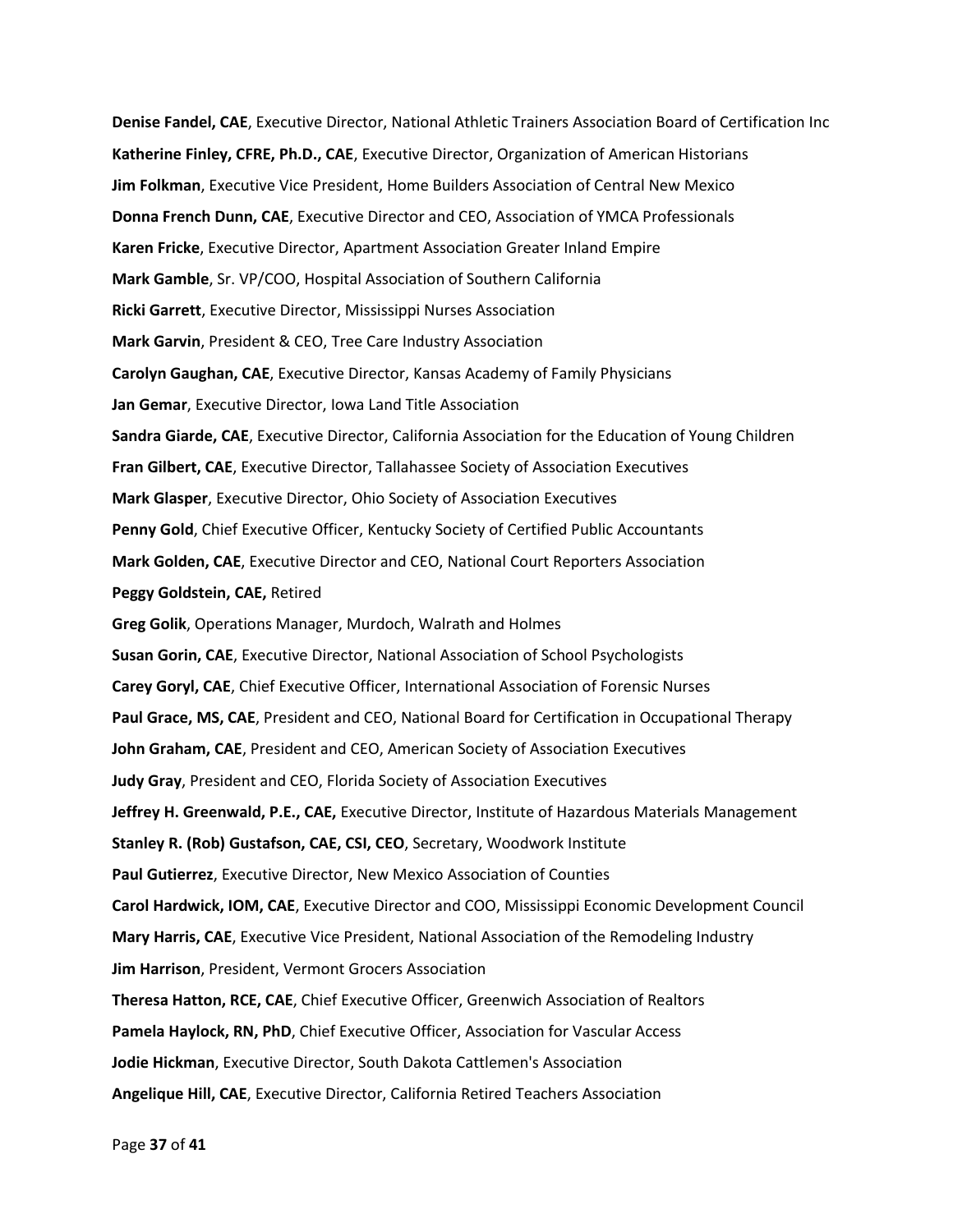**Denise Fandel, CAE**, Executive Director, National Athletic Trainers Association Board of Certification Inc **Katherine Finley, CFRE, Ph.D., CAE**, Executive Director, Organization of American Historians **Jim Folkman**, Executive Vice President, Home Builders Association of Central New Mexico **Donna French Dunn, CAE**, Executive Director and CEO, Association of YMCA Professionals **Karen Fricke**, Executive Director, Apartment Association Greater Inland Empire **Mark Gamble**, Sr. VP/COO, Hospital Association of Southern California **Ricki Garrett**, Executive Director, Mississippi Nurses Association **Mark Garvin**, President & CEO, Tree Care Industry Association **Carolyn Gaughan, CAE**, Executive Director, Kansas Academy of Family Physicians **Jan Gemar**, Executive Director, Iowa Land Title Association **Sandra Giarde, CAE**, Executive Director, California Association for the Education of Young Children **Fran Gilbert, CAE**, Executive Director, Tallahassee Society of Association Executives **Mark Glasper**, Executive Director, Ohio Society of Association Executives **Penny Gold**, Chief Executive Officer, Kentucky Society of Certified Public Accountants **Mark Golden, CAE**, Executive Director and CEO, National Court Reporters Association **Peggy Goldstein, CAE,** Retired **Greg Golik**, Operations Manager, Murdoch, Walrath and Holmes **Susan Gorin, CAE**, Executive Director, National Association of School Psychologists **Carey Goryl, CAE**, Chief Executive Officer, International Association of Forensic Nurses **Paul Grace, MS, CAE**, President and CEO, National Board for Certification in Occupational Therapy **John Graham, CAE**, President and CEO, American Society of Association Executives **Judy Gray**, President and CEO, Florida Society of Association Executives **Jeffrey H. Greenwald, P.E., CAE,** Executive Director, Institute of Hazardous Materials Management **Stanley R. (Rob) Gustafson, CAE, CSI, CEO**, Secretary, Woodwork Institute **Paul Gutierrez**, Executive Director, New Mexico Association of Counties **Carol Hardwick, IOM, CAE**, Executive Director and COO, Mississippi Economic Development Council **Mary Harris, CAE**, Executive Vice President, National Association of the Remodeling Industry **Jim Harrison**, President, Vermont Grocers Association **Theresa Hatton, RCE, CAE**, Chief Executive Officer, Greenwich Association of Realtors **Pamela Haylock, RN, PhD**, Chief Executive Officer, Association for Vascular Access **Jodie Hickman**, Executive Director, South Dakota Cattlemen's Association **Angelique Hill, CAE**, Executive Director, California Retired Teachers Association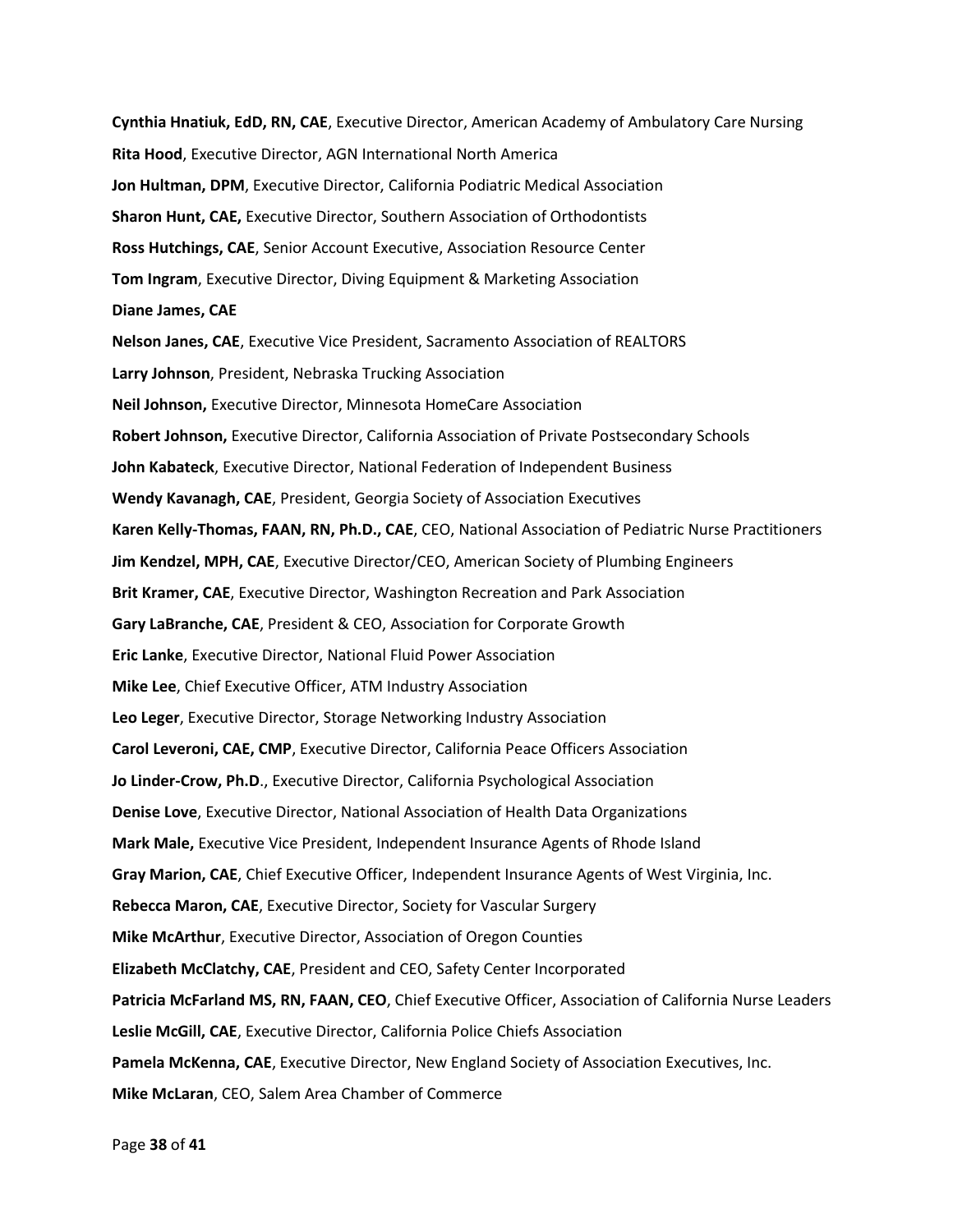**Cynthia Hnatiuk, EdD, RN, CAE**, Executive Director, American Academy of Ambulatory Care Nursing **Rita Hood**, Executive Director, AGN International North America **Jon Hultman, DPM**, Executive Director, California Podiatric Medical Association **Sharon Hunt, CAE,** Executive Director, Southern Association of Orthodontists **Ross Hutchings, CAE**, Senior Account Executive, Association Resource Center **Tom Ingram**, Executive Director, Diving Equipment & Marketing Association **Diane James, CAE Nelson Janes, CAE**, Executive Vice President, Sacramento Association of REALTORS **Larry Johnson**, President, Nebraska Trucking Association **Neil Johnson,** Executive Director, Minnesota HomeCare Association **Robert Johnson,** Executive Director, California Association of Private Postsecondary Schools **John Kabateck**, Executive Director, National Federation of Independent Business **Wendy Kavanagh, CAE**, President, Georgia Society of Association Executives **Karen Kelly-Thomas, FAAN, RN, Ph.D., CAE**, CEO, National Association of Pediatric Nurse Practitioners **Jim Kendzel, MPH, CAE**, Executive Director/CEO, American Society of Plumbing Engineers **Brit Kramer, CAE**, Executive Director, Washington Recreation and Park Association **Gary LaBranche, CAE**, President & CEO, Association for Corporate Growth **Eric Lanke**, Executive Director, National Fluid Power Association **Mike Lee**, Chief Executive Officer, ATM Industry Association **Leo Leger**, Executive Director, Storage Networking Industry Association **Carol Leveroni, CAE, CMP**, Executive Director, California Peace Officers Association **Jo Linder-Crow, Ph.D**., Executive Director, California Psychological Association **Denise Love**, Executive Director, National Association of Health Data Organizations **Mark Male,** Executive Vice President, Independent Insurance Agents of Rhode Island **Gray Marion, CAE**, Chief Executive Officer, Independent Insurance Agents of West Virginia, Inc. **Rebecca Maron, CAE**, Executive Director, Society for Vascular Surgery **Mike McArthur**, Executive Director, Association of Oregon Counties **Elizabeth McClatchy, CAE**, President and CEO, Safety Center Incorporated **Patricia McFarland MS, RN, FAAN, CEO**, Chief Executive Officer, Association of California Nurse Leaders **Leslie McGill, CAE**, Executive Director, California Police Chiefs Association **Pamela McKenna, CAE**, Executive Director, New England Society of Association Executives, Inc. **Mike McLaran**, CEO, Salem Area Chamber of Commerce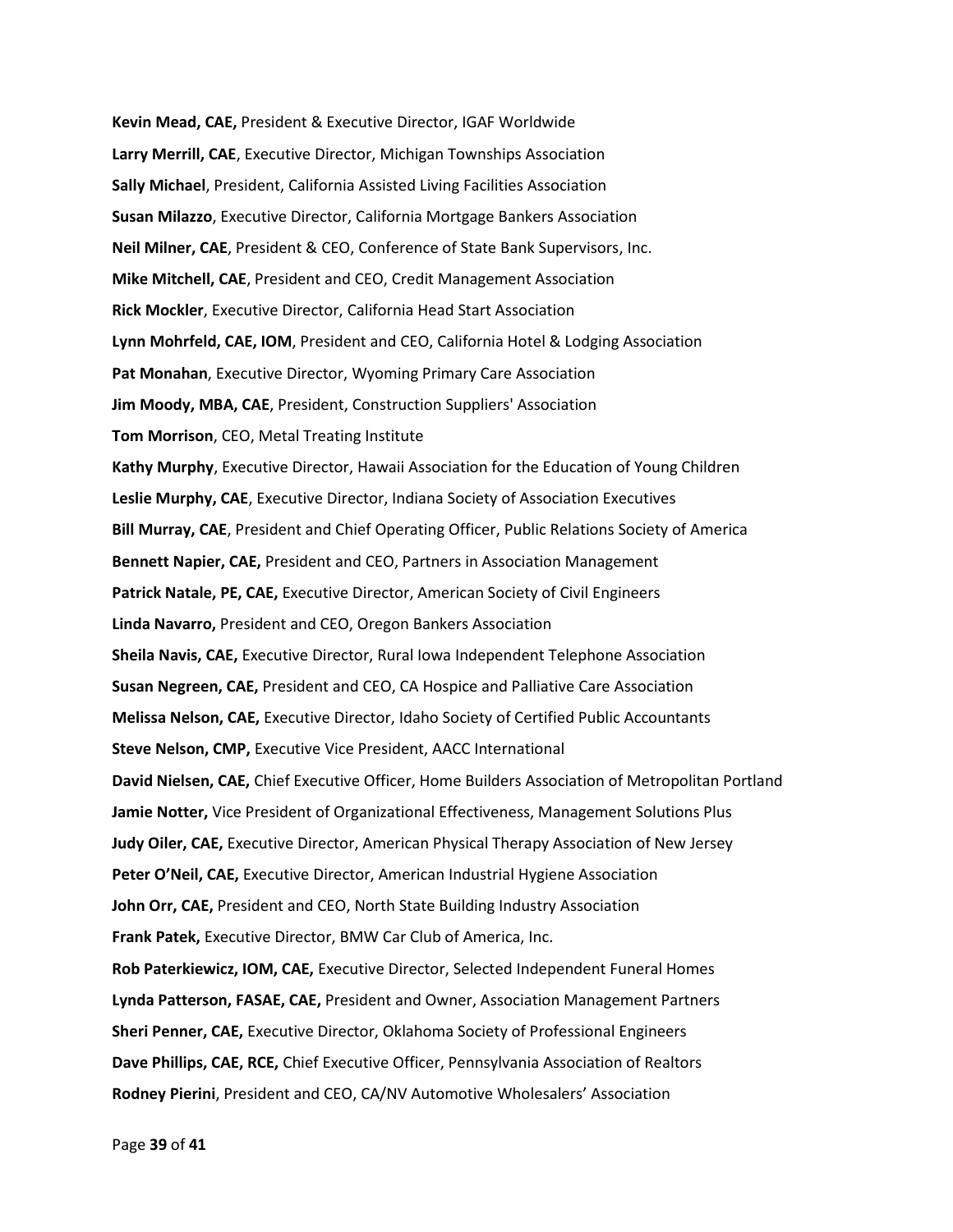**Kevin Mead, CAE,** President & Executive Director, IGAF Worldwide **Larry Merrill, CAE**, Executive Director, Michigan Townships Association **Sally Michael**, President, California Assisted Living Facilities Association **Susan Milazzo**, Executive Director, California Mortgage Bankers Association **Neil Milner, CAE**, President & CEO, Conference of State Bank Supervisors, Inc. **Mike Mitchell, CAE**, President and CEO, Credit Management Association **Rick Mockler**, Executive Director, California Head Start Association **Lynn Mohrfeld, CAE, IOM**, President and CEO, California Hotel & Lodging Association **Pat Monahan**, Executive Director, Wyoming Primary Care Association **Jim Moody, MBA, CAE**, President, Construction Suppliers' Association **Tom Morrison**, CEO, Metal Treating Institute **Kathy Murphy**, Executive Director, Hawaii Association for the Education of Young Children **Leslie Murphy, CAE**, Executive Director, Indiana Society of Association Executives **Bill Murray, CAE**, President and Chief Operating Officer, Public Relations Society of America **Bennett Napier, CAE,** President and CEO, Partners in Association Management **Patrick Natale, PE, CAE,** Executive Director, American Society of Civil Engineers **Linda Navarro,** President and CEO, Oregon Bankers Association **Sheila Navis, CAE,** Executive Director, Rural Iowa Independent Telephone Association **Susan Negreen, CAE,** President and CEO, CA Hospice and Palliative Care Association **Melissa Nelson, CAE,** Executive Director, Idaho Society of Certified Public Accountants **Steve Nelson, CMP,** Executive Vice President, AACC International **David Nielsen, CAE,** Chief Executive Officer, Home Builders Association of Metropolitan Portland **Jamie Notter,** Vice President of Organizational Effectiveness, Management Solutions Plus **Judy Oiler, CAE,** Executive Director, American Physical Therapy Association of New Jersey **Peter O'Neil, CAE,** Executive Director, American Industrial Hygiene Association **John Orr, CAE,** President and CEO, North State Building Industry Association **Frank Patek,** Executive Director, BMW Car Club of America, Inc. **Rob Paterkiewicz, IOM, CAE,** Executive Director, Selected Independent Funeral Homes **Lynda Patterson, FASAE, CAE,** President and Owner, Association Management Partners **Sheri Penner, CAE,** Executive Director, Oklahoma Society of Professional Engineers **Dave Phillips, CAE, RCE,** Chief Executive Officer, Pennsylvania Association of Realtors **Rodney Pierini**, President and CEO, CA/NV Automotive Wholesalers' Association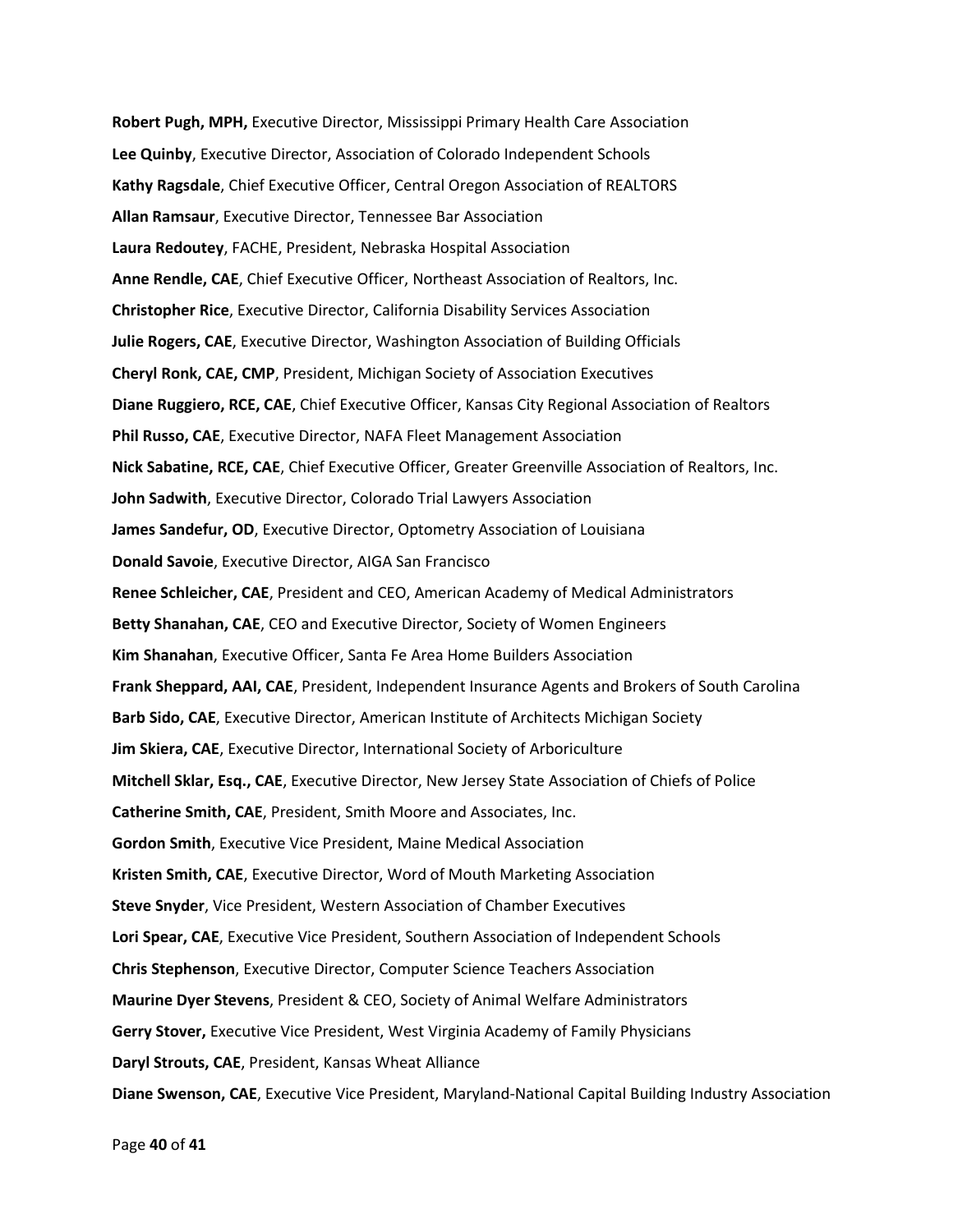**Robert Pugh, MPH,** Executive Director, Mississippi Primary Health Care Association **Lee Quinby**, Executive Director, Association of Colorado Independent Schools **Kathy Ragsdale**, Chief Executive Officer, Central Oregon Association of REALTORS **Allan Ramsaur**, Executive Director, Tennessee Bar Association **Laura Redoutey**, FACHE, President, Nebraska Hospital Association **Anne Rendle, CAE**, Chief Executive Officer, Northeast Association of Realtors, Inc. **Christopher Rice**, Executive Director, California Disability Services Association **Julie Rogers, CAE**, Executive Director, Washington Association of Building Officials **Cheryl Ronk, CAE, CMP**, President, Michigan Society of Association Executives **Diane Ruggiero, RCE, CAE**, Chief Executive Officer, Kansas City Regional Association of Realtors **Phil Russo, CAE**, Executive Director, NAFA Fleet Management Association **Nick Sabatine, RCE, CAE**, Chief Executive Officer, Greater Greenville Association of Realtors, Inc. **John Sadwith**, Executive Director, Colorado Trial Lawyers Association **James Sandefur, OD**, Executive Director, Optometry Association of Louisiana **Donald Savoie**, Executive Director, AIGA San Francisco **Renee Schleicher, CAE**, President and CEO, American Academy of Medical Administrators **Betty Shanahan, CAE**, CEO and Executive Director, Society of Women Engineers **Kim Shanahan**, Executive Officer, Santa Fe Area Home Builders Association **Frank Sheppard, AAI, CAE**, President, Independent Insurance Agents and Brokers of South Carolina **Barb Sido, CAE**, Executive Director, American Institute of Architects Michigan Society **Jim Skiera, CAE**, Executive Director, International Society of Arboriculture **Mitchell Sklar, Esq., CAE**, Executive Director, New Jersey State Association of Chiefs of Police **Catherine Smith, CAE**, President, Smith Moore and Associates, Inc. **Gordon Smith**, Executive Vice President, Maine Medical Association **Kristen Smith, CAE**, Executive Director, Word of Mouth Marketing Association **Steve Snyder**, Vice President, Western Association of Chamber Executives **Lori Spear, CAE**, Executive Vice President, Southern Association of Independent Schools **Chris Stephenson**, Executive Director, Computer Science Teachers Association **Maurine Dyer Stevens**, President & CEO, Society of Animal Welfare Administrators **Gerry Stover,** Executive Vice President, West Virginia Academy of Family Physicians **Daryl Strouts, CAE**, President, Kansas Wheat Alliance **Diane Swenson, CAE**, Executive Vice President, Maryland-National Capital Building Industry Association